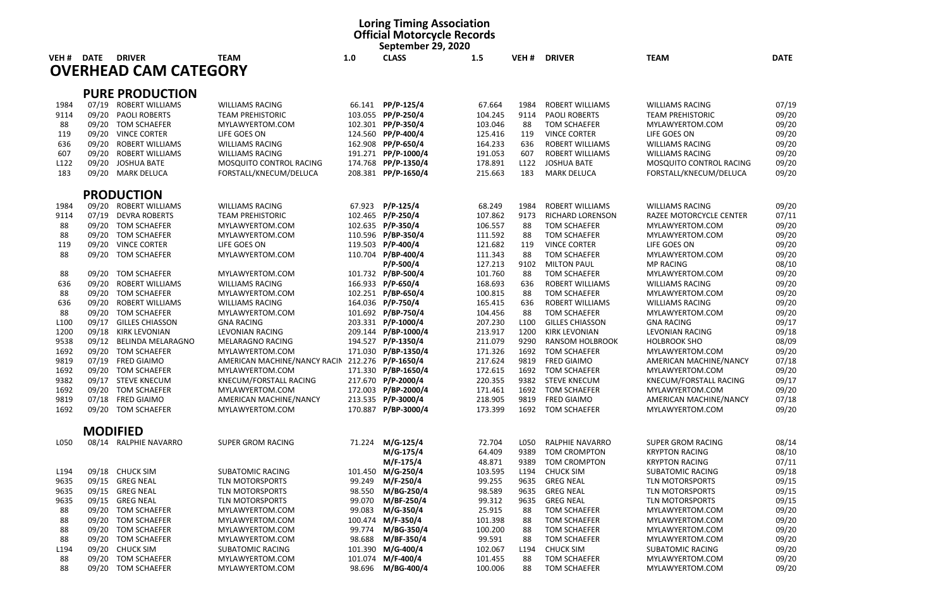|                  |             |                                               |                                                   |         | <b>Loring Timing Association</b><br><b>Official Motorcycle Records</b><br>September 29, 2020 |                   |                  |                                                |                                                   |                |
|------------------|-------------|-----------------------------------------------|---------------------------------------------------|---------|----------------------------------------------------------------------------------------------|-------------------|------------------|------------------------------------------------|---------------------------------------------------|----------------|
| VEH <sub>#</sub> | <b>DATE</b> | <b>DRIVER</b><br><b>OVERHEAD CAM CATEGORY</b> | <b>TEAM</b>                                       | 1.0     | <b>CLASS</b>                                                                                 | 1.5               | VEH#             | <b>DRIVER</b>                                  | <b>TEAM</b>                                       | <b>DATE</b>    |
|                  |             |                                               |                                                   |         |                                                                                              |                   |                  |                                                |                                                   |                |
|                  | 07/19       | <b>PURE PRODUCTION</b>                        |                                                   |         |                                                                                              |                   | 1984             |                                                |                                                   |                |
| 1984<br>9114     | 09/20       | ROBERT WILLIAMS<br><b>PAOLI ROBERTS</b>       | <b>WILLIAMS RACING</b><br><b>TEAM PREHISTORIC</b> | 66.141  | PP/P-125/4<br>103.055 PP/P-250/4                                                             | 67.664<br>104.245 | 9114             | <b>ROBERT WILLIAMS</b><br><b>PAOLI ROBERTS</b> | <b>WILLIAMS RACING</b><br><b>TEAM PREHISTORIC</b> | 07/19<br>09/20 |
| 88               |             | 09/20 TOM SCHAEFER                            | MYLAWYERTOM.COM                                   |         | 102.301 PP/P-350/4                                                                           | 103.046           | 88               | <b>TOM SCHAEFER</b>                            | MYLAWYERTOM.COM                                   | 09/20          |
| 119              | 09/20       | <b>VINCE CORTER</b>                           | LIFE GOES ON                                      |         | 124.560 PP/P-400/4                                                                           | 125.416           | 119              | <b>VINCE CORTER</b>                            | LIFE GOES ON                                      | 09/20          |
| 636              | 09/20       | <b>ROBERT WILLIAMS</b>                        | <b>WILLIAMS RACING</b>                            |         | 162.908 PP/P-650/4                                                                           | 164.233           | 636              | <b>ROBERT WILLIAMS</b>                         | <b>WILLIAMS RACING</b>                            | 09/20          |
| 607              | 09/20       | <b>ROBERT WILLIAMS</b>                        | <b>WILLIAMS RACING</b>                            |         | 191.271 PP/P-1000/4                                                                          | 191.053           | 607              | <b>ROBERT WILLIAMS</b>                         | <b>WILLIAMS RACING</b>                            | 09/20          |
| L122             |             | 09/20 JOSHUA BATE                             | MOSQUITO CONTROL RACING                           |         | 174.768 PP/P-1350/4                                                                          | 178.891           | L <sub>122</sub> | <b>JOSHUA BATE</b>                             | MOSQUITO CONTROL RACING                           | 09/20          |
| 183              |             | 09/20 MARK DELUCA                             | FORSTALL/KNECUM/DELUCA                            |         | 208.381 PP/P-1650/4                                                                          | 215.663           | 183              | <b>MARK DELUCA</b>                             | FORSTALL/KNECUM/DELUCA                            | 09/20          |
|                  |             | <b>PRODUCTION</b>                             |                                                   |         |                                                                                              |                   |                  |                                                |                                                   |                |
| 1984             |             | 09/20 ROBERT WILLIAMS                         | <b>WILLIAMS RACING</b>                            |         | 67.923 P/P-125/4                                                                             | 68.249            | 1984             | ROBERT WILLIAMS                                | <b>WILLIAMS RACING</b>                            | 09/20          |
| 9114             | 07/19       | <b>DEVRA ROBERTS</b>                          | <b>TEAM PREHISTORIC</b>                           |         | 102.465 P/P-250/4                                                                            | 107.862           | 9173             | RICHARD LORENSON                               | RAZEE MOTORCYCLE CENTER                           | 07/11          |
| 88               |             | 09/20 TOM SCHAEFER                            | MYLAWYERTOM.COM                                   |         | 102.635 P/P-350/4                                                                            | 106.557           | 88               | <b>TOM SCHAEFER</b>                            | MYLAWYERTOM.COM                                   | 09/20          |
| 88               |             | 09/20 TOM SCHAEFER                            | MYLAWYERTOM.COM                                   |         | 110.596 P/BP-350/4                                                                           | 111.592           | 88               | <b>TOM SCHAEFER</b>                            | MYLAWYERTOM.COM                                   | 09/20          |
| 119              |             | 09/20 VINCE CORTER                            | LIFE GOES ON                                      |         | 119.503 P/P-400/4                                                                            | 121.682           | 119              | <b>VINCE CORTER</b>                            | LIFE GOES ON                                      | 09/20          |
| 88               |             | 09/20 TOM SCHAEFER                            | MYLAWYERTOM.COM                                   |         | 110.704 P/BP-400/4                                                                           | 111.343           | 88               | <b>TOM SCHAEFER</b>                            | MYLAWYERTOM.COM                                   | 09/20          |
|                  |             |                                               |                                                   |         | $P/P-500/4$                                                                                  | 127.213           | 9102             | <b>MILTON PAUL</b>                             | <b>MP RACING</b>                                  | 08/10          |
| 88               | 09/20       | <b>TOM SCHAEFER</b>                           | MYLAWYERTOM.COM                                   |         | 101.732 P/BP-500/4                                                                           | 101.760           | 88               | <b>TOM SCHAEFER</b>                            | MYLAWYERTOM.COM                                   | 09/20          |
| 636              | 09/20       | <b>ROBERT WILLIAMS</b>                        | <b>WILLIAMS RACING</b>                            |         | 166.933 P/P-650/4                                                                            | 168.693           | 636              | ROBERT WILLIAMS                                | <b>WILLIAMS RACING</b>                            | 09/20          |
| 88               | 09/20       | <b>TOM SCHAEFER</b>                           | MYLAWYERTOM.COM                                   |         | 102.251 P/BP-650/4                                                                           | 100.815           | 88               | <b>TOM SCHAEFER</b>                            | MYLAWYERTOM.COM                                   | 09/20          |
| 636              | 09/20       | <b>ROBERT WILLIAMS</b>                        | <b>WILLIAMS RACING</b>                            |         | 164.036 P/P-750/4                                                                            | 165.415           | 636              | <b>ROBERT WILLIAMS</b>                         | <b>WILLIAMS RACING</b>                            | 09/20          |
| 88               |             | 09/20 TOM SCHAEFER                            | MYLAWYERTOM.COM                                   |         | 101.692 P/BP-750/4                                                                           | 104.456           | 88               | <b>TOM SCHAEFER</b>                            | MYLAWYERTOM.COM                                   | 09/20          |
| L <sub>100</sub> |             | 09/17 GILLES CHIASSON                         | <b>GNA RACING</b>                                 |         | 203.331 P/P-1000/4                                                                           | 207.230           | L <sub>100</sub> | <b>GILLES CHIASSON</b>                         | <b>GNA RACING</b>                                 | 09/17          |
| 1200             | 09/18       | KIRK LEVONIAN                                 | <b>LEVONIAN RACING</b>                            |         | 209.144 P/BP-1000/4                                                                          | 213.917           | 1200             | <b>KIRK LEVONIAN</b>                           | <b>LEVONIAN RACING</b>                            | 09/18          |
| 9538             |             | 09/12 BELINDA MELARAGNO                       | MELARAGNO RACING                                  |         | 194.527 P/P-1350/4                                                                           | 211.079           | 9290             | RANSOM HOLBROOK                                | <b>HOLBROOK SHO</b>                               | 08/09          |
| 1692             |             | 09/20 TOM SCHAEFER                            | MYLAWYERTOM.COM                                   |         | 171.030 P/BP-1350/4                                                                          | 171.326           | 1692             | <b>TOM SCHAEFER</b>                            | MYLAWYERTOM.COM                                   | 09/20          |
| 9819             |             | 07/19 FRED GIAIMO                             | AMERICAN MACHINE/NANCY RACIN 212.276 P/P-1650/4   |         |                                                                                              | 217.624           | 9819             | <b>FRED GIAIMO</b>                             | AMERICAN MACHINE/NANCY                            | 07/18          |
| 1692             |             | 09/20 TOM SCHAEFER                            | MYLAWYERTOM.COM                                   |         | 171.330 P/BP-1650/4                                                                          | 172.615           | 1692             | <b>TOM SCHAEFER</b>                            | MYLAWYERTOM.COM                                   | 09/20          |
| 9382             |             | 09/17 STEVE KNECUM                            | KNECUM/FORSTALL RACING                            |         | 217.670 P/P-2000/4                                                                           | 220.355           | 9382             | <b>STEVE KNECUM</b>                            | KNECUM/FORSTALL RACING                            | 09/17          |
| 1692             |             | 09/20 TOM SCHAEFER                            | MYLAWYERTOM.COM                                   |         | 172.003 P/BP-2000/4                                                                          | 171.461           | 1692             | TOM SCHAEFER                                   | MYLAWYERTOM.COM                                   | 09/20          |
| 9819             |             | 07/18 FRED GIAIMO                             | AMERICAN MACHINE/NANCY                            |         | 213.535 P/P-3000/4                                                                           | 218.905           | 9819             | <b>FRED GIAIMO</b>                             | AMERICAN MACHINE/NANCY                            | 07/18          |
| 1692             |             | 09/20 TOM SCHAEFER                            | MYLAWYERTOM.COM                                   |         | 170.887 P/BP-3000/4                                                                          | 173.399           | 1692             | <b>TOM SCHAEFER</b>                            | MYLAWYERTOM.COM                                   | 09/20          |
|                  |             | <b>MODIFIED</b>                               |                                                   |         |                                                                                              |                   |                  |                                                |                                                   |                |
| L050             |             | 08/14 RALPHIE NAVARRO                         | <b>SUPER GROM RACING</b>                          | 71.224  | M/G-125/4                                                                                    | 72.704            | L050             | RALPHIE NAVARRO                                | SUPER GROM RACING                                 | 08/14          |
|                  |             |                                               |                                                   |         | M/G-175/4                                                                                    | 64.409            | 9389             | <b>TOM CROMPTON</b>                            | <b>KRYPTON RACING</b>                             | 08/10          |
|                  |             |                                               |                                                   |         | M/F-175/4                                                                                    | 48.871            | 9389             | <b>TOM CROMPTON</b>                            | <b>KRYPTON RACING</b>                             | 07/11          |
| L194             |             | 09/18 CHUCK SIM                               | <b>SUBATOMIC RACING</b>                           |         | 101.450 M/G-250/4                                                                            | 103.595           | L <sub>194</sub> | <b>CHUCK SIM</b>                               | <b>SUBATOMIC RACING</b>                           | 09/18          |
| 9635             |             | 09/15 GREG NEAL                               | TLN MOTORSPORTS                                   | 99.249  | M/F-250/4                                                                                    | 99.255            | 9635             | <b>GREG NEAL</b>                               | <b>TLN MOTORSPORTS</b>                            | 09/15          |
| 9635             |             | 09/15 GREG NEAL                               | TLN MOTORSPORTS                                   | 98.550  | M/BG-250/4                                                                                   | 98.589            | 9635             | <b>GREG NEAL</b>                               | <b>TLN MOTORSPORTS</b>                            | 09/15          |
| 9635             |             | 09/15 GREG NEAL                               | TLN MOTORSPORTS                                   | 99.070  | M/BF-250/4                                                                                   | 99.312            | 9635             | <b>GREG NEAL</b>                               | <b>TLN MOTORSPORTS</b>                            | 09/15          |
| 88               |             | 09/20 TOM SCHAEFER                            | MYLAWYERTOM.COM                                   | 99.083  | M/G-350/4                                                                                    | 25.915            | 88               | TOM SCHAEFER                                   | MYLAWYERTOM.COM                                   | 09/20          |
| 88               |             | 09/20 TOM SCHAEFER                            | MYLAWYERTOM.COM                                   | 100.474 | M/F-350/4                                                                                    | 101.398           | 88               | <b>TOM SCHAEFER</b>                            | MYLAWYERTOM.COM                                   | 09/20          |
| 88               | 09/20       | <b>TOM SCHAEFER</b>                           | MYLAWYERTOM.COM                                   | 99.774  | M/BG-350/4                                                                                   | 100.200           | 88               | <b>TOM SCHAEFER</b>                            | MYLAWYERTOM.COM                                   | 09/20          |
| 88               | 09/20       | TOM SCHAEFER                                  | MYLAWYERTOM.COM                                   | 98.688  | M/BF-350/4                                                                                   | 99.591            | 88               | TOM SCHAEFER                                   | MYLAWYERTOM.COM                                   | 09/20          |
| L194             | 09/20       | <b>CHUCK SIM</b>                              | <b>SUBATOMIC RACING</b>                           | 101.390 | M/G-400/4                                                                                    | 102.067           | L194             | <b>CHUCK SIM</b>                               | <b>SUBATOMIC RACING</b>                           | 09/20          |
| 88               | 09/20       | <b>TOM SCHAEFER</b>                           | MYLAWYERTOM.COM                                   |         | 101.074 M/F-400/4                                                                            | 101.455           | 88               | <b>TOM SCHAEFER</b>                            | MYLAWYERTOM.COM                                   | 09/20          |
| 88               | 09/20       | TOM SCHAEFER                                  | MYLAWYERTOM.COM                                   | 98.696  | M/BG-400/4                                                                                   | 100.006           | 88               | <b>TOM SCHAEFER</b>                            | MYLAWYERTOM.COM                                   | 09/20          |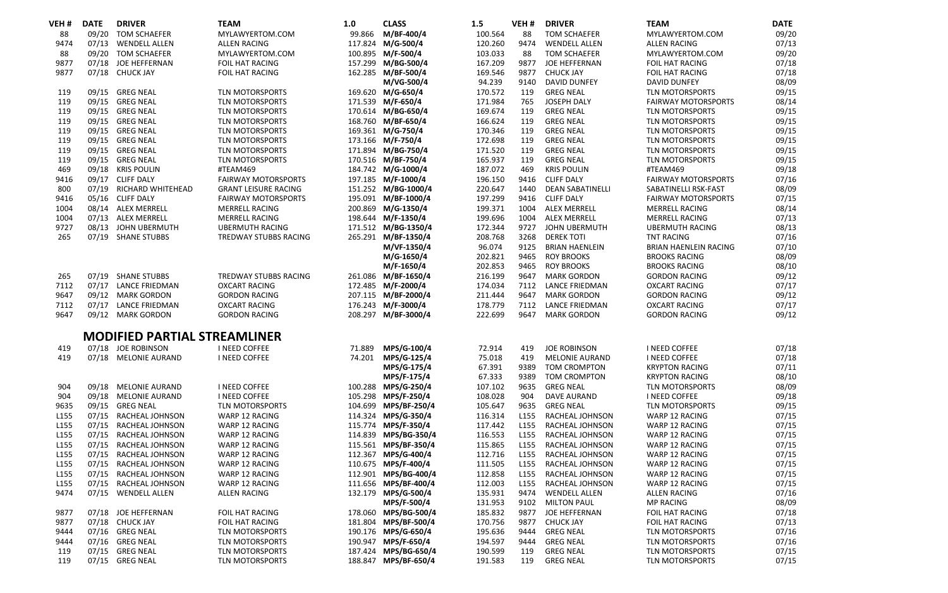| VEH #            | <b>DATE</b> | <b>DRIVER</b>                       | <b>TEAM</b>                 | 1.0    | <b>CLASS</b>         | 1.5     | VEH <sub>#</sub> | <b>DRIVER</b>           | <b>TEAM</b>                | DATE  |
|------------------|-------------|-------------------------------------|-----------------------------|--------|----------------------|---------|------------------|-------------------------|----------------------------|-------|
| 88               | 09/20       | <b>TOM SCHAEFER</b>                 | MYLAWYERTOM.COM             | 99.866 | M/BF-400/4           | 100.564 | 88               | <b>TOM SCHAEFER</b>     | MYLAWYERTOM.COM            | 09/20 |
| 9474             | 07/13       | <b>WENDELL ALLEN</b>                | <b>ALLEN RACING</b>         |        | 117.824 M/G-500/4    | 120.260 | 9474             | <b>WENDELL ALLEN</b>    | <b>ALLEN RACING</b>        | 07/13 |
| 88               | 09/20       | <b>TOM SCHAEFER</b>                 | MYLAWYERTOM.COM             |        | 100.895 M/F-500/4    | 103.033 | 88               | <b>TOM SCHAEFER</b>     | MYLAWYERTOM.COM            | 09/20 |
| 9877             | 07/18       | JOE HEFFERNAN                       | <b>FOIL HAT RACING</b>      |        | 157.299 M/BG-500/4   | 167.209 | 9877             | JOE HEFFERNAN           | FOIL HAT RACING            | 07/18 |
| 9877             |             | 07/18 CHUCK JAY                     | FOIL HAT RACING             |        | 162.285 M/BF-500/4   | 169.546 | 9877             | <b>CHUCK JAY</b>        | FOIL HAT RACING            | 07/18 |
|                  |             |                                     |                             |        | M/VG-500/4           | 94.239  | 9140             | <b>DAVID DUNFEY</b>     | DAVID DUNFEY               | 08/09 |
| 119              | 09/15       | <b>GREG NEAL</b>                    | TLN MOTORSPORTS             |        | 169.620 M/G-650/4    | 170.572 | 119              | <b>GREG NEAL</b>        | <b>TLN MOTORSPORTS</b>     | 09/15 |
| 119              | 09/15       | <b>GREG NEAL</b>                    | <b>TLN MOTORSPORTS</b>      |        | 171.539 M/F-650/4    | 171.984 | 765              | JOSEPH DALY             | <b>FAIRWAY MOTORSPORTS</b> | 08/14 |
| 119              | 09/15       | <b>GREG NEAL</b>                    | TLN MOTORSPORTS             |        | 170.614 M/BG-650/4   | 169.674 | 119              | <b>GREG NEAL</b>        | <b>TLN MOTORSPORTS</b>     | 09/15 |
| 119              |             | 09/15 GREG NEAL                     | <b>TLN MOTORSPORTS</b>      |        | 168.760 M/BF-650/4   | 166.624 | 119              | <b>GREG NEAL</b>        | <b>TLN MOTORSPORTS</b>     | 09/15 |
| 119              |             | 09/15 GREG NEAL                     | <b>TLN MOTORSPORTS</b>      |        | 169.361 M/G-750/4    | 170.346 | 119              | <b>GREG NEAL</b>        | <b>TLN MOTORSPORTS</b>     | 09/15 |
| 119              |             | 09/15 GREG NEAL                     | TLN MOTORSPORTS             |        | 173.166 M/F-750/4    | 172.698 | 119              | <b>GREG NEAL</b>        | <b>TLN MOTORSPORTS</b>     | 09/15 |
| 119              |             | 09/15 GREG NEAL                     | TLN MOTORSPORTS             |        | 171.894 M/BG-750/4   | 171.520 | 119              | <b>GREG NEAL</b>        | TLN MOTORSPORTS            | 09/15 |
| 119              |             | 09/15 GREG NEAL                     | TLN MOTORSPORTS             |        | 170.516 M/BF-750/4   | 165.937 | 119              | <b>GREG NEAL</b>        | TLN MOTORSPORTS            | 09/15 |
| 469              |             | 09/18 KRIS POULIN                   | #TEAM469                    |        | 184.742 M/G-1000/4   | 187.072 | 469              | <b>KRIS POULIN</b>      | #TEAM469                   | 09/18 |
| 9416             |             | 09/17 CLIFF DALY                    | <b>FAIRWAY MOTORSPORTS</b>  |        | 197.185 M/F-1000/4   | 196.150 | 9416             | <b>CLIFF DALY</b>       | <b>FAIRWAY MOTORSPORTS</b> | 07/16 |
| 800              | 07/19       | <b>RICHARD WHITEHEAD</b>            | <b>GRANT LEISURE RACING</b> |        | 151.252 M/BG-1000/4  | 220.647 | 1440             | <b>DEAN SABATINELLI</b> | SABATINELLI RSK-FAST       | 08/09 |
| 9416             |             | 05/16 CLIFF DALY                    | <b>FAIRWAY MOTORSPORTS</b>  |        | 195.091 M/BF-1000/4  | 197.299 | 9416             | <b>CLIFF DALY</b>       | <b>FAIRWAY MOTORSPORTS</b> | 07/15 |
| 1004             |             | 08/14 ALEX MERRELL                  | <b>MERRELL RACING</b>       |        | 200.869 M/G-1350/4   | 199.371 | 1004             | ALEX MERRELL            | <b>MERRELL RACING</b>      | 08/14 |
| 1004             |             | 07/13 ALEX MERRELL                  | <b>MERRELL RACING</b>       |        | 198.644 M/F-1350/4   | 199.696 | 1004             | ALEX MERRELL            | <b>MERRELL RACING</b>      | 07/13 |
| 9727             | 08/13       | JOHN UBERMUTH                       | <b>UBERMUTH RACING</b>      |        | 171.512 M/BG-1350/4  | 172.344 | 9727             | JOHN UBERMUTH           | <b>UBERMUTH RACING</b>     | 08/13 |
| 265              |             | 07/19 SHANE STUBBS                  | TREDWAY STUBBS RACING       |        | 265.291 M/BF-1350/4  | 208.768 | 3268             | <b>DEREK TOTI</b>       | <b>TNT RACING</b>          | 07/16 |
|                  |             |                                     |                             |        | M/VF-1350/4          | 96.074  | 9125             | <b>BRIAN HAENLEIN</b>   | BRIAN HAENLEIN RACING      | 07/10 |
|                  |             |                                     |                             |        | M/G-1650/4           | 202.821 | 9465             | <b>ROY BROOKS</b>       | <b>BROOKS RACING</b>       | 08/09 |
|                  |             |                                     |                             |        | M/F-1650/4           | 202.853 | 9465             | <b>ROY BROOKS</b>       | <b>BROOKS RACING</b>       | 08/10 |
| 265              |             | 07/19 SHANE STUBBS                  | TREDWAY STUBBS RACING       |        | 261.086 M/BF-1650/4  | 216.199 | 9647             | <b>MARK GORDON</b>      | <b>GORDON RACING</b>       | 09/12 |
| 7112             |             | 07/17 LANCE FRIEDMAN                | <b>OXCART RACING</b>        |        | 172.485 M/F-2000/4   | 174.034 | 7112             | <b>LANCE FRIEDMAN</b>   | <b>OXCART RACING</b>       | 07/17 |
| 9647             |             | 09/12 MARK GORDON                   | <b>GORDON RACING</b>        |        | 207.115 M/BF-2000/4  | 211.444 | 9647             | <b>MARK GORDON</b>      | <b>GORDON RACING</b>       | 09/12 |
| 7112             |             | 07/17 LANCE FRIEDMAN                | <b>OXCART RACING</b>        |        | 176.243 M/F-3000/4   | 178.779 | 7112             | <b>LANCE FRIEDMAN</b>   | <b>OXCART RACING</b>       | 07/17 |
| 9647             |             | 09/12 MARK GORDON                   | <b>GORDON RACING</b>        |        | 208.297 M/BF-3000/4  | 222.699 | 9647             | <b>MARK GORDON</b>      | <b>GORDON RACING</b>       | 09/12 |
|                  |             |                                     |                             |        |                      |         |                  |                         |                            |       |
|                  |             | <b>MODIFIED PARTIAL STREAMLINER</b> |                             |        |                      |         |                  |                         |                            |       |
| 419              |             | 07/18 JOE ROBINSON                  | I NEED COFFEE               | 71.889 | MPS/G-100/4          | 72.914  | 419              | <b>JOE ROBINSON</b>     | I NEED COFFEE              | 07/18 |
| 419              |             | 07/18 MELONIE AURAND                | I NEED COFFEE               |        | 74.201 MPS/G-125/4   | 75.018  | 419              | MELONIE AURAND          | I NEED COFFEE              | 07/18 |
|                  |             |                                     |                             |        | MPS/G-175/4          | 67.391  | 9389             | <b>TOM CROMPTON</b>     | <b>KRYPTON RACING</b>      | 07/11 |
|                  |             |                                     |                             |        | MPS/F-175/4          | 67.333  | 9389             | <b>TOM CROMPTON</b>     | <b>KRYPTON RACING</b>      | 08/10 |
| 904              | 09/18       | <b>MELONIE AURAND</b>               | I NEED COFFEE               |        | 100.288 MPS/G-250/4  | 107.102 | 9635             | <b>GREG NEAL</b>        | <b>TLN MOTORSPORTS</b>     | 08/09 |
| 904              | 09/18       | <b>MELONIE AURAND</b>               | I NEED COFFEE               |        | 105.298 MPS/F-250/4  | 108.028 | 904              | <b>DAVE AURAND</b>      | I NEED COFFEE              | 09/18 |
| 9635             | 09/15       | GREG NEAL                           | <b>TLN MOTORSPORTS</b>      |        | 104.699 MPS/BF-250/4 | 105.647 | 9635             | <b>GREG NEAL</b>        | <b>TLN MOTORSPORTS</b>     | 09/15 |
| L <sub>155</sub> | 07/15       | RACHEAL JOHNSON                     | WARP 12 RACING              |        | 114.324 MPS/G-350/4  | 116.314 | L <sub>155</sub> | RACHEAL JOHNSON         | WARP 12 RACING             | 07/15 |
| L <sub>155</sub> | 07/15       | RACHEAL JOHNSON                     | WARP 12 RACING              |        | 115.774 MPS/F-350/4  | 117.442 | L <sub>155</sub> | RACHEAL JOHNSON         | WARP 12 RACING             | 07/15 |
| L <sub>155</sub> | 07/15       | RACHEAL JOHNSON                     | WARP 12 RACING              |        | 114.839 MPS/BG-350/4 | 116.553 | L <sub>155</sub> | RACHEAL JOHNSON         | WARP 12 RACING             | 07/15 |
| L <sub>155</sub> | 07/15       | RACHEAL JOHNSON                     | WARP 12 RACING              |        | 115.561 MPS/BF-350/4 | 115.865 | L <sub>155</sub> | RACHEAL JOHNSON         | WARP 12 RACING             | 07/15 |
| L155             | 07/15       | RACHEAL JOHNSON                     | WARP 12 RACING              |        | 112.367 MPS/G-400/4  | 112.716 | L <sub>155</sub> | RACHEAL JOHNSON         | WARP 12 RACING             | 07/15 |
| L <sub>155</sub> | 07/15       | RACHEAL JOHNSON                     | WARP 12 RACING              |        | 110.675 MPS/F-400/4  | 111.505 | L <sub>155</sub> | RACHEAL JOHNSON         | WARP 12 RACING             | 07/15 |
| L155             | 07/15       | RACHEAL JOHNSON                     | WARP 12 RACING              |        | 112.901 MPS/BG-400/4 | 112.858 | L <sub>155</sub> | RACHEAL JOHNSON         | WARP 12 RACING             | 07/15 |
| L <sub>155</sub> | 07/15       | RACHEAL JOHNSON                     | WARP 12 RACING              |        | 111.656 MPS/BF-400/4 | 112.003 | L <sub>155</sub> | RACHEAL JOHNSON         | WARP 12 RACING             | 07/15 |
| 9474             |             | 07/15 WENDELL ALLEN                 | ALLEN RACING                |        | 132.179 MPS/G-500/4  | 135.931 | 9474             | <b>WENDELL ALLEN</b>    | <b>ALLEN RACING</b>        | 07/16 |
|                  |             |                                     |                             |        | MPS/F-500/4          | 131.953 | 9102             | <b>MILTON PAUL</b>      | <b>MP RACING</b>           | 08/09 |
| 9877             | 07/18       | JOE HEFFERNAN                       | FOIL HAT RACING             |        | 178.060 MPS/BG-500/4 | 185.832 | 9877             | JOE HEFFERNAN           | FOIL HAT RACING            | 07/18 |
| 9877             |             | 07/18 CHUCK JAY                     | <b>FOIL HAT RACING</b>      |        | 181.804 MPS/BF-500/4 | 170.756 | 9877             | <b>CHUCK JAY</b>        | FOIL HAT RACING            | 07/13 |
| 9444             |             | 07/16 GREG NEAL                     | TLN MOTORSPORTS             |        | 190.176 MPS/G-650/4  | 195.636 | 9444             | <b>GREG NEAL</b>        | TLN MOTORSPORTS            | 07/16 |
| 9444             |             | 07/16 GREG NEAL                     | TLN MOTORSPORTS             |        | 190.947 MPS/F-650/4  | 194.597 | 9444             | <b>GREG NEAL</b>        | <b>TLN MOTORSPORTS</b>     | 07/16 |
| 119              |             | 07/15 GREG NEAL                     | <b>TLN MOTORSPORTS</b>      |        | 187.424 MPS/BG-650/4 | 190.599 | 119              | <b>GREG NEAL</b>        | <b>TLN MOTORSPORTS</b>     | 07/15 |
| 119              |             | 07/15 GREG NEAL                     | TLN MOTORSPORTS             |        | 188.847 MPS/BF-650/4 | 191.583 | 119              | <b>GREG NEAL</b>        | TLN MOTORSPORTS            | 07/15 |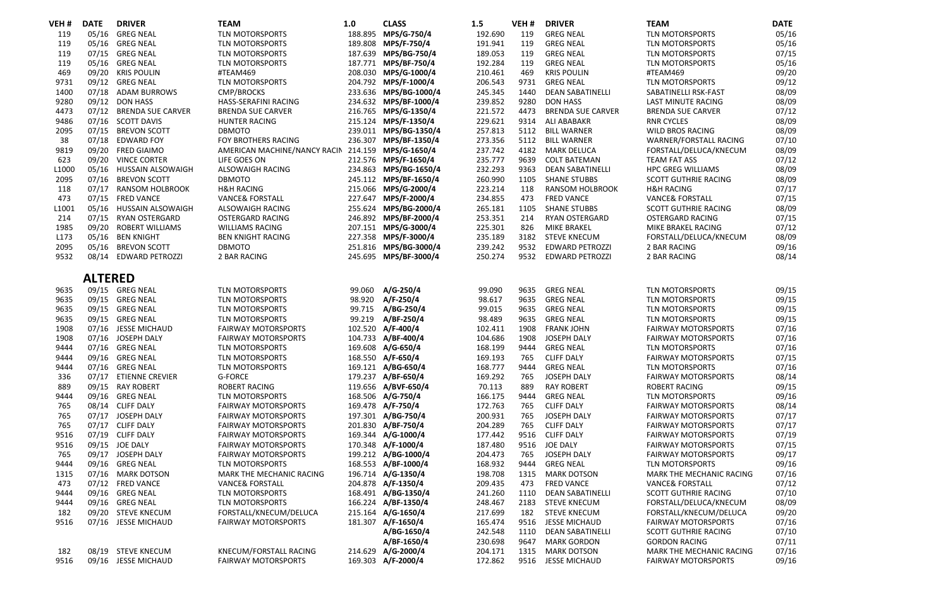| /EH # | <b>DATE</b>    | <b>DRIVER</b>           | <b>TEAM</b>                                       | 1.0     | <b>CLASS</b>          | 1.5     | VEH# | <b>DRIVER</b>            | <b>TEAM</b>                 | <b>DATE</b> |
|-------|----------------|-------------------------|---------------------------------------------------|---------|-----------------------|---------|------|--------------------------|-----------------------------|-------------|
| 119   | 05/16          | <b>GREG NEAL</b>        | TLN MOTORSPORTS                                   |         | 188.895 MPS/G-750/4   | 192.690 | 119  | <b>GREG NEAL</b>         | TLN MOTORSPORTS             | 05/16       |
| 119   | 05/16          | <b>GREG NEAL</b>        | TLN MOTORSPORTS                                   |         | 189.808 MPS/F-750/4   | 191.941 | 119  | <b>GREG NEAL</b>         | <b>TLN MOTORSPORTS</b>      | 05/16       |
| 119   | 07/15          | <b>GREG NEAL</b>        | TLN MOTORSPORTS                                   |         | 187.639 MPS/BG-750/4  | 189.053 | 119  | <b>GREG NEAL</b>         | <b>TLN MOTORSPORTS</b>      | 07/15       |
| 119   | 05/16          | <b>GREG NEAL</b>        | <b>TLN MOTORSPORTS</b>                            |         | 187.771 MPS/BF-750/4  | 192.284 | 119  | <b>GREG NEAL</b>         | <b>TLN MOTORSPORTS</b>      | 05/16       |
| 469   | 09/20          | <b>KRIS POULIN</b>      | #TEAM469                                          |         | 208.030 MPS/G-1000/4  | 210.461 | 469  | <b>KRIS POULIN</b>       | #TEAM469                    | 09/20       |
| 9731  | 09/12          | <b>GREG NEAL</b>        | TLN MOTORSPORTS                                   |         | 204.792 MPS/F-1000/4  | 206.543 | 9731 | <b>GREG NEAL</b>         | <b>TLN MOTORSPORTS</b>      | 09/12       |
| 1400  |                | 07/18 ADAM BURROWS      | <b>CMP/BROCKS</b>                                 |         | 233.636 MPS/BG-1000/4 | 245.345 | 1440 | <b>DEAN SABATINELLI</b>  | SABATINELLI RSK-FAST        | 08/09       |
| 9280  |                | 09/12 DON HASS          | HASS-SERAFINI RACING                              |         | 234.632 MPS/BF-1000/4 | 239.852 | 9280 | <b>DON HASS</b>          | LAST MINUTE RACING          | 08/09       |
| 4473  |                | 07/12 BRENDA SUE CARVER | <b>BRENDA SUE CARVER</b>                          |         | 216.765 MPS/G-1350/4  | 221.572 | 4473 | <b>BRENDA SUE CARVER</b> | <b>BRENDA SUE CARVER</b>    | 07/12       |
| 9486  |                | 07/16 SCOTT DAVIS       | <b>HUNTER RACING</b>                              |         | 215.124 MPS/F-1350/4  | 229.621 | 9314 | ALI ABABAKR              | <b>RNR CYCLES</b>           | 08/09       |
| 2095  | 07/15          | <b>BREVON SCOTT</b>     | <b>DBMOTO</b>                                     | 239.011 | MPS/BG-1350/4         | 257.813 | 5112 | <b>BILL WARNER</b>       | WILD BROS RACING            | 08/09       |
| 38    | 07/18          | <b>EDWARD FOY</b>       | FOY BROTHERS RACING                               | 236.307 | MPS/BF-1350/4         | 273.356 | 5112 | <b>BILL WARNER</b>       | WARNER/FORSTALL RACING      | 07/10       |
| 9819  | 09/20          | <b>FRED GIAIMO</b>      | AMERICAN MACHINE/NANCY RACIN 214.159 MPS/G-1650/4 |         |                       | 237.742 | 4182 | <b>MARK DELUCA</b>       | FORSTALL/DELUCA/KNECUM      | 08/09       |
| 623   | 09/20          | <b>VINCE CORTER</b>     | LIFE GOES ON                                      |         | 212.576 MPS/F-1650/4  | 235.777 | 9639 | <b>COLT BATEMAN</b>      | <b>TEAM FAT ASS</b>         | 07/12       |
| L1000 | 05/16          | HUSSAIN ALSOWAIGH       | ALSOWAIGH RACING                                  | 234.863 | MPS/BG-1650/4         | 232.293 | 9363 | <b>DEAN SABATINELLI</b>  | <b>HPC GREG WILLIAMS</b>    | 08/09       |
| 2095  | 07/16          | <b>BREVON SCOTT</b>     | <b>DBMOTO</b>                                     |         | 245.112 MPS/BF-1650/4 | 260.990 | 1105 | <b>SHANE STUBBS</b>      | <b>SCOTT GUTHRIE RACING</b> | 08/09       |
| 118   | 07/17          | <b>RANSOM HOLBROOK</b>  | <b>H&amp;H RACING</b>                             |         | 215.066 MPS/G-2000/4  | 223.214 | 118  | <b>RANSOM HOLBROOK</b>   | <b>H&amp;H RACING</b>       | 07/17       |
| 473   | 07/15          | <b>FRED VANCE</b>       | <b>VANCE&amp; FORSTALL</b>                        |         | 227.647 MPS/F-2000/4  | 234.855 | 473  | <b>FRED VANCE</b>        | <b>VANCE&amp; FORSTALL</b>  | 07/15       |
| L1001 | 05/16          | HUSSAIN ALSOWAIGH       | ALSOWAIGH RACING                                  |         | 255.624 MPS/BG-2000/4 | 265.181 | 1105 | <b>SHANE STUBBS</b>      | <b>SCOTT GUTHRIE RACING</b> | 08/09       |
| 214   | 07/15          | <b>RYAN OSTERGARD</b>   | <b>OSTERGARD RACING</b>                           |         | 246.892 MPS/BF-2000/4 | 253.351 | 214  | RYAN OSTERGARD           | <b>OSTERGARD RACING</b>     | 07/15       |
| 1985  | 09/20          | <b>ROBERT WILLIAMS</b>  | <b>WILLIAMS RACING</b>                            |         | 207.151 MPS/G-3000/4  | 225.301 | 826  | MIKE BRAKEL              | MIKE BRAKEL RACING          | 07/12       |
| L173  | 05/16          | <b>BEN KNIGHT</b>       | <b>BEN KNIGHT RACING</b>                          |         | 227.358 MPS/F-3000/4  | 235.189 | 3182 | <b>STEVE KNECUM</b>      | FORSTALL/DELUCA/KNECUM      | 08/09       |
| 2095  | 05/16          | <b>BREVON SCOTT</b>     | <b>DBMOTO</b>                                     |         | 251.816 MPS/BG-3000/4 | 239.242 | 9532 | <b>EDWARD PETROZZI</b>   | 2 BAR RACING                | 09/16       |
| 9532  | 08/14          | <b>EDWARD PETROZZI</b>  | 2 BAR RACING                                      |         | 245.695 MPS/BF-3000/4 | 250.274 | 9532 | <b>EDWARD PETROZZI</b>   | 2 BAR RACING                | 08/14       |
|       |                |                         |                                                   |         |                       |         |      |                          |                             |             |
|       | <b>ALTERED</b> |                         |                                                   |         |                       |         |      |                          |                             |             |
| 9635  |                | 09/15 GREG NEAL         | <b>TLN MOTORSPORTS</b>                            | 99.060  | A/G-250/4             | 99.090  | 9635 | <b>GREG NEAL</b>         | <b>TLN MOTORSPORTS</b>      | 09/15       |
| 9635  | 09/15          | <b>GREG NEAL</b>        | TLN MOTORSPORTS                                   | 98.920  | A/F-250/4             | 98.617  | 9635 | <b>GREG NEAL</b>         | <b>TLN MOTORSPORTS</b>      | 09/15       |
| 9635  |                | 09/15 GREG NEAL         | TLN MOTORSPORTS                                   | 99.715  | A/BG-250/4            | 99.015  | 9635 | <b>GREG NEAL</b>         | <b>TLN MOTORSPORTS</b>      | 09/15       |
| 9635  |                | 09/15 GREG NEAL         | TLN MOTORSPORTS                                   | 99.219  | A/BF-250/4            | 98.489  | 9635 | <b>GREG NEAL</b>         | <b>TLN MOTORSPORTS</b>      | 09/15       |
| 1908  |                | 07/16 JESSE MICHAUD     | <b>FAIRWAY MOTORSPORTS</b>                        |         | 102.520 A/F-400/4     | 102.411 | 1908 | <b>FRANK JOHN</b>        | <b>FAIRWAY MOTORSPORTS</b>  | 07/16       |
| 1908  | 07/16          | JOSEPH DALY             | <b>FAIRWAY MOTORSPORTS</b>                        |         | 104.733 A/BF-400/4    | 104.686 | 1908 | JOSEPH DALY              | <b>FAIRWAY MOTORSPORTS</b>  | 07/16       |
| 9444  | 07/16          | <b>GREG NEAL</b>        | TLN MOTORSPORTS                                   |         | 169.608 A/G-650/4     | 168.199 | 9444 | <b>GREG NEAL</b>         | TLN MOTORSPORTS             | 07/16       |
| 9444  |                | 09/16 GREG NEAL         | TLN MOTORSPORTS                                   |         | 168.550 A/F-650/4     | 169.193 | 765  | <b>CLIFF DALY</b>        | <b>FAIRWAY MOTORSPORTS</b>  | 07/15       |
| 9444  | 07/16          | <b>GREG NEAL</b>        | <b>TLN MOTORSPORTS</b>                            |         | 169.121 A/BG-650/4    | 168.777 | 9444 | <b>GREG NEAL</b>         | <b>TLN MOTORSPORTS</b>      | 07/16       |
| 336   | 07/17          | <b>ETIENNE CREVIER</b>  | <b>G-FORCE</b>                                    | 179.237 | A/BF-650/4            | 169.292 | 765  | JOSEPH DALY              | <b>FAIRWAY MOTORSPORTS</b>  | 08/14       |
| 889   |                | 09/15 RAY ROBERT        | <b>ROBERT RACING</b>                              |         | 119.656 A/BVF-650/4   | 70.113  | 889  | <b>RAY ROBERT</b>        | <b>ROBERT RACING</b>        | 09/15       |
| 9444  |                | 09/16 GREG NEAL         | <b>TLN MOTORSPORTS</b>                            |         | 168,506 A/G-750/4     | 166.175 | 9444 | <b>GREG NEAL</b>         | <b>TLN MOTORSPORTS</b>      | 09/16       |
| 765   | 08/14          | <b>CLIFF DALY</b>       | <b>FAIRWAY MOTORSPORTS</b>                        |         | 169.478 A/F-750/4     | 172.763 | 765  | <b>CLIFF DALY</b>        | <b>FAIRWAY MOTORSPORTS</b>  | 08/14       |
| 765   |                | 07/17 JOSEPH DALY       | <b>FAIRWAY MOTORSPORTS</b>                        |         | 197.301 A/BG-750/4    | 200.931 | 765  | <b>JOSEPH DALY</b>       | <b>FAIRWAY MOTORSPORTS</b>  | 07/17       |
| 765   |                | 07/17 CLIFF DALY        | <b>FAIRWAY MOTORSPORTS</b>                        |         | 201.830 A/BF-750/4    | 204.289 | 765  | <b>CLIFF DALY</b>        | <b>FAIRWAY MOTORSPORTS</b>  | 07/17       |
| 9516  |                | 07/19 CLIFF DALY        | <b>FAIRWAY MOTORSPORTS</b>                        |         | 169.344 A/G-1000/4    | 177.442 | 9516 | <b>CLIFF DALY</b>        | <b>FAIRWAY MOTORSPORTS</b>  | 07/19       |
| 9516  |                | 09/15 JOE DALY          | <b>FAIRWAY MOTORSPORTS</b>                        |         | 170.348 A/F-1000/4    | 187.480 | 9516 | JOE DALY                 | <b>FAIRWAY MOTORSPORTS</b>  | 07/15       |
| 765   |                | 09/17 JOSEPH DALY       | <b>FAIRWAY MOTORSPORTS</b>                        |         | 199.212 A/BG-1000/4   | 204.473 | 765  | JOSEPH DALY              | <b>FAIRWAY MOTORSPORTS</b>  | 09/17       |
| 9444  |                | 09/16 GREG NEAL         | TLN MOTORSPORTS                                   |         | 168.553 A/BF-1000/4   | 168.932 | 9444 | <b>GREG NEAL</b>         | <b>TLN MOTORSPORTS</b>      | 09/16       |
| 1315  | 07/16          | <b>MARK DOTSON</b>      | MARK THE MECHANIC RACING                          |         | 196.714 A/G-1350/4    | 198.708 | 1315 | <b>MARK DOTSON</b>       | MARK THE MECHANIC RACING    | 07/16       |
| 473   |                | 07/12 FRED VANCE        | <b>VANCE&amp; FORSTALL</b>                        |         | 204.878 A/F-1350/4    | 209.435 | 473  | <b>FRED VANCE</b>        | <b>VANCE&amp; FORSTALL</b>  | 07/12       |
| 9444  |                | 09/16 GREG NEAL         | TLN MOTORSPORTS                                   |         | 168.491 A/BG-1350/4   | 241.260 | 1110 | <b>DEAN SABATINELLI</b>  | <b>SCOTT GUTHRIE RACING</b> | 07/10       |
| 9444  | 09/16          | <b>GREG NEAL</b>        | TLN MOTORSPORTS                                   |         | 166.224 A/BF-1350/4   | 248.467 | 2183 | <b>STEVE KNECUM</b>      | FORSTALL/DELUCA/KNECUM      | 08/09       |
| 182   | 09/20          | <b>STEVE KNECUM</b>     | FORSTALL/KNECUM/DELUCA                            |         | 215.164 A/G-1650/4    | 217.699 | 182  | <b>STEVE KNECUM</b>      | FORSTALL/KNECUM/DELUCA      | 09/20       |
| 9516  |                | 07/16 JESSE MICHAUD     | <b>FAIRWAY MOTORSPORTS</b>                        |         | 181.307 A/F-1650/4    | 165.474 | 9516 | <b>JESSE MICHAUD</b>     | <b>FAIRWAY MOTORSPORTS</b>  | 07/16       |
|       |                |                         |                                                   |         | A/BG-1650/4           | 242.548 | 1110 | <b>DEAN SABATINELLI</b>  | <b>SCOTT GUTHRIE RACING</b> | 07/10       |
|       |                |                         |                                                   |         | A/BF-1650/4           | 230.698 | 9647 | <b>MARK GORDON</b>       | <b>GORDON RACING</b>        | 07/11       |
| 182   |                | 08/19 STEVE KNECUM      | KNECUM/FORSTALL RACING                            |         | 214.629 A/G-2000/4    | 204.171 | 1315 | <b>MARK DOTSON</b>       | MARK THE MECHANIC RACING    | 07/16       |
| 9516  |                | 09/16 JESSE MICHAUD     | <b>FAIRWAY MOTORSPORTS</b>                        |         | 169.303 A/F-2000/4    | 172.862 | 9516 | <b>JESSE MICHAUD</b>     | <b>FAIRWAY MOTORSPORTS</b>  | 09/16       |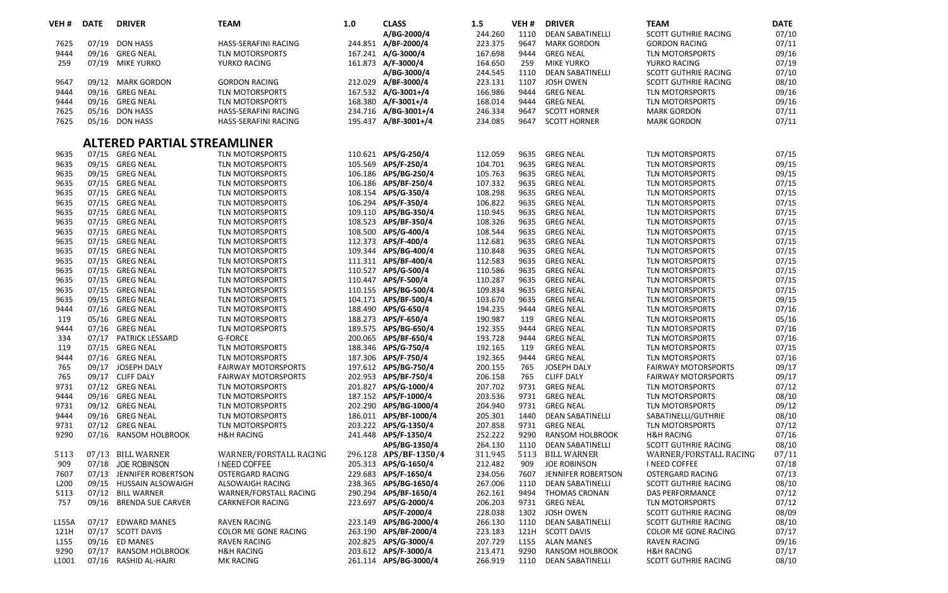| A/BG-2000/4<br>244.260<br>07/10<br>1110<br><b>DEAN SABATINELLI</b><br><b>SCOTT GUTHRIE RACING</b><br>07/19<br><b>DON HASS</b><br>HASS-SERAFINI RACING<br>244.851 A/BF-2000/4<br>223.375<br>9647<br><b>MARK GORDON</b><br><b>GORDON RACING</b><br>07/11<br>7625<br>9444<br>TLN MOTORSPORTS<br>167.241 A/G-3000/4<br>167.698<br>9444<br>09/16<br>09/16 GREG NEAL<br><b>GREG NEAL</b><br><b>TLN MOTORSPORTS</b><br>161.873 A/F-3000/4<br>07/19<br>259<br>07/19<br><b>MIKE YURKO</b><br>YURKO RACING<br>164.650<br>259<br><b>MIKE YURKO</b><br>YURKO RACING<br>A/BG-3000/4<br>244.545<br>07/10<br>1110<br><b>DEAN SABATINELLI</b><br>SCOTT GUTHRIE RACING<br>212.029 A/BF-3000/4<br>08/10<br>9647<br>09/12 MARK GORDON<br><b>GORDON RACING</b><br>223.131<br>1107<br><b>JOSH OWEN</b><br><b>SCOTT GUTHRIE RACING</b><br>09/16<br>9444<br>09/16<br><b>GREG NEAL</b><br>TLN MOTORSPORTS<br>167.532 A/G-3001+/4<br>166.986<br>9444<br><b>GREG NEAL</b><br>TLN MOTORSPORTS<br>168.380 A/F-3001+/4<br>09/16<br>9444<br>09/16<br><b>GREG NEAL</b><br><b>TLN MOTORSPORTS</b><br>168.014<br>9444<br><b>GREG NEAL</b><br><b>TLN MOTORSPORTS</b><br>07/11<br>7625<br>05/16<br><b>DON HASS</b><br>234.716 A/BG-3001+/4<br>246.334<br><b>SCOTT HORNER</b><br><b>HASS-SERAFINI RACING</b><br>9647<br><b>MARK GORDON</b><br>7625<br>05/16 DON HASS<br>195.437 A/BF-3001+/4<br>234.085<br>9647<br><b>SCOTT HORNER</b><br>07/11<br>HASS-SERAFINI RACING<br><b>MARK GORDON</b><br>ALTERED PARTIAL STREAMLINER<br>07/15 GREG NEAL<br>07/15<br>9635<br><b>TLN MOTORSPORTS</b><br>110.621 APS/G-250/4<br>112.059<br>9635<br><b>GREG NEAL</b><br><b>TLN MOTORSPORTS</b><br>09/15<br>9635<br>09/15 GREG NEAL<br><b>TLN MOTORSPORTS</b><br>105.569 APS/F-250/4<br>104.701<br>9635<br><b>GREG NEAL</b><br><b>TLN MOTORSPORTS</b><br>9635<br>09/15 GREG NEAL<br>TLN MOTORSPORTS<br>106.186 APS/BG-250/4<br>105.763<br>09/15<br>9635<br><b>GREG NEAL</b><br>TLN MOTORSPORTS<br>9635<br>07/15 GREG NEAL<br>TLN MOTORSPORTS<br>106.186 APS/BF-250/4<br>107.332<br>9635<br><b>GREG NEAL</b><br><b>TLN MOTORSPORTS</b><br>07/15<br>07/15<br>9635<br>07/15 GREG NEAL<br>TLN MOTORSPORTS<br>108.154 APS/G-350/4<br>108.298<br>9635<br><b>GREG NEAL</b><br><b>TLN MOTORSPORTS</b><br>9635<br>07/15 GREG NEAL<br>106.294 APS/F-350/4<br>106.822<br>07/15<br>TLN MOTORSPORTS<br>9635<br><b>GREG NEAL</b><br><b>TLN MOTORSPORTS</b><br>9635<br>07/15 GREG NEAL<br>109.110 APS/BG-350/4<br>110.945<br>9635<br>07/15<br><b>TLN MOTORSPORTS</b><br><b>GREG NEAL</b><br><b>TLN MOTORSPORTS</b><br>9635<br>108.523 APS/BF-350/4<br>108.326<br>07/15<br>07/15 GREG NEAL<br>TLN MOTORSPORTS<br>9635<br><b>GREG NEAL</b><br>TLN MOTORSPORTS<br>9635<br>108.500 APS/G-400/4<br>07/15<br>07/15 GREG NEAL<br><b>TLN MOTORSPORTS</b><br>108.544<br>9635<br><b>GREG NEAL</b><br><b>TLN MOTORSPORTS</b><br>9635<br>07/15 GREG NEAL<br>112.373 APS/F-400/4<br>07/15<br>TLN MOTORSPORTS<br>112.681<br>9635<br><b>GREG NEAL</b><br>TLN MOTORSPORTS<br>109.344 APS/BG-400/4<br>07/15<br>9635<br>07/15 GREG NEAL<br><b>TLN MOTORSPORTS</b><br>110.848<br>9635<br><b>GREG NEAL</b><br><b>TLN MOTORSPORTS</b><br>9635<br>07/15 GREG NEAL<br>111.311 APS/BF-400/4<br>112.583<br>9635<br><b>GREG NEAL</b><br>07/15<br>TLN MOTORSPORTS<br><b>TLN MOTORSPORTS</b><br>9635<br>07/15 GREG NEAL<br>110.527 APS/G-500/4<br>110.586<br>07/15<br>TLN MOTORSPORTS<br>9635<br><b>GREG NEAL</b><br><b>TLN MOTORSPORTS</b><br>APS/F-500/4<br>07/15<br>9635<br>07/15 GREG NEAL<br><b>TLN MOTORSPORTS</b><br>110.447<br>110.287<br>9635<br><b>GREG NEAL</b><br><b>TLN MOTORSPORTS</b><br>9635<br>110.155 APS/BG-500/4<br>109.834<br>9635<br>07/15<br>07/15<br>GREG NEAL<br><b>TLN MOTORSPORTS</b><br><b>GREG NEAL</b><br><b>TLN MOTORSPORTS</b><br>9635<br>09/15 GREG NEAL<br>104.171 APS/BF-500/4<br>103.670<br>09/15<br>TLN MOTORSPORTS<br>9635<br><b>GREG NEAL</b><br>TLN MOTORSPORTS<br>188.490 APS/G-650/4<br>07/16<br>9444<br>07/16 GREG NEAL<br><b>TLN MOTORSPORTS</b><br>194.235<br>9444<br><b>GREG NEAL</b><br><b>TLN MOTORSPORTS</b><br>119<br>188.273 APS/F-650/4<br>190.987<br>05/16<br>05/16<br><b>GREG NEAL</b><br>TLN MOTORSPORTS<br>119<br><b>GREG NEAL</b><br><b>TLN MOTORSPORTS</b><br>9444<br>189.575 APS/BG-650/4<br>07/16<br>07/16 GREG NEAL<br><b>TLN MOTORSPORTS</b><br>192.355<br>9444<br><b>GREG NEAL</b><br><b>TLN MOTORSPORTS</b><br>334<br>07/17<br><b>PATRICK LESSARD</b><br><b>G-FORCE</b><br>200.065 APS/BF-650/4<br>193.728<br>9444<br><b>GREG NEAL</b><br>07/16<br>TLN MOTORSPORTS<br>119<br>188.346 APS/G-750/4<br>07/15<br>07/15 GREG NEAL<br>TLN MOTORSPORTS<br>192.165<br>119<br><b>GREG NEAL</b><br><b>TLN MOTORSPORTS</b><br>187.306 APS/F-750/4<br>192.365<br>07/16<br>9444<br>07/16 GREG NEAL<br><b>TLN MOTORSPORTS</b><br>9444<br><b>GREG NEAL</b><br><b>TLN MOTORSPORTS</b><br>765<br>JOSEPH DALY<br>197.612 APS/BG-750/4<br>200.155<br>765<br>09/17<br>09/17<br><b>FAIRWAY MOTORSPORTS</b><br>JOSEPH DALY<br><b>FAIRWAY MOTORSPORTS</b><br>765<br>202.953 APS/BF-750/4<br>09/17<br>09/17 CLIFF DALY<br><b>FAIRWAY MOTORSPORTS</b><br>206.158<br>765<br><b>CLIFF DALY</b><br><b>FAIRWAY MOTORSPORTS</b><br>9731<br>201.827 APS/G-1000/4<br>207.702<br>07/12<br>07/12 GREG NEAL<br>TLN MOTORSPORTS<br>9731<br><b>GREG NEAL</b><br><b>TLN MOTORSPORTS</b><br>9444<br>187.152 APS/F-1000/4<br>08/10<br>09/16<br><b>GREG NEAL</b><br>TLN MOTORSPORTS<br>203.536<br>9731<br><b>GREG NEAL</b><br>TLN MOTORSPORTS<br>9731<br>09/12<br>09/12 GREG NEAL<br>TLN MOTORSPORTS<br>202.290<br>APS/BG-1000/4<br>204.940<br>9731<br><b>GREG NEAL</b><br>TLN MOTORSPORTS<br>08/10<br>9444<br>09/16 GREG NEAL<br>TLN MOTORSPORTS<br>186.011 APS/BF-1000/4<br>205.301<br>1440<br><b>DEAN SABATINELLI</b><br>SABATINELLI/GUTHRIE<br>9731<br>203.222 APS/G-1350/4<br>9731<br>07/12<br>07/12<br><b>GREG NEAL</b><br>207.858<br><b>GREG NEAL</b><br><b>TLN MOTORSPORTS</b><br>TLN MOTORSPORTS<br>9290<br>252.222<br>07/16<br>241.448<br>APS/F-1350/4<br>9290<br><b>RANSOM HOLBROOK</b><br><b>H&amp;H RACING</b><br>07/16<br>RANSOM HOLBROOK<br><b>H&amp;H RACING</b><br>APS/BG-1350/4<br>264.130<br><b>DEAN SABATINELLI</b><br>08/10<br>1110<br>SCOTT GUTHRIE RACING<br>296.128 APS/BF-1350/4<br>311.945<br>5113<br>07/11<br>5113<br>07/13 BILL WARNER<br>WARNER/FORSTALL RACING<br><b>BILL WARNER</b><br>WARNER/FORSTALL RACING<br>07/18<br>909<br><b>JOE ROBINSON</b><br>I NEED COFFEE<br>205.313 APS/G-1650/4<br>212.482<br>909<br><b>JOE ROBINSON</b><br><b>I NEED COFFEE</b><br>07/18<br>229.683 APS/F-1650/4<br>07/13<br>7607<br>07/13<br>JENNIFER ROBERTSON<br><b>OSTERGARD RACING</b><br>234.056<br>7607<br>JENNIFER ROBERTSON<br><b>OSTERGARD RACING</b><br>238.365 APS/BG-1650/4<br>08/10<br>L200<br>09/15<br>HUSSAIN ALSOWAIGH<br>ALSOWAIGH RACING<br>267.006<br>1110<br><b>DEAN SABATINELL</b><br>SCOTT GUTHRIE RACING<br>07/12<br>5113<br>07/12<br><b>BILL WARNER</b><br>290.294<br>APS/BF-1650/4<br>262.161<br>WARNER/FORSTALL RACING<br>9494<br><b>THOMAS CRONAN</b><br><b>DAS PERFORMANCE</b><br>757<br>223.697 APS/G-2000/4<br>07/12<br>09/16<br><b>BRENDA SUE CARVER</b><br><b>CARKNEFOR RACING</b><br>206.203<br>9731<br><b>GREG NEAL</b><br><b>TLN MOTORSPORTS</b><br>APS/F-2000/4<br>228.038<br>1302<br><b>JOSH OWEN</b><br>08/09<br>SCOTT GUTHRIE RACING<br>223.149 APS/BG-2000/4<br>08/10<br>L155A<br>07/17<br><b>EDWARD MANES</b><br><b>RAVEN RACING</b><br>266.130<br>1110<br><b>DEAN SABATINELLI</b><br>SCOTT GUTHRIE RACING<br>07/17<br>121H<br>APS/BF-2000/4<br>223.183<br>121H<br>07/17 SCOTT DAVIS<br>COLOR ME GONE RACING<br>263.190<br><b>SCOTT DAVIS</b><br>COLOR ME GONE RACING<br>202.825 APS/G-3000/4<br>207.729<br>09/16<br>L <sub>155</sub><br>09/16<br><b>ED MANES</b><br><b>RAVEN RACING</b><br>L <sub>155</sub><br><b>ALAN MANES</b><br><b>RAVEN RACING</b><br>9290<br>203.612 APS/F-3000/4<br>07/17<br>07/17<br><b>RANSOM HOLBROOK</b><br><b>H&amp;H RACING</b><br>213.471<br>9290<br><b>RANSOM HOLBROOK</b><br><b>H&amp;H RACING</b><br>08/10<br>L1001<br>07/16<br>261.114 APS/BG-3000/4<br>266.919<br>1110<br>RASHID AL-HAJRI<br><b>MK RACING</b><br><b>DEAN SABATINELLI</b><br>SCOTT GUTHRIE RACING | VEH <sub>#</sub> | <b>DATE</b> | <b>DRIVER</b> | <b>TEAM</b> | 1.0 | <b>CLASS</b> | 1.5 | VEH# | <b>DRIVER</b> | <b>TEAM</b> | <b>DATE</b> |
|-----------------------------------------------------------------------------------------------------------------------------------------------------------------------------------------------------------------------------------------------------------------------------------------------------------------------------------------------------------------------------------------------------------------------------------------------------------------------------------------------------------------------------------------------------------------------------------------------------------------------------------------------------------------------------------------------------------------------------------------------------------------------------------------------------------------------------------------------------------------------------------------------------------------------------------------------------------------------------------------------------------------------------------------------------------------------------------------------------------------------------------------------------------------------------------------------------------------------------------------------------------------------------------------------------------------------------------------------------------------------------------------------------------------------------------------------------------------------------------------------------------------------------------------------------------------------------------------------------------------------------------------------------------------------------------------------------------------------------------------------------------------------------------------------------------------------------------------------------------------------------------------------------------------------------------------------------------------------------------------------------------------------------------------------------------------------------------------------------------------------------------------------------------------------------------------------------------------------------------------------------------------------------------------------------------------------------------------------------------------------------------------------------------------------------------------------------------------------------------------------------------------------------------------------------------------------------------------------------------------------------------------------------------------------------------------------------------------------------------------------------------------------------------------------------------------------------------------------------------------------------------------------------------------------------------------------------------------------------------------------------------------------------------------------------------------------------------------------------------------------------------------------------------------------------------------------------------------------------------------------------------------------------------------------------------------------------------------------------------------------------------------------------------------------------------------------------------------------------------------------------------------------------------------------------------------------------------------------------------------------------------------------------------------------------------------------------------------------------------------------------------------------------------------------------------------------------------------------------------------------------------------------------------------------------------------------------------------------------------------------------------------------------------------------------------------------------------------------------------------------------------------------------------------------------------------------------------------------------------------------------------------------------------------------------------------------------------------------------------------------------------------------------------------------------------------------------------------------------------------------------------------------------------------------------------------------------------------------------------------------------------------------------------------------------------------------------------------------------------------------------------------------------------------------------------------------------------------------------------------------------------------------------------------------------------------------------------------------------------------------------------------------------------------------------------------------------------------------------------------------------------------------------------------------------------------------------------------------------------------------------------------------------------------------------------------------------------------------------------------------------------------------------------------------------------------------------------------------------------------------------------------------------------------------------------------------------------------------------------------------------------------------------------------------------------------------------------------------------------------------------------------------------------------------------------------------------------------------------------------------------------------------------------------------------------------------------------------------------------------------------------------------------------------------------------------------------------------------------------------------------------------------------------------------------------------------------------------------------------------------------------------------------------------------------------------------------------------------------------------------------------------------------------------------------------------------------------------------------------------------------------------------------------------------------------------------------------------------------------------------------------------------------------------------------------------------------------------------------------------------------------------------------------------------------------------------------------------------------------------------------------------------------------------------------------------------------------------------------------------------------------------------------------------------------------------------------------------------------------------------------------------------------------------------------------------------------------------------------------------------------------------------------------------------------------------------------------------------------------------------------------------------------------------------------------------------------------------------------------------------------------------------------------------------------------------------------------------------------------------------------------------------------------------------------------------------------------------------------------------------------------------------------------------------------------------------------------------------------------------------------------------------------------------------------------------------------------------------------------------------------------------------------------------------------------------------------------------------------------------------------------------------------------------------------------------|------------------|-------------|---------------|-------------|-----|--------------|-----|------|---------------|-------------|-------------|
|                                                                                                                                                                                                                                                                                                                                                                                                                                                                                                                                                                                                                                                                                                                                                                                                                                                                                                                                                                                                                                                                                                                                                                                                                                                                                                                                                                                                                                                                                                                                                                                                                                                                                                                                                                                                                                                                                                                                                                                                                                                                                                                                                                                                                                                                                                                                                                                                                                                                                                                                                                                                                                                                                                                                                                                                                                                                                                                                                                                                                                                                                                                                                                                                                                                                                                                                                                                                                                                                                                                                                                                                                                                                                                                                                                                                                                                                                                                                                                                                                                                                                                                                                                                                                                                                                                                                                                                                                                                                                                                                                                                                                                                                                                                                                                                                                                                                                                                                                                                                                                                                                                                                                                                                                                                                                                                                                                                                                                                                                                                                                                                                                                                                                                                                                                                                                                                                                                                                                                                                                                                                                                                                                                                                                                                                                                                                                                                                                                                                                                                                                                                                                                                                                                                                                                                                                                                                                                                                                                                                                                                                                                                                                                                                                                                                                                                                                                                                                                                                                                                                                                                                                                                                                                                                                                                                                                                                                                                                                                                                                                                                                                                                                                                         |                  |             |               |             |     |              |     |      |               |             |             |
|                                                                                                                                                                                                                                                                                                                                                                                                                                                                                                                                                                                                                                                                                                                                                                                                                                                                                                                                                                                                                                                                                                                                                                                                                                                                                                                                                                                                                                                                                                                                                                                                                                                                                                                                                                                                                                                                                                                                                                                                                                                                                                                                                                                                                                                                                                                                                                                                                                                                                                                                                                                                                                                                                                                                                                                                                                                                                                                                                                                                                                                                                                                                                                                                                                                                                                                                                                                                                                                                                                                                                                                                                                                                                                                                                                                                                                                                                                                                                                                                                                                                                                                                                                                                                                                                                                                                                                                                                                                                                                                                                                                                                                                                                                                                                                                                                                                                                                                                                                                                                                                                                                                                                                                                                                                                                                                                                                                                                                                                                                                                                                                                                                                                                                                                                                                                                                                                                                                                                                                                                                                                                                                                                                                                                                                                                                                                                                                                                                                                                                                                                                                                                                                                                                                                                                                                                                                                                                                                                                                                                                                                                                                                                                                                                                                                                                                                                                                                                                                                                                                                                                                                                                                                                                                                                                                                                                                                                                                                                                                                                                                                                                                                                                                         |                  |             |               |             |     |              |     |      |               |             |             |
|                                                                                                                                                                                                                                                                                                                                                                                                                                                                                                                                                                                                                                                                                                                                                                                                                                                                                                                                                                                                                                                                                                                                                                                                                                                                                                                                                                                                                                                                                                                                                                                                                                                                                                                                                                                                                                                                                                                                                                                                                                                                                                                                                                                                                                                                                                                                                                                                                                                                                                                                                                                                                                                                                                                                                                                                                                                                                                                                                                                                                                                                                                                                                                                                                                                                                                                                                                                                                                                                                                                                                                                                                                                                                                                                                                                                                                                                                                                                                                                                                                                                                                                                                                                                                                                                                                                                                                                                                                                                                                                                                                                                                                                                                                                                                                                                                                                                                                                                                                                                                                                                                                                                                                                                                                                                                                                                                                                                                                                                                                                                                                                                                                                                                                                                                                                                                                                                                                                                                                                                                                                                                                                                                                                                                                                                                                                                                                                                                                                                                                                                                                                                                                                                                                                                                                                                                                                                                                                                                                                                                                                                                                                                                                                                                                                                                                                                                                                                                                                                                                                                                                                                                                                                                                                                                                                                                                                                                                                                                                                                                                                                                                                                                                                         |                  |             |               |             |     |              |     |      |               |             |             |
|                                                                                                                                                                                                                                                                                                                                                                                                                                                                                                                                                                                                                                                                                                                                                                                                                                                                                                                                                                                                                                                                                                                                                                                                                                                                                                                                                                                                                                                                                                                                                                                                                                                                                                                                                                                                                                                                                                                                                                                                                                                                                                                                                                                                                                                                                                                                                                                                                                                                                                                                                                                                                                                                                                                                                                                                                                                                                                                                                                                                                                                                                                                                                                                                                                                                                                                                                                                                                                                                                                                                                                                                                                                                                                                                                                                                                                                                                                                                                                                                                                                                                                                                                                                                                                                                                                                                                                                                                                                                                                                                                                                                                                                                                                                                                                                                                                                                                                                                                                                                                                                                                                                                                                                                                                                                                                                                                                                                                                                                                                                                                                                                                                                                                                                                                                                                                                                                                                                                                                                                                                                                                                                                                                                                                                                                                                                                                                                                                                                                                                                                                                                                                                                                                                                                                                                                                                                                                                                                                                                                                                                                                                                                                                                                                                                                                                                                                                                                                                                                                                                                                                                                                                                                                                                                                                                                                                                                                                                                                                                                                                                                                                                                                                                         |                  |             |               |             |     |              |     |      |               |             |             |
|                                                                                                                                                                                                                                                                                                                                                                                                                                                                                                                                                                                                                                                                                                                                                                                                                                                                                                                                                                                                                                                                                                                                                                                                                                                                                                                                                                                                                                                                                                                                                                                                                                                                                                                                                                                                                                                                                                                                                                                                                                                                                                                                                                                                                                                                                                                                                                                                                                                                                                                                                                                                                                                                                                                                                                                                                                                                                                                                                                                                                                                                                                                                                                                                                                                                                                                                                                                                                                                                                                                                                                                                                                                                                                                                                                                                                                                                                                                                                                                                                                                                                                                                                                                                                                                                                                                                                                                                                                                                                                                                                                                                                                                                                                                                                                                                                                                                                                                                                                                                                                                                                                                                                                                                                                                                                                                                                                                                                                                                                                                                                                                                                                                                                                                                                                                                                                                                                                                                                                                                                                                                                                                                                                                                                                                                                                                                                                                                                                                                                                                                                                                                                                                                                                                                                                                                                                                                                                                                                                                                                                                                                                                                                                                                                                                                                                                                                                                                                                                                                                                                                                                                                                                                                                                                                                                                                                                                                                                                                                                                                                                                                                                                                                                         |                  |             |               |             |     |              |     |      |               |             |             |
|                                                                                                                                                                                                                                                                                                                                                                                                                                                                                                                                                                                                                                                                                                                                                                                                                                                                                                                                                                                                                                                                                                                                                                                                                                                                                                                                                                                                                                                                                                                                                                                                                                                                                                                                                                                                                                                                                                                                                                                                                                                                                                                                                                                                                                                                                                                                                                                                                                                                                                                                                                                                                                                                                                                                                                                                                                                                                                                                                                                                                                                                                                                                                                                                                                                                                                                                                                                                                                                                                                                                                                                                                                                                                                                                                                                                                                                                                                                                                                                                                                                                                                                                                                                                                                                                                                                                                                                                                                                                                                                                                                                                                                                                                                                                                                                                                                                                                                                                                                                                                                                                                                                                                                                                                                                                                                                                                                                                                                                                                                                                                                                                                                                                                                                                                                                                                                                                                                                                                                                                                                                                                                                                                                                                                                                                                                                                                                                                                                                                                                                                                                                                                                                                                                                                                                                                                                                                                                                                                                                                                                                                                                                                                                                                                                                                                                                                                                                                                                                                                                                                                                                                                                                                                                                                                                                                                                                                                                                                                                                                                                                                                                                                                                                         |                  |             |               |             |     |              |     |      |               |             |             |
|                                                                                                                                                                                                                                                                                                                                                                                                                                                                                                                                                                                                                                                                                                                                                                                                                                                                                                                                                                                                                                                                                                                                                                                                                                                                                                                                                                                                                                                                                                                                                                                                                                                                                                                                                                                                                                                                                                                                                                                                                                                                                                                                                                                                                                                                                                                                                                                                                                                                                                                                                                                                                                                                                                                                                                                                                                                                                                                                                                                                                                                                                                                                                                                                                                                                                                                                                                                                                                                                                                                                                                                                                                                                                                                                                                                                                                                                                                                                                                                                                                                                                                                                                                                                                                                                                                                                                                                                                                                                                                                                                                                                                                                                                                                                                                                                                                                                                                                                                                                                                                                                                                                                                                                                                                                                                                                                                                                                                                                                                                                                                                                                                                                                                                                                                                                                                                                                                                                                                                                                                                                                                                                                                                                                                                                                                                                                                                                                                                                                                                                                                                                                                                                                                                                                                                                                                                                                                                                                                                                                                                                                                                                                                                                                                                                                                                                                                                                                                                                                                                                                                                                                                                                                                                                                                                                                                                                                                                                                                                                                                                                                                                                                                                                         |                  |             |               |             |     |              |     |      |               |             |             |
|                                                                                                                                                                                                                                                                                                                                                                                                                                                                                                                                                                                                                                                                                                                                                                                                                                                                                                                                                                                                                                                                                                                                                                                                                                                                                                                                                                                                                                                                                                                                                                                                                                                                                                                                                                                                                                                                                                                                                                                                                                                                                                                                                                                                                                                                                                                                                                                                                                                                                                                                                                                                                                                                                                                                                                                                                                                                                                                                                                                                                                                                                                                                                                                                                                                                                                                                                                                                                                                                                                                                                                                                                                                                                                                                                                                                                                                                                                                                                                                                                                                                                                                                                                                                                                                                                                                                                                                                                                                                                                                                                                                                                                                                                                                                                                                                                                                                                                                                                                                                                                                                                                                                                                                                                                                                                                                                                                                                                                                                                                                                                                                                                                                                                                                                                                                                                                                                                                                                                                                                                                                                                                                                                                                                                                                                                                                                                                                                                                                                                                                                                                                                                                                                                                                                                                                                                                                                                                                                                                                                                                                                                                                                                                                                                                                                                                                                                                                                                                                                                                                                                                                                                                                                                                                                                                                                                                                                                                                                                                                                                                                                                                                                                                                         |                  |             |               |             |     |              |     |      |               |             |             |
|                                                                                                                                                                                                                                                                                                                                                                                                                                                                                                                                                                                                                                                                                                                                                                                                                                                                                                                                                                                                                                                                                                                                                                                                                                                                                                                                                                                                                                                                                                                                                                                                                                                                                                                                                                                                                                                                                                                                                                                                                                                                                                                                                                                                                                                                                                                                                                                                                                                                                                                                                                                                                                                                                                                                                                                                                                                                                                                                                                                                                                                                                                                                                                                                                                                                                                                                                                                                                                                                                                                                                                                                                                                                                                                                                                                                                                                                                                                                                                                                                                                                                                                                                                                                                                                                                                                                                                                                                                                                                                                                                                                                                                                                                                                                                                                                                                                                                                                                                                                                                                                                                                                                                                                                                                                                                                                                                                                                                                                                                                                                                                                                                                                                                                                                                                                                                                                                                                                                                                                                                                                                                                                                                                                                                                                                                                                                                                                                                                                                                                                                                                                                                                                                                                                                                                                                                                                                                                                                                                                                                                                                                                                                                                                                                                                                                                                                                                                                                                                                                                                                                                                                                                                                                                                                                                                                                                                                                                                                                                                                                                                                                                                                                                                         |                  |             |               |             |     |              |     |      |               |             |             |
|                                                                                                                                                                                                                                                                                                                                                                                                                                                                                                                                                                                                                                                                                                                                                                                                                                                                                                                                                                                                                                                                                                                                                                                                                                                                                                                                                                                                                                                                                                                                                                                                                                                                                                                                                                                                                                                                                                                                                                                                                                                                                                                                                                                                                                                                                                                                                                                                                                                                                                                                                                                                                                                                                                                                                                                                                                                                                                                                                                                                                                                                                                                                                                                                                                                                                                                                                                                                                                                                                                                                                                                                                                                                                                                                                                                                                                                                                                                                                                                                                                                                                                                                                                                                                                                                                                                                                                                                                                                                                                                                                                                                                                                                                                                                                                                                                                                                                                                                                                                                                                                                                                                                                                                                                                                                                                                                                                                                                                                                                                                                                                                                                                                                                                                                                                                                                                                                                                                                                                                                                                                                                                                                                                                                                                                                                                                                                                                                                                                                                                                                                                                                                                                                                                                                                                                                                                                                                                                                                                                                                                                                                                                                                                                                                                                                                                                                                                                                                                                                                                                                                                                                                                                                                                                                                                                                                                                                                                                                                                                                                                                                                                                                                                                         |                  |             |               |             |     |              |     |      |               |             |             |
|                                                                                                                                                                                                                                                                                                                                                                                                                                                                                                                                                                                                                                                                                                                                                                                                                                                                                                                                                                                                                                                                                                                                                                                                                                                                                                                                                                                                                                                                                                                                                                                                                                                                                                                                                                                                                                                                                                                                                                                                                                                                                                                                                                                                                                                                                                                                                                                                                                                                                                                                                                                                                                                                                                                                                                                                                                                                                                                                                                                                                                                                                                                                                                                                                                                                                                                                                                                                                                                                                                                                                                                                                                                                                                                                                                                                                                                                                                                                                                                                                                                                                                                                                                                                                                                                                                                                                                                                                                                                                                                                                                                                                                                                                                                                                                                                                                                                                                                                                                                                                                                                                                                                                                                                                                                                                                                                                                                                                                                                                                                                                                                                                                                                                                                                                                                                                                                                                                                                                                                                                                                                                                                                                                                                                                                                                                                                                                                                                                                                                                                                                                                                                                                                                                                                                                                                                                                                                                                                                                                                                                                                                                                                                                                                                                                                                                                                                                                                                                                                                                                                                                                                                                                                                                                                                                                                                                                                                                                                                                                                                                                                                                                                                                                         |                  |             |               |             |     |              |     |      |               |             |             |
|                                                                                                                                                                                                                                                                                                                                                                                                                                                                                                                                                                                                                                                                                                                                                                                                                                                                                                                                                                                                                                                                                                                                                                                                                                                                                                                                                                                                                                                                                                                                                                                                                                                                                                                                                                                                                                                                                                                                                                                                                                                                                                                                                                                                                                                                                                                                                                                                                                                                                                                                                                                                                                                                                                                                                                                                                                                                                                                                                                                                                                                                                                                                                                                                                                                                                                                                                                                                                                                                                                                                                                                                                                                                                                                                                                                                                                                                                                                                                                                                                                                                                                                                                                                                                                                                                                                                                                                                                                                                                                                                                                                                                                                                                                                                                                                                                                                                                                                                                                                                                                                                                                                                                                                                                                                                                                                                                                                                                                                                                                                                                                                                                                                                                                                                                                                                                                                                                                                                                                                                                                                                                                                                                                                                                                                                                                                                                                                                                                                                                                                                                                                                                                                                                                                                                                                                                                                                                                                                                                                                                                                                                                                                                                                                                                                                                                                                                                                                                                                                                                                                                                                                                                                                                                                                                                                                                                                                                                                                                                                                                                                                                                                                                                                         |                  |             |               |             |     |              |     |      |               |             |             |
|                                                                                                                                                                                                                                                                                                                                                                                                                                                                                                                                                                                                                                                                                                                                                                                                                                                                                                                                                                                                                                                                                                                                                                                                                                                                                                                                                                                                                                                                                                                                                                                                                                                                                                                                                                                                                                                                                                                                                                                                                                                                                                                                                                                                                                                                                                                                                                                                                                                                                                                                                                                                                                                                                                                                                                                                                                                                                                                                                                                                                                                                                                                                                                                                                                                                                                                                                                                                                                                                                                                                                                                                                                                                                                                                                                                                                                                                                                                                                                                                                                                                                                                                                                                                                                                                                                                                                                                                                                                                                                                                                                                                                                                                                                                                                                                                                                                                                                                                                                                                                                                                                                                                                                                                                                                                                                                                                                                                                                                                                                                                                                                                                                                                                                                                                                                                                                                                                                                                                                                                                                                                                                                                                                                                                                                                                                                                                                                                                                                                                                                                                                                                                                                                                                                                                                                                                                                                                                                                                                                                                                                                                                                                                                                                                                                                                                                                                                                                                                                                                                                                                                                                                                                                                                                                                                                                                                                                                                                                                                                                                                                                                                                                                                                         |                  |             |               |             |     |              |     |      |               |             |             |
|                                                                                                                                                                                                                                                                                                                                                                                                                                                                                                                                                                                                                                                                                                                                                                                                                                                                                                                                                                                                                                                                                                                                                                                                                                                                                                                                                                                                                                                                                                                                                                                                                                                                                                                                                                                                                                                                                                                                                                                                                                                                                                                                                                                                                                                                                                                                                                                                                                                                                                                                                                                                                                                                                                                                                                                                                                                                                                                                                                                                                                                                                                                                                                                                                                                                                                                                                                                                                                                                                                                                                                                                                                                                                                                                                                                                                                                                                                                                                                                                                                                                                                                                                                                                                                                                                                                                                                                                                                                                                                                                                                                                                                                                                                                                                                                                                                                                                                                                                                                                                                                                                                                                                                                                                                                                                                                                                                                                                                                                                                                                                                                                                                                                                                                                                                                                                                                                                                                                                                                                                                                                                                                                                                                                                                                                                                                                                                                                                                                                                                                                                                                                                                                                                                                                                                                                                                                                                                                                                                                                                                                                                                                                                                                                                                                                                                                                                                                                                                                                                                                                                                                                                                                                                                                                                                                                                                                                                                                                                                                                                                                                                                                                                                                         |                  |             |               |             |     |              |     |      |               |             |             |
|                                                                                                                                                                                                                                                                                                                                                                                                                                                                                                                                                                                                                                                                                                                                                                                                                                                                                                                                                                                                                                                                                                                                                                                                                                                                                                                                                                                                                                                                                                                                                                                                                                                                                                                                                                                                                                                                                                                                                                                                                                                                                                                                                                                                                                                                                                                                                                                                                                                                                                                                                                                                                                                                                                                                                                                                                                                                                                                                                                                                                                                                                                                                                                                                                                                                                                                                                                                                                                                                                                                                                                                                                                                                                                                                                                                                                                                                                                                                                                                                                                                                                                                                                                                                                                                                                                                                                                                                                                                                                                                                                                                                                                                                                                                                                                                                                                                                                                                                                                                                                                                                                                                                                                                                                                                                                                                                                                                                                                                                                                                                                                                                                                                                                                                                                                                                                                                                                                                                                                                                                                                                                                                                                                                                                                                                                                                                                                                                                                                                                                                                                                                                                                                                                                                                                                                                                                                                                                                                                                                                                                                                                                                                                                                                                                                                                                                                                                                                                                                                                                                                                                                                                                                                                                                                                                                                                                                                                                                                                                                                                                                                                                                                                                                         |                  |             |               |             |     |              |     |      |               |             |             |
|                                                                                                                                                                                                                                                                                                                                                                                                                                                                                                                                                                                                                                                                                                                                                                                                                                                                                                                                                                                                                                                                                                                                                                                                                                                                                                                                                                                                                                                                                                                                                                                                                                                                                                                                                                                                                                                                                                                                                                                                                                                                                                                                                                                                                                                                                                                                                                                                                                                                                                                                                                                                                                                                                                                                                                                                                                                                                                                                                                                                                                                                                                                                                                                                                                                                                                                                                                                                                                                                                                                                                                                                                                                                                                                                                                                                                                                                                                                                                                                                                                                                                                                                                                                                                                                                                                                                                                                                                                                                                                                                                                                                                                                                                                                                                                                                                                                                                                                                                                                                                                                                                                                                                                                                                                                                                                                                                                                                                                                                                                                                                                                                                                                                                                                                                                                                                                                                                                                                                                                                                                                                                                                                                                                                                                                                                                                                                                                                                                                                                                                                                                                                                                                                                                                                                                                                                                                                                                                                                                                                                                                                                                                                                                                                                                                                                                                                                                                                                                                                                                                                                                                                                                                                                                                                                                                                                                                                                                                                                                                                                                                                                                                                                                                         |                  |             |               |             |     |              |     |      |               |             |             |
|                                                                                                                                                                                                                                                                                                                                                                                                                                                                                                                                                                                                                                                                                                                                                                                                                                                                                                                                                                                                                                                                                                                                                                                                                                                                                                                                                                                                                                                                                                                                                                                                                                                                                                                                                                                                                                                                                                                                                                                                                                                                                                                                                                                                                                                                                                                                                                                                                                                                                                                                                                                                                                                                                                                                                                                                                                                                                                                                                                                                                                                                                                                                                                                                                                                                                                                                                                                                                                                                                                                                                                                                                                                                                                                                                                                                                                                                                                                                                                                                                                                                                                                                                                                                                                                                                                                                                                                                                                                                                                                                                                                                                                                                                                                                                                                                                                                                                                                                                                                                                                                                                                                                                                                                                                                                                                                                                                                                                                                                                                                                                                                                                                                                                                                                                                                                                                                                                                                                                                                                                                                                                                                                                                                                                                                                                                                                                                                                                                                                                                                                                                                                                                                                                                                                                                                                                                                                                                                                                                                                                                                                                                                                                                                                                                                                                                                                                                                                                                                                                                                                                                                                                                                                                                                                                                                                                                                                                                                                                                                                                                                                                                                                                                                         |                  |             |               |             |     |              |     |      |               |             |             |
|                                                                                                                                                                                                                                                                                                                                                                                                                                                                                                                                                                                                                                                                                                                                                                                                                                                                                                                                                                                                                                                                                                                                                                                                                                                                                                                                                                                                                                                                                                                                                                                                                                                                                                                                                                                                                                                                                                                                                                                                                                                                                                                                                                                                                                                                                                                                                                                                                                                                                                                                                                                                                                                                                                                                                                                                                                                                                                                                                                                                                                                                                                                                                                                                                                                                                                                                                                                                                                                                                                                                                                                                                                                                                                                                                                                                                                                                                                                                                                                                                                                                                                                                                                                                                                                                                                                                                                                                                                                                                                                                                                                                                                                                                                                                                                                                                                                                                                                                                                                                                                                                                                                                                                                                                                                                                                                                                                                                                                                                                                                                                                                                                                                                                                                                                                                                                                                                                                                                                                                                                                                                                                                                                                                                                                                                                                                                                                                                                                                                                                                                                                                                                                                                                                                                                                                                                                                                                                                                                                                                                                                                                                                                                                                                                                                                                                                                                                                                                                                                                                                                                                                                                                                                                                                                                                                                                                                                                                                                                                                                                                                                                                                                                                                         |                  |             |               |             |     |              |     |      |               |             |             |
|                                                                                                                                                                                                                                                                                                                                                                                                                                                                                                                                                                                                                                                                                                                                                                                                                                                                                                                                                                                                                                                                                                                                                                                                                                                                                                                                                                                                                                                                                                                                                                                                                                                                                                                                                                                                                                                                                                                                                                                                                                                                                                                                                                                                                                                                                                                                                                                                                                                                                                                                                                                                                                                                                                                                                                                                                                                                                                                                                                                                                                                                                                                                                                                                                                                                                                                                                                                                                                                                                                                                                                                                                                                                                                                                                                                                                                                                                                                                                                                                                                                                                                                                                                                                                                                                                                                                                                                                                                                                                                                                                                                                                                                                                                                                                                                                                                                                                                                                                                                                                                                                                                                                                                                                                                                                                                                                                                                                                                                                                                                                                                                                                                                                                                                                                                                                                                                                                                                                                                                                                                                                                                                                                                                                                                                                                                                                                                                                                                                                                                                                                                                                                                                                                                                                                                                                                                                                                                                                                                                                                                                                                                                                                                                                                                                                                                                                                                                                                                                                                                                                                                                                                                                                                                                                                                                                                                                                                                                                                                                                                                                                                                                                                                                         |                  |             |               |             |     |              |     |      |               |             |             |
|                                                                                                                                                                                                                                                                                                                                                                                                                                                                                                                                                                                                                                                                                                                                                                                                                                                                                                                                                                                                                                                                                                                                                                                                                                                                                                                                                                                                                                                                                                                                                                                                                                                                                                                                                                                                                                                                                                                                                                                                                                                                                                                                                                                                                                                                                                                                                                                                                                                                                                                                                                                                                                                                                                                                                                                                                                                                                                                                                                                                                                                                                                                                                                                                                                                                                                                                                                                                                                                                                                                                                                                                                                                                                                                                                                                                                                                                                                                                                                                                                                                                                                                                                                                                                                                                                                                                                                                                                                                                                                                                                                                                                                                                                                                                                                                                                                                                                                                                                                                                                                                                                                                                                                                                                                                                                                                                                                                                                                                                                                                                                                                                                                                                                                                                                                                                                                                                                                                                                                                                                                                                                                                                                                                                                                                                                                                                                                                                                                                                                                                                                                                                                                                                                                                                                                                                                                                                                                                                                                                                                                                                                                                                                                                                                                                                                                                                                                                                                                                                                                                                                                                                                                                                                                                                                                                                                                                                                                                                                                                                                                                                                                                                                                                         |                  |             |               |             |     |              |     |      |               |             |             |
|                                                                                                                                                                                                                                                                                                                                                                                                                                                                                                                                                                                                                                                                                                                                                                                                                                                                                                                                                                                                                                                                                                                                                                                                                                                                                                                                                                                                                                                                                                                                                                                                                                                                                                                                                                                                                                                                                                                                                                                                                                                                                                                                                                                                                                                                                                                                                                                                                                                                                                                                                                                                                                                                                                                                                                                                                                                                                                                                                                                                                                                                                                                                                                                                                                                                                                                                                                                                                                                                                                                                                                                                                                                                                                                                                                                                                                                                                                                                                                                                                                                                                                                                                                                                                                                                                                                                                                                                                                                                                                                                                                                                                                                                                                                                                                                                                                                                                                                                                                                                                                                                                                                                                                                                                                                                                                                                                                                                                                                                                                                                                                                                                                                                                                                                                                                                                                                                                                                                                                                                                                                                                                                                                                                                                                                                                                                                                                                                                                                                                                                                                                                                                                                                                                                                                                                                                                                                                                                                                                                                                                                                                                                                                                                                                                                                                                                                                                                                                                                                                                                                                                                                                                                                                                                                                                                                                                                                                                                                                                                                                                                                                                                                                                                         |                  |             |               |             |     |              |     |      |               |             |             |
|                                                                                                                                                                                                                                                                                                                                                                                                                                                                                                                                                                                                                                                                                                                                                                                                                                                                                                                                                                                                                                                                                                                                                                                                                                                                                                                                                                                                                                                                                                                                                                                                                                                                                                                                                                                                                                                                                                                                                                                                                                                                                                                                                                                                                                                                                                                                                                                                                                                                                                                                                                                                                                                                                                                                                                                                                                                                                                                                                                                                                                                                                                                                                                                                                                                                                                                                                                                                                                                                                                                                                                                                                                                                                                                                                                                                                                                                                                                                                                                                                                                                                                                                                                                                                                                                                                                                                                                                                                                                                                                                                                                                                                                                                                                                                                                                                                                                                                                                                                                                                                                                                                                                                                                                                                                                                                                                                                                                                                                                                                                                                                                                                                                                                                                                                                                                                                                                                                                                                                                                                                                                                                                                                                                                                                                                                                                                                                                                                                                                                                                                                                                                                                                                                                                                                                                                                                                                                                                                                                                                                                                                                                                                                                                                                                                                                                                                                                                                                                                                                                                                                                                                                                                                                                                                                                                                                                                                                                                                                                                                                                                                                                                                                                                         |                  |             |               |             |     |              |     |      |               |             |             |
|                                                                                                                                                                                                                                                                                                                                                                                                                                                                                                                                                                                                                                                                                                                                                                                                                                                                                                                                                                                                                                                                                                                                                                                                                                                                                                                                                                                                                                                                                                                                                                                                                                                                                                                                                                                                                                                                                                                                                                                                                                                                                                                                                                                                                                                                                                                                                                                                                                                                                                                                                                                                                                                                                                                                                                                                                                                                                                                                                                                                                                                                                                                                                                                                                                                                                                                                                                                                                                                                                                                                                                                                                                                                                                                                                                                                                                                                                                                                                                                                                                                                                                                                                                                                                                                                                                                                                                                                                                                                                                                                                                                                                                                                                                                                                                                                                                                                                                                                                                                                                                                                                                                                                                                                                                                                                                                                                                                                                                                                                                                                                                                                                                                                                                                                                                                                                                                                                                                                                                                                                                                                                                                                                                                                                                                                                                                                                                                                                                                                                                                                                                                                                                                                                                                                                                                                                                                                                                                                                                                                                                                                                                                                                                                                                                                                                                                                                                                                                                                                                                                                                                                                                                                                                                                                                                                                                                                                                                                                                                                                                                                                                                                                                                                         |                  |             |               |             |     |              |     |      |               |             |             |
|                                                                                                                                                                                                                                                                                                                                                                                                                                                                                                                                                                                                                                                                                                                                                                                                                                                                                                                                                                                                                                                                                                                                                                                                                                                                                                                                                                                                                                                                                                                                                                                                                                                                                                                                                                                                                                                                                                                                                                                                                                                                                                                                                                                                                                                                                                                                                                                                                                                                                                                                                                                                                                                                                                                                                                                                                                                                                                                                                                                                                                                                                                                                                                                                                                                                                                                                                                                                                                                                                                                                                                                                                                                                                                                                                                                                                                                                                                                                                                                                                                                                                                                                                                                                                                                                                                                                                                                                                                                                                                                                                                                                                                                                                                                                                                                                                                                                                                                                                                                                                                                                                                                                                                                                                                                                                                                                                                                                                                                                                                                                                                                                                                                                                                                                                                                                                                                                                                                                                                                                                                                                                                                                                                                                                                                                                                                                                                                                                                                                                                                                                                                                                                                                                                                                                                                                                                                                                                                                                                                                                                                                                                                                                                                                                                                                                                                                                                                                                                                                                                                                                                                                                                                                                                                                                                                                                                                                                                                                                                                                                                                                                                                                                                                         |                  |             |               |             |     |              |     |      |               |             |             |
|                                                                                                                                                                                                                                                                                                                                                                                                                                                                                                                                                                                                                                                                                                                                                                                                                                                                                                                                                                                                                                                                                                                                                                                                                                                                                                                                                                                                                                                                                                                                                                                                                                                                                                                                                                                                                                                                                                                                                                                                                                                                                                                                                                                                                                                                                                                                                                                                                                                                                                                                                                                                                                                                                                                                                                                                                                                                                                                                                                                                                                                                                                                                                                                                                                                                                                                                                                                                                                                                                                                                                                                                                                                                                                                                                                                                                                                                                                                                                                                                                                                                                                                                                                                                                                                                                                                                                                                                                                                                                                                                                                                                                                                                                                                                                                                                                                                                                                                                                                                                                                                                                                                                                                                                                                                                                                                                                                                                                                                                                                                                                                                                                                                                                                                                                                                                                                                                                                                                                                                                                                                                                                                                                                                                                                                                                                                                                                                                                                                                                                                                                                                                                                                                                                                                                                                                                                                                                                                                                                                                                                                                                                                                                                                                                                                                                                                                                                                                                                                                                                                                                                                                                                                                                                                                                                                                                                                                                                                                                                                                                                                                                                                                                                                         |                  |             |               |             |     |              |     |      |               |             |             |
|                                                                                                                                                                                                                                                                                                                                                                                                                                                                                                                                                                                                                                                                                                                                                                                                                                                                                                                                                                                                                                                                                                                                                                                                                                                                                                                                                                                                                                                                                                                                                                                                                                                                                                                                                                                                                                                                                                                                                                                                                                                                                                                                                                                                                                                                                                                                                                                                                                                                                                                                                                                                                                                                                                                                                                                                                                                                                                                                                                                                                                                                                                                                                                                                                                                                                                                                                                                                                                                                                                                                                                                                                                                                                                                                                                                                                                                                                                                                                                                                                                                                                                                                                                                                                                                                                                                                                                                                                                                                                                                                                                                                                                                                                                                                                                                                                                                                                                                                                                                                                                                                                                                                                                                                                                                                                                                                                                                                                                                                                                                                                                                                                                                                                                                                                                                                                                                                                                                                                                                                                                                                                                                                                                                                                                                                                                                                                                                                                                                                                                                                                                                                                                                                                                                                                                                                                                                                                                                                                                                                                                                                                                                                                                                                                                                                                                                                                                                                                                                                                                                                                                                                                                                                                                                                                                                                                                                                                                                                                                                                                                                                                                                                                                                         |                  |             |               |             |     |              |     |      |               |             |             |
|                                                                                                                                                                                                                                                                                                                                                                                                                                                                                                                                                                                                                                                                                                                                                                                                                                                                                                                                                                                                                                                                                                                                                                                                                                                                                                                                                                                                                                                                                                                                                                                                                                                                                                                                                                                                                                                                                                                                                                                                                                                                                                                                                                                                                                                                                                                                                                                                                                                                                                                                                                                                                                                                                                                                                                                                                                                                                                                                                                                                                                                                                                                                                                                                                                                                                                                                                                                                                                                                                                                                                                                                                                                                                                                                                                                                                                                                                                                                                                                                                                                                                                                                                                                                                                                                                                                                                                                                                                                                                                                                                                                                                                                                                                                                                                                                                                                                                                                                                                                                                                                                                                                                                                                                                                                                                                                                                                                                                                                                                                                                                                                                                                                                                                                                                                                                                                                                                                                                                                                                                                                                                                                                                                                                                                                                                                                                                                                                                                                                                                                                                                                                                                                                                                                                                                                                                                                                                                                                                                                                                                                                                                                                                                                                                                                                                                                                                                                                                                                                                                                                                                                                                                                                                                                                                                                                                                                                                                                                                                                                                                                                                                                                                                                         |                  |             |               |             |     |              |     |      |               |             |             |
|                                                                                                                                                                                                                                                                                                                                                                                                                                                                                                                                                                                                                                                                                                                                                                                                                                                                                                                                                                                                                                                                                                                                                                                                                                                                                                                                                                                                                                                                                                                                                                                                                                                                                                                                                                                                                                                                                                                                                                                                                                                                                                                                                                                                                                                                                                                                                                                                                                                                                                                                                                                                                                                                                                                                                                                                                                                                                                                                                                                                                                                                                                                                                                                                                                                                                                                                                                                                                                                                                                                                                                                                                                                                                                                                                                                                                                                                                                                                                                                                                                                                                                                                                                                                                                                                                                                                                                                                                                                                                                                                                                                                                                                                                                                                                                                                                                                                                                                                                                                                                                                                                                                                                                                                                                                                                                                                                                                                                                                                                                                                                                                                                                                                                                                                                                                                                                                                                                                                                                                                                                                                                                                                                                                                                                                                                                                                                                                                                                                                                                                                                                                                                                                                                                                                                                                                                                                                                                                                                                                                                                                                                                                                                                                                                                                                                                                                                                                                                                                                                                                                                                                                                                                                                                                                                                                                                                                                                                                                                                                                                                                                                                                                                                                         |                  |             |               |             |     |              |     |      |               |             |             |
|                                                                                                                                                                                                                                                                                                                                                                                                                                                                                                                                                                                                                                                                                                                                                                                                                                                                                                                                                                                                                                                                                                                                                                                                                                                                                                                                                                                                                                                                                                                                                                                                                                                                                                                                                                                                                                                                                                                                                                                                                                                                                                                                                                                                                                                                                                                                                                                                                                                                                                                                                                                                                                                                                                                                                                                                                                                                                                                                                                                                                                                                                                                                                                                                                                                                                                                                                                                                                                                                                                                                                                                                                                                                                                                                                                                                                                                                                                                                                                                                                                                                                                                                                                                                                                                                                                                                                                                                                                                                                                                                                                                                                                                                                                                                                                                                                                                                                                                                                                                                                                                                                                                                                                                                                                                                                                                                                                                                                                                                                                                                                                                                                                                                                                                                                                                                                                                                                                                                                                                                                                                                                                                                                                                                                                                                                                                                                                                                                                                                                                                                                                                                                                                                                                                                                                                                                                                                                                                                                                                                                                                                                                                                                                                                                                                                                                                                                                                                                                                                                                                                                                                                                                                                                                                                                                                                                                                                                                                                                                                                                                                                                                                                                                                         |                  |             |               |             |     |              |     |      |               |             |             |
|                                                                                                                                                                                                                                                                                                                                                                                                                                                                                                                                                                                                                                                                                                                                                                                                                                                                                                                                                                                                                                                                                                                                                                                                                                                                                                                                                                                                                                                                                                                                                                                                                                                                                                                                                                                                                                                                                                                                                                                                                                                                                                                                                                                                                                                                                                                                                                                                                                                                                                                                                                                                                                                                                                                                                                                                                                                                                                                                                                                                                                                                                                                                                                                                                                                                                                                                                                                                                                                                                                                                                                                                                                                                                                                                                                                                                                                                                                                                                                                                                                                                                                                                                                                                                                                                                                                                                                                                                                                                                                                                                                                                                                                                                                                                                                                                                                                                                                                                                                                                                                                                                                                                                                                                                                                                                                                                                                                                                                                                                                                                                                                                                                                                                                                                                                                                                                                                                                                                                                                                                                                                                                                                                                                                                                                                                                                                                                                                                                                                                                                                                                                                                                                                                                                                                                                                                                                                                                                                                                                                                                                                                                                                                                                                                                                                                                                                                                                                                                                                                                                                                                                                                                                                                                                                                                                                                                                                                                                                                                                                                                                                                                                                                                                         |                  |             |               |             |     |              |     |      |               |             |             |
|                                                                                                                                                                                                                                                                                                                                                                                                                                                                                                                                                                                                                                                                                                                                                                                                                                                                                                                                                                                                                                                                                                                                                                                                                                                                                                                                                                                                                                                                                                                                                                                                                                                                                                                                                                                                                                                                                                                                                                                                                                                                                                                                                                                                                                                                                                                                                                                                                                                                                                                                                                                                                                                                                                                                                                                                                                                                                                                                                                                                                                                                                                                                                                                                                                                                                                                                                                                                                                                                                                                                                                                                                                                                                                                                                                                                                                                                                                                                                                                                                                                                                                                                                                                                                                                                                                                                                                                                                                                                                                                                                                                                                                                                                                                                                                                                                                                                                                                                                                                                                                                                                                                                                                                                                                                                                                                                                                                                                                                                                                                                                                                                                                                                                                                                                                                                                                                                                                                                                                                                                                                                                                                                                                                                                                                                                                                                                                                                                                                                                                                                                                                                                                                                                                                                                                                                                                                                                                                                                                                                                                                                                                                                                                                                                                                                                                                                                                                                                                                                                                                                                                                                                                                                                                                                                                                                                                                                                                                                                                                                                                                                                                                                                                                         |                  |             |               |             |     |              |     |      |               |             |             |
|                                                                                                                                                                                                                                                                                                                                                                                                                                                                                                                                                                                                                                                                                                                                                                                                                                                                                                                                                                                                                                                                                                                                                                                                                                                                                                                                                                                                                                                                                                                                                                                                                                                                                                                                                                                                                                                                                                                                                                                                                                                                                                                                                                                                                                                                                                                                                                                                                                                                                                                                                                                                                                                                                                                                                                                                                                                                                                                                                                                                                                                                                                                                                                                                                                                                                                                                                                                                                                                                                                                                                                                                                                                                                                                                                                                                                                                                                                                                                                                                                                                                                                                                                                                                                                                                                                                                                                                                                                                                                                                                                                                                                                                                                                                                                                                                                                                                                                                                                                                                                                                                                                                                                                                                                                                                                                                                                                                                                                                                                                                                                                                                                                                                                                                                                                                                                                                                                                                                                                                                                                                                                                                                                                                                                                                                                                                                                                                                                                                                                                                                                                                                                                                                                                                                                                                                                                                                                                                                                                                                                                                                                                                                                                                                                                                                                                                                                                                                                                                                                                                                                                                                                                                                                                                                                                                                                                                                                                                                                                                                                                                                                                                                                                                         |                  |             |               |             |     |              |     |      |               |             |             |
|                                                                                                                                                                                                                                                                                                                                                                                                                                                                                                                                                                                                                                                                                                                                                                                                                                                                                                                                                                                                                                                                                                                                                                                                                                                                                                                                                                                                                                                                                                                                                                                                                                                                                                                                                                                                                                                                                                                                                                                                                                                                                                                                                                                                                                                                                                                                                                                                                                                                                                                                                                                                                                                                                                                                                                                                                                                                                                                                                                                                                                                                                                                                                                                                                                                                                                                                                                                                                                                                                                                                                                                                                                                                                                                                                                                                                                                                                                                                                                                                                                                                                                                                                                                                                                                                                                                                                                                                                                                                                                                                                                                                                                                                                                                                                                                                                                                                                                                                                                                                                                                                                                                                                                                                                                                                                                                                                                                                                                                                                                                                                                                                                                                                                                                                                                                                                                                                                                                                                                                                                                                                                                                                                                                                                                                                                                                                                                                                                                                                                                                                                                                                                                                                                                                                                                                                                                                                                                                                                                                                                                                                                                                                                                                                                                                                                                                                                                                                                                                                                                                                                                                                                                                                                                                                                                                                                                                                                                                                                                                                                                                                                                                                                                                         |                  |             |               |             |     |              |     |      |               |             |             |
|                                                                                                                                                                                                                                                                                                                                                                                                                                                                                                                                                                                                                                                                                                                                                                                                                                                                                                                                                                                                                                                                                                                                                                                                                                                                                                                                                                                                                                                                                                                                                                                                                                                                                                                                                                                                                                                                                                                                                                                                                                                                                                                                                                                                                                                                                                                                                                                                                                                                                                                                                                                                                                                                                                                                                                                                                                                                                                                                                                                                                                                                                                                                                                                                                                                                                                                                                                                                                                                                                                                                                                                                                                                                                                                                                                                                                                                                                                                                                                                                                                                                                                                                                                                                                                                                                                                                                                                                                                                                                                                                                                                                                                                                                                                                                                                                                                                                                                                                                                                                                                                                                                                                                                                                                                                                                                                                                                                                                                                                                                                                                                                                                                                                                                                                                                                                                                                                                                                                                                                                                                                                                                                                                                                                                                                                                                                                                                                                                                                                                                                                                                                                                                                                                                                                                                                                                                                                                                                                                                                                                                                                                                                                                                                                                                                                                                                                                                                                                                                                                                                                                                                                                                                                                                                                                                                                                                                                                                                                                                                                                                                                                                                                                                                         |                  |             |               |             |     |              |     |      |               |             |             |
|                                                                                                                                                                                                                                                                                                                                                                                                                                                                                                                                                                                                                                                                                                                                                                                                                                                                                                                                                                                                                                                                                                                                                                                                                                                                                                                                                                                                                                                                                                                                                                                                                                                                                                                                                                                                                                                                                                                                                                                                                                                                                                                                                                                                                                                                                                                                                                                                                                                                                                                                                                                                                                                                                                                                                                                                                                                                                                                                                                                                                                                                                                                                                                                                                                                                                                                                                                                                                                                                                                                                                                                                                                                                                                                                                                                                                                                                                                                                                                                                                                                                                                                                                                                                                                                                                                                                                                                                                                                                                                                                                                                                                                                                                                                                                                                                                                                                                                                                                                                                                                                                                                                                                                                                                                                                                                                                                                                                                                                                                                                                                                                                                                                                                                                                                                                                                                                                                                                                                                                                                                                                                                                                                                                                                                                                                                                                                                                                                                                                                                                                                                                                                                                                                                                                                                                                                                                                                                                                                                                                                                                                                                                                                                                                                                                                                                                                                                                                                                                                                                                                                                                                                                                                                                                                                                                                                                                                                                                                                                                                                                                                                                                                                                                         |                  |             |               |             |     |              |     |      |               |             |             |
|                                                                                                                                                                                                                                                                                                                                                                                                                                                                                                                                                                                                                                                                                                                                                                                                                                                                                                                                                                                                                                                                                                                                                                                                                                                                                                                                                                                                                                                                                                                                                                                                                                                                                                                                                                                                                                                                                                                                                                                                                                                                                                                                                                                                                                                                                                                                                                                                                                                                                                                                                                                                                                                                                                                                                                                                                                                                                                                                                                                                                                                                                                                                                                                                                                                                                                                                                                                                                                                                                                                                                                                                                                                                                                                                                                                                                                                                                                                                                                                                                                                                                                                                                                                                                                                                                                                                                                                                                                                                                                                                                                                                                                                                                                                                                                                                                                                                                                                                                                                                                                                                                                                                                                                                                                                                                                                                                                                                                                                                                                                                                                                                                                                                                                                                                                                                                                                                                                                                                                                                                                                                                                                                                                                                                                                                                                                                                                                                                                                                                                                                                                                                                                                                                                                                                                                                                                                                                                                                                                                                                                                                                                                                                                                                                                                                                                                                                                                                                                                                                                                                                                                                                                                                                                                                                                                                                                                                                                                                                                                                                                                                                                                                                                                         |                  |             |               |             |     |              |     |      |               |             |             |
|                                                                                                                                                                                                                                                                                                                                                                                                                                                                                                                                                                                                                                                                                                                                                                                                                                                                                                                                                                                                                                                                                                                                                                                                                                                                                                                                                                                                                                                                                                                                                                                                                                                                                                                                                                                                                                                                                                                                                                                                                                                                                                                                                                                                                                                                                                                                                                                                                                                                                                                                                                                                                                                                                                                                                                                                                                                                                                                                                                                                                                                                                                                                                                                                                                                                                                                                                                                                                                                                                                                                                                                                                                                                                                                                                                                                                                                                                                                                                                                                                                                                                                                                                                                                                                                                                                                                                                                                                                                                                                                                                                                                                                                                                                                                                                                                                                                                                                                                                                                                                                                                                                                                                                                                                                                                                                                                                                                                                                                                                                                                                                                                                                                                                                                                                                                                                                                                                                                                                                                                                                                                                                                                                                                                                                                                                                                                                                                                                                                                                                                                                                                                                                                                                                                                                                                                                                                                                                                                                                                                                                                                                                                                                                                                                                                                                                                                                                                                                                                                                                                                                                                                                                                                                                                                                                                                                                                                                                                                                                                                                                                                                                                                                                                         |                  |             |               |             |     |              |     |      |               |             |             |
|                                                                                                                                                                                                                                                                                                                                                                                                                                                                                                                                                                                                                                                                                                                                                                                                                                                                                                                                                                                                                                                                                                                                                                                                                                                                                                                                                                                                                                                                                                                                                                                                                                                                                                                                                                                                                                                                                                                                                                                                                                                                                                                                                                                                                                                                                                                                                                                                                                                                                                                                                                                                                                                                                                                                                                                                                                                                                                                                                                                                                                                                                                                                                                                                                                                                                                                                                                                                                                                                                                                                                                                                                                                                                                                                                                                                                                                                                                                                                                                                                                                                                                                                                                                                                                                                                                                                                                                                                                                                                                                                                                                                                                                                                                                                                                                                                                                                                                                                                                                                                                                                                                                                                                                                                                                                                                                                                                                                                                                                                                                                                                                                                                                                                                                                                                                                                                                                                                                                                                                                                                                                                                                                                                                                                                                                                                                                                                                                                                                                                                                                                                                                                                                                                                                                                                                                                                                                                                                                                                                                                                                                                                                                                                                                                                                                                                                                                                                                                                                                                                                                                                                                                                                                                                                                                                                                                                                                                                                                                                                                                                                                                                                                                                                         |                  |             |               |             |     |              |     |      |               |             |             |
|                                                                                                                                                                                                                                                                                                                                                                                                                                                                                                                                                                                                                                                                                                                                                                                                                                                                                                                                                                                                                                                                                                                                                                                                                                                                                                                                                                                                                                                                                                                                                                                                                                                                                                                                                                                                                                                                                                                                                                                                                                                                                                                                                                                                                                                                                                                                                                                                                                                                                                                                                                                                                                                                                                                                                                                                                                                                                                                                                                                                                                                                                                                                                                                                                                                                                                                                                                                                                                                                                                                                                                                                                                                                                                                                                                                                                                                                                                                                                                                                                                                                                                                                                                                                                                                                                                                                                                                                                                                                                                                                                                                                                                                                                                                                                                                                                                                                                                                                                                                                                                                                                                                                                                                                                                                                                                                                                                                                                                                                                                                                                                                                                                                                                                                                                                                                                                                                                                                                                                                                                                                                                                                                                                                                                                                                                                                                                                                                                                                                                                                                                                                                                                                                                                                                                                                                                                                                                                                                                                                                                                                                                                                                                                                                                                                                                                                                                                                                                                                                                                                                                                                                                                                                                                                                                                                                                                                                                                                                                                                                                                                                                                                                                                                         |                  |             |               |             |     |              |     |      |               |             |             |
|                                                                                                                                                                                                                                                                                                                                                                                                                                                                                                                                                                                                                                                                                                                                                                                                                                                                                                                                                                                                                                                                                                                                                                                                                                                                                                                                                                                                                                                                                                                                                                                                                                                                                                                                                                                                                                                                                                                                                                                                                                                                                                                                                                                                                                                                                                                                                                                                                                                                                                                                                                                                                                                                                                                                                                                                                                                                                                                                                                                                                                                                                                                                                                                                                                                                                                                                                                                                                                                                                                                                                                                                                                                                                                                                                                                                                                                                                                                                                                                                                                                                                                                                                                                                                                                                                                                                                                                                                                                                                                                                                                                                                                                                                                                                                                                                                                                                                                                                                                                                                                                                                                                                                                                                                                                                                                                                                                                                                                                                                                                                                                                                                                                                                                                                                                                                                                                                                                                                                                                                                                                                                                                                                                                                                                                                                                                                                                                                                                                                                                                                                                                                                                                                                                                                                                                                                                                                                                                                                                                                                                                                                                                                                                                                                                                                                                                                                                                                                                                                                                                                                                                                                                                                                                                                                                                                                                                                                                                                                                                                                                                                                                                                                                                         |                  |             |               |             |     |              |     |      |               |             |             |
|                                                                                                                                                                                                                                                                                                                                                                                                                                                                                                                                                                                                                                                                                                                                                                                                                                                                                                                                                                                                                                                                                                                                                                                                                                                                                                                                                                                                                                                                                                                                                                                                                                                                                                                                                                                                                                                                                                                                                                                                                                                                                                                                                                                                                                                                                                                                                                                                                                                                                                                                                                                                                                                                                                                                                                                                                                                                                                                                                                                                                                                                                                                                                                                                                                                                                                                                                                                                                                                                                                                                                                                                                                                                                                                                                                                                                                                                                                                                                                                                                                                                                                                                                                                                                                                                                                                                                                                                                                                                                                                                                                                                                                                                                                                                                                                                                                                                                                                                                                                                                                                                                                                                                                                                                                                                                                                                                                                                                                                                                                                                                                                                                                                                                                                                                                                                                                                                                                                                                                                                                                                                                                                                                                                                                                                                                                                                                                                                                                                                                                                                                                                                                                                                                                                                                                                                                                                                                                                                                                                                                                                                                                                                                                                                                                                                                                                                                                                                                                                                                                                                                                                                                                                                                                                                                                                                                                                                                                                                                                                                                                                                                                                                                                                         |                  |             |               |             |     |              |     |      |               |             |             |
|                                                                                                                                                                                                                                                                                                                                                                                                                                                                                                                                                                                                                                                                                                                                                                                                                                                                                                                                                                                                                                                                                                                                                                                                                                                                                                                                                                                                                                                                                                                                                                                                                                                                                                                                                                                                                                                                                                                                                                                                                                                                                                                                                                                                                                                                                                                                                                                                                                                                                                                                                                                                                                                                                                                                                                                                                                                                                                                                                                                                                                                                                                                                                                                                                                                                                                                                                                                                                                                                                                                                                                                                                                                                                                                                                                                                                                                                                                                                                                                                                                                                                                                                                                                                                                                                                                                                                                                                                                                                                                                                                                                                                                                                                                                                                                                                                                                                                                                                                                                                                                                                                                                                                                                                                                                                                                                                                                                                                                                                                                                                                                                                                                                                                                                                                                                                                                                                                                                                                                                                                                                                                                                                                                                                                                                                                                                                                                                                                                                                                                                                                                                                                                                                                                                                                                                                                                                                                                                                                                                                                                                                                                                                                                                                                                                                                                                                                                                                                                                                                                                                                                                                                                                                                                                                                                                                                                                                                                                                                                                                                                                                                                                                                                                         |                  |             |               |             |     |              |     |      |               |             |             |
|                                                                                                                                                                                                                                                                                                                                                                                                                                                                                                                                                                                                                                                                                                                                                                                                                                                                                                                                                                                                                                                                                                                                                                                                                                                                                                                                                                                                                                                                                                                                                                                                                                                                                                                                                                                                                                                                                                                                                                                                                                                                                                                                                                                                                                                                                                                                                                                                                                                                                                                                                                                                                                                                                                                                                                                                                                                                                                                                                                                                                                                                                                                                                                                                                                                                                                                                                                                                                                                                                                                                                                                                                                                                                                                                                                                                                                                                                                                                                                                                                                                                                                                                                                                                                                                                                                                                                                                                                                                                                                                                                                                                                                                                                                                                                                                                                                                                                                                                                                                                                                                                                                                                                                                                                                                                                                                                                                                                                                                                                                                                                                                                                                                                                                                                                                                                                                                                                                                                                                                                                                                                                                                                                                                                                                                                                                                                                                                                                                                                                                                                                                                                                                                                                                                                                                                                                                                                                                                                                                                                                                                                                                                                                                                                                                                                                                                                                                                                                                                                                                                                                                                                                                                                                                                                                                                                                                                                                                                                                                                                                                                                                                                                                                                         |                  |             |               |             |     |              |     |      |               |             |             |
|                                                                                                                                                                                                                                                                                                                                                                                                                                                                                                                                                                                                                                                                                                                                                                                                                                                                                                                                                                                                                                                                                                                                                                                                                                                                                                                                                                                                                                                                                                                                                                                                                                                                                                                                                                                                                                                                                                                                                                                                                                                                                                                                                                                                                                                                                                                                                                                                                                                                                                                                                                                                                                                                                                                                                                                                                                                                                                                                                                                                                                                                                                                                                                                                                                                                                                                                                                                                                                                                                                                                                                                                                                                                                                                                                                                                                                                                                                                                                                                                                                                                                                                                                                                                                                                                                                                                                                                                                                                                                                                                                                                                                                                                                                                                                                                                                                                                                                                                                                                                                                                                                                                                                                                                                                                                                                                                                                                                                                                                                                                                                                                                                                                                                                                                                                                                                                                                                                                                                                                                                                                                                                                                                                                                                                                                                                                                                                                                                                                                                                                                                                                                                                                                                                                                                                                                                                                                                                                                                                                                                                                                                                                                                                                                                                                                                                                                                                                                                                                                                                                                                                                                                                                                                                                                                                                                                                                                                                                                                                                                                                                                                                                                                                                         |                  |             |               |             |     |              |     |      |               |             |             |
|                                                                                                                                                                                                                                                                                                                                                                                                                                                                                                                                                                                                                                                                                                                                                                                                                                                                                                                                                                                                                                                                                                                                                                                                                                                                                                                                                                                                                                                                                                                                                                                                                                                                                                                                                                                                                                                                                                                                                                                                                                                                                                                                                                                                                                                                                                                                                                                                                                                                                                                                                                                                                                                                                                                                                                                                                                                                                                                                                                                                                                                                                                                                                                                                                                                                                                                                                                                                                                                                                                                                                                                                                                                                                                                                                                                                                                                                                                                                                                                                                                                                                                                                                                                                                                                                                                                                                                                                                                                                                                                                                                                                                                                                                                                                                                                                                                                                                                                                                                                                                                                                                                                                                                                                                                                                                                                                                                                                                                                                                                                                                                                                                                                                                                                                                                                                                                                                                                                                                                                                                                                                                                                                                                                                                                                                                                                                                                                                                                                                                                                                                                                                                                                                                                                                                                                                                                                                                                                                                                                                                                                                                                                                                                                                                                                                                                                                                                                                                                                                                                                                                                                                                                                                                                                                                                                                                                                                                                                                                                                                                                                                                                                                                                                         |                  |             |               |             |     |              |     |      |               |             |             |
|                                                                                                                                                                                                                                                                                                                                                                                                                                                                                                                                                                                                                                                                                                                                                                                                                                                                                                                                                                                                                                                                                                                                                                                                                                                                                                                                                                                                                                                                                                                                                                                                                                                                                                                                                                                                                                                                                                                                                                                                                                                                                                                                                                                                                                                                                                                                                                                                                                                                                                                                                                                                                                                                                                                                                                                                                                                                                                                                                                                                                                                                                                                                                                                                                                                                                                                                                                                                                                                                                                                                                                                                                                                                                                                                                                                                                                                                                                                                                                                                                                                                                                                                                                                                                                                                                                                                                                                                                                                                                                                                                                                                                                                                                                                                                                                                                                                                                                                                                                                                                                                                                                                                                                                                                                                                                                                                                                                                                                                                                                                                                                                                                                                                                                                                                                                                                                                                                                                                                                                                                                                                                                                                                                                                                                                                                                                                                                                                                                                                                                                                                                                                                                                                                                                                                                                                                                                                                                                                                                                                                                                                                                                                                                                                                                                                                                                                                                                                                                                                                                                                                                                                                                                                                                                                                                                                                                                                                                                                                                                                                                                                                                                                                                                         |                  |             |               |             |     |              |     |      |               |             |             |
|                                                                                                                                                                                                                                                                                                                                                                                                                                                                                                                                                                                                                                                                                                                                                                                                                                                                                                                                                                                                                                                                                                                                                                                                                                                                                                                                                                                                                                                                                                                                                                                                                                                                                                                                                                                                                                                                                                                                                                                                                                                                                                                                                                                                                                                                                                                                                                                                                                                                                                                                                                                                                                                                                                                                                                                                                                                                                                                                                                                                                                                                                                                                                                                                                                                                                                                                                                                                                                                                                                                                                                                                                                                                                                                                                                                                                                                                                                                                                                                                                                                                                                                                                                                                                                                                                                                                                                                                                                                                                                                                                                                                                                                                                                                                                                                                                                                                                                                                                                                                                                                                                                                                                                                                                                                                                                                                                                                                                                                                                                                                                                                                                                                                                                                                                                                                                                                                                                                                                                                                                                                                                                                                                                                                                                                                                                                                                                                                                                                                                                                                                                                                                                                                                                                                                                                                                                                                                                                                                                                                                                                                                                                                                                                                                                                                                                                                                                                                                                                                                                                                                                                                                                                                                                                                                                                                                                                                                                                                                                                                                                                                                                                                                                                         |                  |             |               |             |     |              |     |      |               |             |             |
|                                                                                                                                                                                                                                                                                                                                                                                                                                                                                                                                                                                                                                                                                                                                                                                                                                                                                                                                                                                                                                                                                                                                                                                                                                                                                                                                                                                                                                                                                                                                                                                                                                                                                                                                                                                                                                                                                                                                                                                                                                                                                                                                                                                                                                                                                                                                                                                                                                                                                                                                                                                                                                                                                                                                                                                                                                                                                                                                                                                                                                                                                                                                                                                                                                                                                                                                                                                                                                                                                                                                                                                                                                                                                                                                                                                                                                                                                                                                                                                                                                                                                                                                                                                                                                                                                                                                                                                                                                                                                                                                                                                                                                                                                                                                                                                                                                                                                                                                                                                                                                                                                                                                                                                                                                                                                                                                                                                                                                                                                                                                                                                                                                                                                                                                                                                                                                                                                                                                                                                                                                                                                                                                                                                                                                                                                                                                                                                                                                                                                                                                                                                                                                                                                                                                                                                                                                                                                                                                                                                                                                                                                                                                                                                                                                                                                                                                                                                                                                                                                                                                                                                                                                                                                                                                                                                                                                                                                                                                                                                                                                                                                                                                                                                         |                  |             |               |             |     |              |     |      |               |             |             |
|                                                                                                                                                                                                                                                                                                                                                                                                                                                                                                                                                                                                                                                                                                                                                                                                                                                                                                                                                                                                                                                                                                                                                                                                                                                                                                                                                                                                                                                                                                                                                                                                                                                                                                                                                                                                                                                                                                                                                                                                                                                                                                                                                                                                                                                                                                                                                                                                                                                                                                                                                                                                                                                                                                                                                                                                                                                                                                                                                                                                                                                                                                                                                                                                                                                                                                                                                                                                                                                                                                                                                                                                                                                                                                                                                                                                                                                                                                                                                                                                                                                                                                                                                                                                                                                                                                                                                                                                                                                                                                                                                                                                                                                                                                                                                                                                                                                                                                                                                                                                                                                                                                                                                                                                                                                                                                                                                                                                                                                                                                                                                                                                                                                                                                                                                                                                                                                                                                                                                                                                                                                                                                                                                                                                                                                                                                                                                                                                                                                                                                                                                                                                                                                                                                                                                                                                                                                                                                                                                                                                                                                                                                                                                                                                                                                                                                                                                                                                                                                                                                                                                                                                                                                                                                                                                                                                                                                                                                                                                                                                                                                                                                                                                                                         |                  |             |               |             |     |              |     |      |               |             |             |
|                                                                                                                                                                                                                                                                                                                                                                                                                                                                                                                                                                                                                                                                                                                                                                                                                                                                                                                                                                                                                                                                                                                                                                                                                                                                                                                                                                                                                                                                                                                                                                                                                                                                                                                                                                                                                                                                                                                                                                                                                                                                                                                                                                                                                                                                                                                                                                                                                                                                                                                                                                                                                                                                                                                                                                                                                                                                                                                                                                                                                                                                                                                                                                                                                                                                                                                                                                                                                                                                                                                                                                                                                                                                                                                                                                                                                                                                                                                                                                                                                                                                                                                                                                                                                                                                                                                                                                                                                                                                                                                                                                                                                                                                                                                                                                                                                                                                                                                                                                                                                                                                                                                                                                                                                                                                                                                                                                                                                                                                                                                                                                                                                                                                                                                                                                                                                                                                                                                                                                                                                                                                                                                                                                                                                                                                                                                                                                                                                                                                                                                                                                                                                                                                                                                                                                                                                                                                                                                                                                                                                                                                                                                                                                                                                                                                                                                                                                                                                                                                                                                                                                                                                                                                                                                                                                                                                                                                                                                                                                                                                                                                                                                                                                                         |                  |             |               |             |     |              |     |      |               |             |             |
|                                                                                                                                                                                                                                                                                                                                                                                                                                                                                                                                                                                                                                                                                                                                                                                                                                                                                                                                                                                                                                                                                                                                                                                                                                                                                                                                                                                                                                                                                                                                                                                                                                                                                                                                                                                                                                                                                                                                                                                                                                                                                                                                                                                                                                                                                                                                                                                                                                                                                                                                                                                                                                                                                                                                                                                                                                                                                                                                                                                                                                                                                                                                                                                                                                                                                                                                                                                                                                                                                                                                                                                                                                                                                                                                                                                                                                                                                                                                                                                                                                                                                                                                                                                                                                                                                                                                                                                                                                                                                                                                                                                                                                                                                                                                                                                                                                                                                                                                                                                                                                                                                                                                                                                                                                                                                                                                                                                                                                                                                                                                                                                                                                                                                                                                                                                                                                                                                                                                                                                                                                                                                                                                                                                                                                                                                                                                                                                                                                                                                                                                                                                                                                                                                                                                                                                                                                                                                                                                                                                                                                                                                                                                                                                                                                                                                                                                                                                                                                                                                                                                                                                                                                                                                                                                                                                                                                                                                                                                                                                                                                                                                                                                                                                         |                  |             |               |             |     |              |     |      |               |             |             |
|                                                                                                                                                                                                                                                                                                                                                                                                                                                                                                                                                                                                                                                                                                                                                                                                                                                                                                                                                                                                                                                                                                                                                                                                                                                                                                                                                                                                                                                                                                                                                                                                                                                                                                                                                                                                                                                                                                                                                                                                                                                                                                                                                                                                                                                                                                                                                                                                                                                                                                                                                                                                                                                                                                                                                                                                                                                                                                                                                                                                                                                                                                                                                                                                                                                                                                                                                                                                                                                                                                                                                                                                                                                                                                                                                                                                                                                                                                                                                                                                                                                                                                                                                                                                                                                                                                                                                                                                                                                                                                                                                                                                                                                                                                                                                                                                                                                                                                                                                                                                                                                                                                                                                                                                                                                                                                                                                                                                                                                                                                                                                                                                                                                                                                                                                                                                                                                                                                                                                                                                                                                                                                                                                                                                                                                                                                                                                                                                                                                                                                                                                                                                                                                                                                                                                                                                                                                                                                                                                                                                                                                                                                                                                                                                                                                                                                                                                                                                                                                                                                                                                                                                                                                                                                                                                                                                                                                                                                                                                                                                                                                                                                                                                                                         |                  |             |               |             |     |              |     |      |               |             |             |
|                                                                                                                                                                                                                                                                                                                                                                                                                                                                                                                                                                                                                                                                                                                                                                                                                                                                                                                                                                                                                                                                                                                                                                                                                                                                                                                                                                                                                                                                                                                                                                                                                                                                                                                                                                                                                                                                                                                                                                                                                                                                                                                                                                                                                                                                                                                                                                                                                                                                                                                                                                                                                                                                                                                                                                                                                                                                                                                                                                                                                                                                                                                                                                                                                                                                                                                                                                                                                                                                                                                                                                                                                                                                                                                                                                                                                                                                                                                                                                                                                                                                                                                                                                                                                                                                                                                                                                                                                                                                                                                                                                                                                                                                                                                                                                                                                                                                                                                                                                                                                                                                                                                                                                                                                                                                                                                                                                                                                                                                                                                                                                                                                                                                                                                                                                                                                                                                                                                                                                                                                                                                                                                                                                                                                                                                                                                                                                                                                                                                                                                                                                                                                                                                                                                                                                                                                                                                                                                                                                                                                                                                                                                                                                                                                                                                                                                                                                                                                                                                                                                                                                                                                                                                                                                                                                                                                                                                                                                                                                                                                                                                                                                                                                                         |                  |             |               |             |     |              |     |      |               |             |             |
|                                                                                                                                                                                                                                                                                                                                                                                                                                                                                                                                                                                                                                                                                                                                                                                                                                                                                                                                                                                                                                                                                                                                                                                                                                                                                                                                                                                                                                                                                                                                                                                                                                                                                                                                                                                                                                                                                                                                                                                                                                                                                                                                                                                                                                                                                                                                                                                                                                                                                                                                                                                                                                                                                                                                                                                                                                                                                                                                                                                                                                                                                                                                                                                                                                                                                                                                                                                                                                                                                                                                                                                                                                                                                                                                                                                                                                                                                                                                                                                                                                                                                                                                                                                                                                                                                                                                                                                                                                                                                                                                                                                                                                                                                                                                                                                                                                                                                                                                                                                                                                                                                                                                                                                                                                                                                                                                                                                                                                                                                                                                                                                                                                                                                                                                                                                                                                                                                                                                                                                                                                                                                                                                                                                                                                                                                                                                                                                                                                                                                                                                                                                                                                                                                                                                                                                                                                                                                                                                                                                                                                                                                                                                                                                                                                                                                                                                                                                                                                                                                                                                                                                                                                                                                                                                                                                                                                                                                                                                                                                                                                                                                                                                                                                         |                  |             |               |             |     |              |     |      |               |             |             |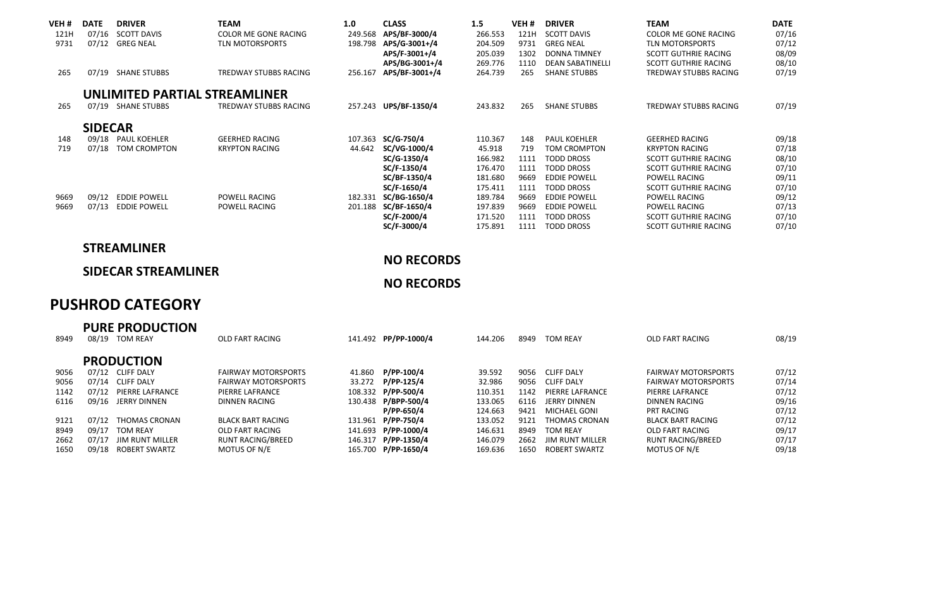| VEH# | <b>DATE</b>    | <b>DRIVER</b>                 | <b>TEAM</b>            | 1.0     | <b>CLASS</b>   | 1.5     | VEH# | <b>DRIVER</b>           | <b>TEAM</b>                  | <b>DATE</b> |
|------|----------------|-------------------------------|------------------------|---------|----------------|---------|------|-------------------------|------------------------------|-------------|
| 121H | 07/16          | <b>SCOTT DAVIS</b>            | COLOR ME GONE RACING   | 249.568 | APS/BF-3000/4  | 266.553 | 121H | <b>SCOTT DAVIS</b>      | COLOR ME GONE RACING         | 07/16       |
| 9731 | 07/12          | <b>GREG NEAL</b>              | <b>TLN MOTORSPORTS</b> | 198.798 | APS/G-3001+/4  | 204.509 | 9731 | <b>GREG NEAL</b>        | TIN MOTORSPORTS              | 07/12       |
|      |                |                               |                        |         | APS/F-3001+/4  | 205.039 | 1302 | <b>DONNA TIMNEY</b>     | <b>SCOTT GUTHRIE RACING</b>  | 08/09       |
|      |                |                               |                        |         | APS/BG-3001+/4 | 269.776 | 1110 | <b>DEAN SABATINELLI</b> | SCOTT GUTHRIE RACING         | 08/10       |
| 265  | 07/19          | <b>SHANE STUBBS</b>           | TREDWAY STUBBS RACING  | 256.167 | APS/BF-3001+/4 | 264.739 | 265  | <b>SHANE STUBBS</b>     | <b>TREDWAY STUBBS RACING</b> | 07/19       |
|      |                | UNLIMITED PARTIAL STREAMLINER |                        |         |                |         |      |                         |                              |             |
| 265  | 07/19          | <b>SHANE STUBBS</b>           | TREDWAY STUBBS RACING  | 257.243 | UPS/BF-1350/4  | 243.832 | 265  | <b>SHANE STUBBS</b>     | <b>TREDWAY STUBBS RACING</b> | 07/19       |
|      | <b>SIDECAR</b> |                               |                        |         |                |         |      |                         |                              |             |
| 148  | 09/18          | PAUL KOEHLER                  | <b>GEERHED RACING</b>  | 107.363 | SC/G-750/4     | 110.367 | 148  | PAUL KOEHLER            | <b>GEERHED RACING</b>        | 09/18       |
| 719  | 07/18          | TOM CROMPTON                  | <b>KRYPTON RACING</b>  | 44.642  | SC/VG-1000/4   | 45.918  | 719  | TOM CROMPTON            | <b>KRYPTON RACING</b>        | 07/18       |
|      |                |                               |                        |         | SC/G-1350/4    | 166.982 | 1111 | <b>TODD DROSS</b>       | <b>SCOTT GUTHRIE RACING</b>  | 08/10       |
|      |                |                               |                        |         | SC/F-1350/4    | 176.470 | 1111 | TODD DROSS              | SCOTT GUTHRIF RACING         | 07/10       |
|      |                |                               |                        |         | SC/BF-1350/4   | 181.680 | 9669 | <b>FDDIF POWFLL</b>     | POWELL RACING                | 09/11       |
|      |                |                               |                        |         | SC/F-1650/4    | 175.411 | 1111 | <b>TODD DROSS</b>       | <b>SCOTT GUTHRIE RACING</b>  | 07/10       |
| 9669 | 09/12          | <b>EDDIE POWELL</b>           | POWELL RACING          | 182.331 | SC/BG-1650/4   | 189.784 | 9669 | <b>EDDIE POWELL</b>     | POWELL RACING                | 09/12       |
| 9669 | 07/13          | <b>EDDIE POWELL</b>           | POWELL RACING          | 201.188 | SC/BF-1650/4   | 197.839 | 9669 | <b>EDDIE POWELL</b>     | POWELL RACING                | 07/13       |
|      |                |                               |                        |         | SC/F-2000/4    | 171.520 | 1111 | <b>TODD DROSS</b>       | SCOTT GUTHRIE RACING         | 07/10       |
|      |                |                               |                        |         | SC/F-3000/4    | 175.891 | 1111 | <b>TODD DROSS</b>       | SCOTT GUTHRIE RACING         | 07/10       |

# **STREAMLINER**

## **SIDECAR STREAMLINER**

#### **NO RECORDS**

**NO RECORDS**

# **PUSHROD CATEGORY**

| 8949 | 08/19 | <b>PURE PRODUCTION</b><br>TOM REAY | OLD FART RACING            | 141.492 PP/PP-1000/4 | 144.206 | 8949 | <b>TOM REAY</b>        | OLD FART RACING            | 08/19 |
|------|-------|------------------------------------|----------------------------|----------------------|---------|------|------------------------|----------------------------|-------|
|      |       | <b>PRODUCTION</b>                  |                            |                      |         |      |                        |                            |       |
| 9056 | 07/12 | CLIFF DALY                         | <b>FAIRWAY MOTORSPORTS</b> | 41.860 P/PP-100/4    | 39.592  |      | 9056 CLIFF DALY        | <b>FAIRWAY MOTORSPORTS</b> | 07/12 |
| 9056 | 07/14 | CLIFF DALY                         | <b>FAIRWAY MOTORSPORTS</b> | 33.272 P/PP-125/4    | 32.986  | 9056 | <b>CLIFF DALY</b>      | <b>FAIRWAY MOTORSPORTS</b> | 07/14 |
| 1142 | 07/12 | PIERRE LAFRANCE                    | PIERRE LAFRANCE            | 108.332 P/PP-500/4   | 110.351 | 1142 | PIERRE LAFRANCE        | PIERRE LAFRANCE            | 07/12 |
| 6116 | 09/16 | <b>IFRRY DINNEN</b>                | DINNEN RACING              | 130.438 P/BPP-500/4  | 133.065 | 6116 | <b>JERRY DINNEN</b>    | DINNEN RACING              | 09/16 |
|      |       |                                    |                            | P/PP-650/4           | 124.663 | 9421 | MICHAEL GONL           | <b>PRT RACING</b>          | 07/12 |
| 9121 | 07/12 | THOMAS CRONAN                      | <b>BLACK BART RACING</b>   | 131.961 P/PP-750/4   | 133.052 | 9121 | THOMAS CRONAN          | <b>BLACK BART RACING</b>   | 07/12 |
| 8949 | 09/17 | <b>TOM REAY</b>                    | OLD FART RACING            | 141.693 P/PP-1000/4  | 146.631 | 8949 | <b>TOM REAY</b>        | OLD FART RACING            | 09/17 |
| 2662 | 07/17 | <b>IIM RUNT MILLER</b>             | RUNT RACING/BREED          | 146.317 P/PP-1350/4  | 146.079 | 2662 | <b>IIM RUNT MILLER</b> | <b>RUNT RACING/BREED</b>   | 07/17 |
| 1650 | 09/18 | ROBERT SWARTZ                      | MOTUS OF N/E               | 165.700 P/PP-1650/4  | 169.636 | 1650 | ROBERT SWARTZ          | MOTUS OF N/E               | 09/18 |
|      |       |                                    |                            |                      |         |      |                        |                            |       |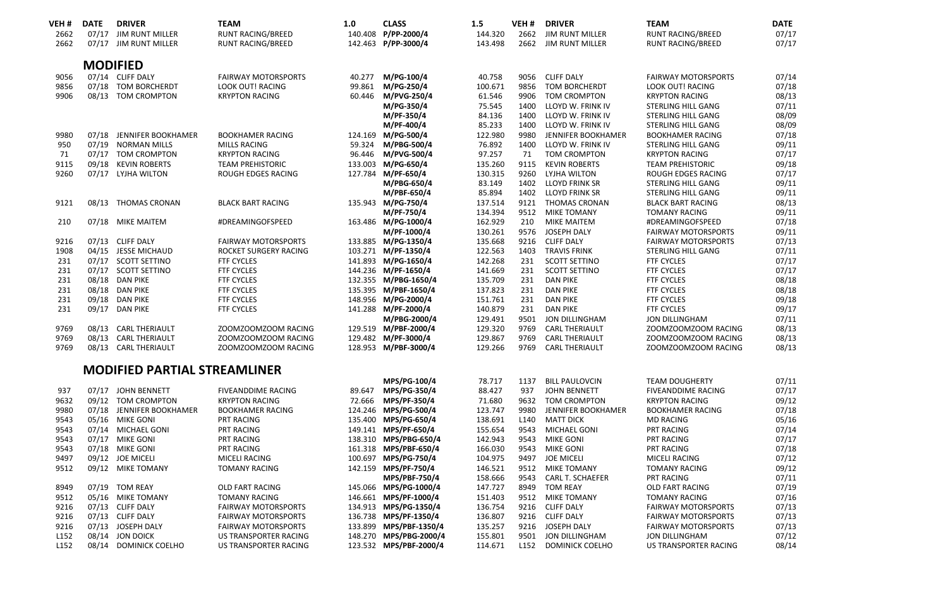| VEH #            | <b>DATE</b> | <b>DRIVER</b>                              | <b>TEAM</b>                                      | 1.0     | <b>CLASS</b>                               | 1.5                | VEH#             | <b>DRIVER</b>                               | <b>TEAM</b>                                    | <b>DATE</b>    |
|------------------|-------------|--------------------------------------------|--------------------------------------------------|---------|--------------------------------------------|--------------------|------------------|---------------------------------------------|------------------------------------------------|----------------|
| 2662             |             | 07/17 JIM RUNT MILLER                      | <b>RUNT RACING/BREED</b>                         |         | 140.408 P/PP-2000/4                        | 144.320            | 2662             | <b>JIM RUNT MILLER</b>                      | <b>RUNT RACING/BREED</b>                       | 07/17          |
| 2662             |             | 07/17 JIM RUNT MILLER                      | <b>RUNT RACING/BREED</b>                         |         | 142.463 P/PP-3000/4                        | 143.498            | 2662             | <b>JIM RUNT MILLER</b>                      | <b>RUNT RACING/BREED</b>                       | 07/17          |
|                  |             | <b>MODIFIED</b>                            |                                                  |         |                                            |                    |                  |                                             |                                                |                |
|                  |             |                                            |                                                  |         |                                            |                    |                  |                                             |                                                |                |
| 9056             |             | 07/14 CLIFF DALY                           | <b>FAIRWAY MOTORSPORTS</b>                       | 40.277  | M/PG-100/4                                 | 40.758             | 9056             | <b>CLIFF DALY</b>                           | <b>FAIRWAY MOTORSPORTS</b>                     | 07/14          |
| 9856             |             | 07/18 TOM BORCHERDT                        | <b>LOOK OUT! RACING</b>                          | 99.861  | M/PG-250/4                                 | 100.671            | 9856             | TOM BORCHERDT                               | LOOK OUT! RACING                               | 07/18          |
| 9906             |             | 08/13 TOM CROMPTON                         | <b>KRYPTON RACING</b>                            | 60.446  | M/PVG-250/4                                | 61.546             | 9906             | <b>TOM CROMPTON</b>                         | <b>KRYPTON RACING</b>                          | 08/13          |
|                  |             |                                            |                                                  |         | M/PG-350/4                                 | 75.545             | 1400             | LLOYD W. FRINK IV                           | STERLING HILL GANG                             | 07/11          |
|                  |             |                                            |                                                  |         | M/PF-350/4                                 | 84.136             | 1400             | LLOYD W. FRINK IV                           | STERLING HILL GANG                             | 08/09          |
| 9980             | 07/18       | JENNIFER BOOKHAMER                         | <b>BOOKHAMER RACING</b>                          |         | M/PF-400/4                                 | 85.233<br>122.980  | 1400<br>9980     | LLOYD W. FRINK IV                           | STERLING HILL GANG                             | 08/09<br>07/18 |
| 950              | 07/19       | <b>NORMAN MILLS</b>                        |                                                  |         | 124.169 M/PG-500/4                         |                    | 1400             | JENNIFER BOOKHAMER                          | <b>BOOKHAMER RACING</b>                        | 09/11          |
|                  |             |                                            | <b>MILLS RACING</b>                              | 59.324  | M/PBG-500/4                                | 76.892<br>97.257   |                  | LLOYD W. FRINK IV                           | STERLING HILL GANG                             |                |
| 71<br>9115       |             | 07/17 TOM CROMPTON                         | <b>KRYPTON RACING</b><br><b>TEAM PREHISTORIC</b> | 96.446  | M/PVG-500/4                                |                    | 71<br>9115       | <b>TOM CROMPTON</b>                         | <b>KRYPTON RACING</b>                          | 07/17          |
| 9260             |             | 09/18 KEVIN ROBERTS                        |                                                  |         | 133.003 M/PG-650/4<br>127.784 M/PF-650/4   | 135.260<br>130.315 | 9260             | <b>KEVIN ROBERTS</b>                        | <b>TEAM PREHISTORIC</b>                        | 09/18<br>07/17 |
|                  |             | 07/17 LYJHA WILTON                         | ROUGH EDGES RACING                               |         |                                            |                    |                  | LYJHA WILTON                                | ROUGH EDGES RACING                             |                |
|                  |             |                                            |                                                  |         | M/PBG-650/4                                | 83.149             | 1402<br>1402     | <b>LLOYD FRINK SR</b>                       | STERLING HILL GANG                             | 09/11          |
|                  |             |                                            |                                                  |         | M/PBF-650/4                                | 85.894             | 9121             | <b>LLOYD FRINK SR</b>                       | <b>STERLING HILL GANG</b>                      | 09/11<br>08/13 |
| 9121             |             | 08/13 THOMAS CRONAN                        | <b>BLACK BART RACING</b>                         |         | 135.943 M/PG-750/4                         | 137.514            |                  | <b>THOMAS CRONAN</b>                        | <b>BLACK BART RACING</b>                       |                |
| 210              |             |                                            |                                                  |         | M/PF-750/4<br>163.486 M/PG-1000/4          | 134.394<br>162.929 | 9512<br>210      | <b>MIKE TOMANY</b><br>MIKE MAITEM           | <b>TOMANY RACING</b>                           | 09/11<br>07/18 |
|                  |             | 07/18 MIKE MAITEM                          | #DREAMINGOFSPEED                                 |         | M/PF-1000/4                                | 130.261            | 9576             | JOSEPH DALY                                 | #DREAMINGOFSPEED<br><b>FAIRWAY MOTORSPORTS</b> | 09/11          |
| 9216             |             | 07/13 CLIFF DALY                           | <b>FAIRWAY MOTORSPORTS</b>                       |         | 133.885 M/PG-1350/4                        | 135.668            | 9216             | <b>CLIFF DALY</b>                           | <b>FAIRWAY MOTORSPORTS</b>                     | 07/13          |
|                  |             |                                            |                                                  |         |                                            |                    | 1403             |                                             |                                                |                |
| 1908<br>231      |             | 04/15 JESSE MICHAUD<br>07/17 SCOTT SETTINO | ROCKET SURGERY RACING<br><b>FTF CYCLES</b>       |         | 103.271 M/PF-1350/4<br>141.893 M/PG-1650/4 | 122.563<br>142.268 | 231              | <b>TRAVIS FRINK</b><br><b>SCOTT SETTINO</b> | STERLING HILL GANG<br><b>FTF CYCLES</b>        | 07/11<br>07/17 |
| 231              |             | 07/17 SCOTT SETTINO                        | <b>FTF CYCLES</b>                                |         | 144.236 M/PF-1650/4                        | 141.669            | 231              | <b>SCOTT SETTINO</b>                        | <b>FTF CYCLES</b>                              | 07/17          |
| 231              |             | 08/18 DAN PIKE                             | <b>FTF CYCLES</b>                                |         | 132.355 M/PBG-1650/4                       | 135.709            | 231              | <b>DAN PIKE</b>                             | <b>FTF CYCLES</b>                              | 08/18          |
| 231              |             | 08/18 DAN PIKE                             | <b>FTF CYCLES</b>                                |         | 135.395 M/PBF-1650/4                       | 137.823            | 231              | <b>DAN PIKE</b>                             | <b>FTF CYCLES</b>                              | 08/18          |
| 231              |             | 09/18 DAN PIKE                             | <b>FTF CYCLES</b>                                |         | 148.956 M/PG-2000/4                        | 151.761            | 231              | <b>DAN PIKE</b>                             | <b>FTF CYCLES</b>                              | 09/18          |
| 231              |             | 09/17 DAN PIKE                             | <b>FTF CYCLES</b>                                |         | 141.288 M/PF-2000/4                        | 140.879            | 231              | <b>DAN PIKE</b>                             | <b>FTF CYCLES</b>                              | 09/17          |
|                  |             |                                            |                                                  |         | M/PBG-2000/4                               | 129.491            | 9501             | JON DILLINGHAM                              | JON DILLINGHAM                                 | 07/11          |
| 9769             |             | 08/13 CARL THERIAULT                       | ZOOMZOOMZOOM RACING                              |         | 129.519 M/PBF-2000/4                       | 129.320            | 9769             | <b>CARL THERIAULT</b>                       | ZOOMZOOMZOOM RACING                            | 08/13          |
| 9769             |             | 08/13 CARL THERIAULT                       | ZOOMZOOMZOOM RACING                              |         | 129.482 M/PF-3000/4                        | 129.867            | 9769             | <b>CARL THERIAULT</b>                       | ZOOMZOOMZOOM RACING                            | 08/13          |
| 9769             |             | 08/13 CARL THERIAULT                       | ZOOMZOOMZOOM RACING                              |         | 128.953 M/PBF-3000/4                       | 129.266            | 9769             | <b>CARL THERIAULT</b>                       | ZOOMZOOMZOOM RACING                            | 08/13          |
|                  |             |                                            |                                                  |         |                                            |                    |                  |                                             |                                                |                |
|                  |             | <b>MODIFIED PARTIAL STREAMLINER</b>        |                                                  |         |                                            |                    |                  |                                             |                                                |                |
|                  |             |                                            |                                                  |         | MPS/PG-100/4                               | 78.717             | 1137             | <b>BILL PAULOVCIN</b>                       | <b>TEAM DOUGHERTY</b>                          | 07/11          |
| 937              |             | 07/17 JOHN BENNETT                         | <b>FIVEANDDIME RACING</b>                        | 89.647  | MPS/PG-350/4                               | 88.427             | 937              | JOHN BENNETT                                | <b>FIVEANDDIME RACING</b>                      | 07/17          |
| 9632             |             | 09/12 TOM CROMPTON                         | <b>KRYPTON RACING</b>                            | 72.666  | MPS/PF-350/4                               | 71.680             | 9632             | <b>TOM CROMPTON</b>                         | <b>KRYPTON RACING</b>                          | 09/12          |
| 9980             |             | 07/18 JENNIFER BOOKHAMER                   | <b>BOOKHAMER RACING</b>                          |         | 124.246 MPS/PG-500/4                       | 123.747            | 9980             | JENNIFER BOOKHAMER                          | <b>BOOKHAMER RACING</b>                        | 07/18          |
| 9543             |             | 05/16 MIKE GONI                            | <b>PRT RACING</b>                                | 135,400 | MPS/PG-650/4                               | 138.691            | L <sub>140</sub> | <b>MATT DICK</b>                            | <b>MD RACING</b>                               | 05/16          |
| 9543             |             | 07/14 MICHAEL GONI                         | <b>PRT RACING</b>                                |         | 149.141 MPS/PF-650/4                       | 155.654            | 9543             | MICHAEL GONI                                | <b>PRT RACING</b>                              | 07/14          |
| 9543             |             | 07/17 MIKE GONI                            | <b>PRT RACING</b>                                |         | 138.310 MPS/PBG-650/4                      | 142.943            | 9543             | <b>MIKE GONI</b>                            | <b>PRT RACING</b>                              | 07/17          |
| 9543             |             | 07/18 MIKE GONI                            | <b>PRT RACING</b>                                |         | 161.318 MPS/PBF-650/4                      | 166.030            | 9543             | <b>MIKE GONI</b>                            | <b>PRT RACING</b>                              | 07/18          |
| 9497             |             | 09/12 JOE MICELI                           | MICELI RACING                                    | 100.697 | MPS/PG-750/4                               | 104.975            | 9497             | <b>JOE MICELI</b>                           | MICELI RACING                                  | 07/12          |
| 9512             |             | 09/12 MIKE TOMANY                          | <b>TOMANY RACING</b>                             |         | 142.159 MPS/PF-750/4                       | 146.521            | 9512             | MIKE TOMANY                                 | <b>TOMANY RACING</b>                           | 09/12          |
|                  |             |                                            |                                                  |         | MPS/PBF-750/4                              | 158.666            | 9543             | CARL T. SCHAEFER                            | <b>PRT RACING</b>                              | 07/11          |
| 8949             |             | 07/19 TOM REAY                             | <b>OLD FART RACING</b>                           |         | 145.066 MPS/PG-1000/4                      | 147.727            | 8949             | <b>TOM REAY</b>                             | OLD FART RACING                                | 07/19          |
| 9512             |             | 05/16 MIKE TOMANY                          | <b>TOMANY RACING</b>                             |         | 146.661 MPS/PF-1000/4                      | 151.403            | 9512             | <b>MIKE TOMANY</b>                          | <b>TOMANY RACING</b>                           | 07/16          |
| 9216             |             | 07/13 CLIFF DALY                           | <b>FAIRWAY MOTORSPORTS</b>                       |         | 134.913 MPS/PG-1350/4                      | 136.754            |                  | 9216 CLIFF DALY                             | <b>FAIRWAY MOTORSPORTS</b>                     | 07/13          |
| 9216             |             | 07/13 CLIFF DALY                           | <b>FAIRWAY MOTORSPORTS</b>                       |         | 136.738 MPS/PF-1350/4                      | 136.807            |                  | 9216 CLIFF DALY                             | <b>FAIRWAY MOTORSPORTS</b>                     | 07/13          |
| 9216             |             | 07/13 JOSEPH DALY                          | <b>FAIRWAY MOTORSPORTS</b>                       |         | 133.899 MPS/PBF-1350/4                     | 135.257            | 9216             | JOSEPH DALY                                 | <b>FAIRWAY MOTORSPORTS</b>                     | 07/13          |
| L <sub>152</sub> |             | 08/14 JON DOICK                            | <b>US TRANSPORTER RACING</b>                     |         | 148.270 MPS/PBG-2000/4                     | 155.801            | 9501             | JON DILLINGHAM                              | JON DILLINGHAM                                 | 07/12          |
| L <sub>152</sub> |             | 08/14 DOMINICK COELHO                      | US TRANSPORTER RACING                            |         | 123.532 MPS/PBF-2000/4                     | 114.671            | L <sub>152</sub> | DOMINICK COELHO                             | US TRANSPORTER RACING                          | 08/14          |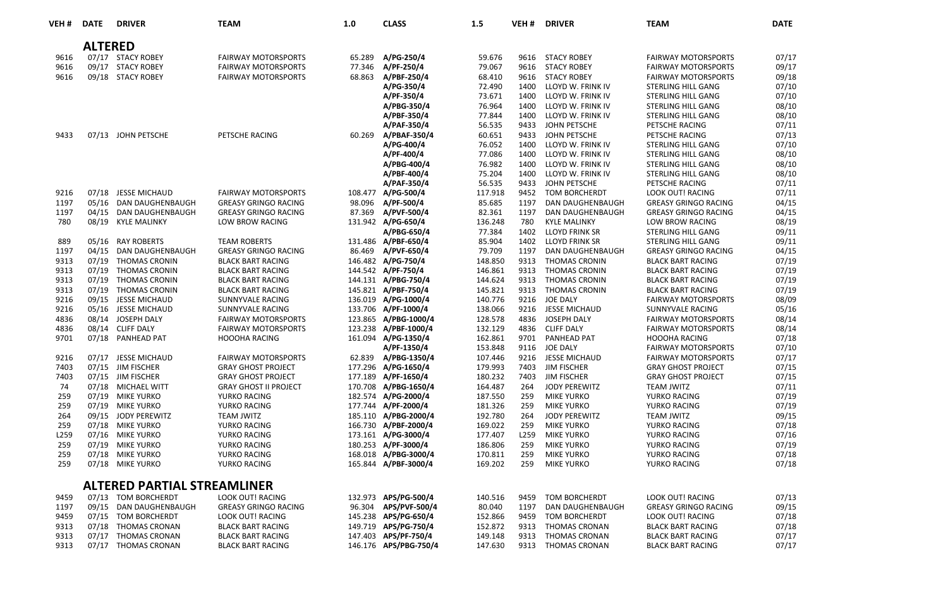| VEH <sub>#</sub> | <b>DATE</b>    | <b>DRIVER</b>                         | <b>TEAM</b>                                        | 1.0    | <b>CLASS</b>                                 | 1.5                | VEH #        | <b>DRIVER</b>                    | <b>TEAM</b>                                        | DATE           |
|------------------|----------------|---------------------------------------|----------------------------------------------------|--------|----------------------------------------------|--------------------|--------------|----------------------------------|----------------------------------------------------|----------------|
|                  | <b>ALTERED</b> |                                       |                                                    |        |                                              |                    |              |                                  |                                                    |                |
| 9616             |                | 07/17 STACY ROBEY                     | <b>FAIRWAY MOTORSPORTS</b>                         | 65.289 | A/PG-250/4                                   | 59.676             | 9616         | <b>STACY ROBEY</b>               | <b>FAIRWAY MOTORSPORTS</b>                         | 07/17          |
| 9616             |                | 09/17 STACY ROBEY                     | <b>FAIRWAY MOTORSPORTS</b>                         | 77.346 | A/PF-250/4                                   | 79.067             | 9616         | <b>STACY ROBEY</b>               | <b>FAIRWAY MOTORSPORTS</b>                         | 09/17          |
| 9616             |                | 09/18 STACY ROBEY                     | <b>FAIRWAY MOTORSPORTS</b>                         | 68.863 | A/PBF-250/4                                  | 68,410             | 9616         | <b>STACY ROBEY</b>               | <b>FAIRWAY MOTORSPORTS</b>                         | 09/18          |
|                  |                |                                       |                                                    |        | A/PG-350/4                                   | 72.490             | 1400         | LLOYD W. FRINK IV                | STERLING HILL GANG                                 | 07/10          |
|                  |                |                                       |                                                    |        | A/PF-350/4                                   | 73.671             | 1400         | LLOYD W. FRINK IV                | STERLING HILL GANG                                 | 07/10          |
|                  |                |                                       |                                                    |        | A/PBG-350/4                                  | 76.964             | 1400         | LLOYD W. FRINK IV                | <b>STERLING HILL GANG</b>                          | 08/10          |
|                  |                |                                       |                                                    |        | A/PBF-350/4                                  | 77.844             | 1400         | LLOYD W. FRINK IV                | STERLING HILL GANG                                 | 08/10          |
|                  |                |                                       |                                                    |        | A/PAF-350/4                                  | 56.535             | 9433         | JOHN PETSCHE                     | PETSCHE RACING                                     | 07/11          |
| 9433             |                | 07/13 JOHN PETSCHE                    | PETSCHE RACING                                     |        | 60.269 A/PBAF-350/4                          | 60.651             | 9433         | JOHN PETSCHE                     | PETSCHE RACING                                     | 07/13          |
|                  |                |                                       |                                                    |        | A/PG-400/4                                   | 76.052             | 1400         | LLOYD W. FRINK IV                | STERLING HILL GANG                                 | 07/10          |
|                  |                |                                       |                                                    |        | A/PF-400/4                                   | 77.086             | 1400         | LLOYD W. FRINK IV                | <b>STERLING HILL GANG</b>                          | 08/10          |
|                  |                |                                       |                                                    |        | A/PBG-400/4                                  | 76.982             | 1400         | LLOYD W. FRINK IV                | STERLING HILL GANG                                 | 08/10          |
|                  |                |                                       |                                                    |        | A/PBF-400/4                                  | 75.204             | 1400         | LLOYD W. FRINK IV                | STERLING HILL GANG                                 | 08/10          |
|                  |                |                                       |                                                    |        | A/PAF-350/4                                  | 56.535             | 9433         | JOHN PETSCHE                     | PETSCHE RACING                                     | 07/11          |
| 9216             |                | 07/18 JESSE MICHAUD                   | <b>FAIRWAY MOTORSPORTS</b>                         |        | 108.477 A/PG-500/4                           | 117.918            | 9452         | <b>TOM BORCHERDT</b>             | LOOK OUT! RACING                                   | 07/11          |
| 1197             |                | 05/16 DAN DAUGHENBAUGH                | <b>GREASY GRINGO RACING</b>                        | 98.096 | A/PF-500/4                                   | 85.685             | 1197         | <b>DAN DAUGHENBAUGH</b>          | <b>GREASY GRINGO RACING</b>                        | 04/15          |
| 1197             |                | 04/15 DAN DAUGHENBAUGH                | <b>GREASY GRINGO RACING</b>                        | 87.369 | A/PVF-500/4                                  | 82.361             | 1197         | DAN DAUGHENBAUGH                 | <b>GREASY GRINGO RACING</b>                        | 04/15          |
| 780              |                | 08/19 KYLE MALINKY                    | <b>LOW BROW RACING</b>                             |        | 131.942 A/PG-650/4                           | 136.248            | 780          | <b>KYLE MALINKY</b>              | <b>LOW BROW RACING</b>                             | 08/19          |
|                  |                |                                       |                                                    |        | A/PBG-650/4                                  | 77.384             | 1402         | <b>LLOYD FRINK SR</b>            | <b>STERLING HILL GANG</b>                          | 09/11          |
| 889              |                | 05/16 RAY ROBERTS                     | <b>TEAM ROBERTS</b>                                |        | 131.486 A/PBF-650/4                          | 85.904             | 1402         | <b>LLOYD FRINK SR</b>            | STERLING HILL GANG                                 | 09/11          |
| 1197             | 04/15          | <b>DAN DAUGHENBAUGH</b>               | <b>GREASY GRINGO RACING</b>                        | 86.469 | A/PVF-650/4                                  | 79.709             | 1197         | <b>DAN DAUGHENBAUGH</b>          | <b>GREASY GRINGO RACING</b>                        | 04/15          |
| 9313             |                | 07/19 THOMAS CRONIN                   | <b>BLACK BART RACING</b>                           |        | 146.482 A/PG-750/4                           | 148.850            | 9313         | <b>THOMAS CRONIN</b>             | <b>BLACK BART RACING</b>                           | 07/19          |
| 9313             |                | 07/19 THOMAS CRONIN                   | <b>BLACK BART RACING</b>                           |        | 144.542 A/PF-750/4                           | 146.861            | 9313         | <b>THOMAS CRONIN</b>             | <b>BLACK BART RACING</b>                           | 07/19          |
| 9313             |                | 07/19 THOMAS CRONIN                   | <b>BLACK BART RACING</b>                           |        | 144.131 A/PBG-750/4                          | 144.624            | 9313         | <b>THOMAS CRONIN</b>             | <b>BLACK BART RACING</b>                           | 07/19          |
| 9313             |                | 07/19 THOMAS CRONIN                   | <b>BLACK BART RACING</b>                           |        | 145.821 A/PBF-750/4                          | 145.821            | 9313         | <b>THOMAS CRONIN</b>             | <b>BLACK BART RACING</b>                           | 07/19          |
| 9216             |                | 09/15 JESSE MICHAUD                   | SUNNYVALE RACING                                   |        | 136.019 A/PG-1000/4                          | 140.776            | 9216         | JOE DALY                         | <b>FAIRWAY MOTORSPORTS</b>                         | 08/09          |
| 9216             |                | 05/16 JESSE MICHAUD                   | SUNNYVALE RACING                                   |        | 133.706 A/PF-1000/4                          | 138.066            | 9216         | JESSE MICHAUD                    | SUNNYVALE RACING                                   | 05/16          |
| 4836<br>4836     |                | 08/14 JOSEPH DALY                     | <b>FAIRWAY MOTORSPORTS</b>                         |        | 123.865 A/PBG-1000/4<br>123.238 A/PBF-1000/4 | 128.578<br>132.129 | 4836<br>4836 | JOSEPH DALY<br><b>CLIFF DALY</b> | <b>FAIRWAY MOTORSPORTS</b>                         | 08/14<br>08/14 |
| 9701             |                | 08/14 CLIFF DALY<br>07/18 PANHEAD PAT | <b>FAIRWAY MOTORSPORTS</b><br><b>HOOOHA RACING</b> |        | 161.094 A/PG-1350/4                          | 162.861            | 9701         | PANHEAD PAT                      | <b>FAIRWAY MOTORSPORTS</b><br><b>HOOOHA RACING</b> | 07/18          |
|                  |                |                                       |                                                    |        | A/PF-1350/4                                  | 153.848            | 9116         | JOE DALY                         | <b>FAIRWAY MOTORSPORTS</b>                         | 07/10          |
| 9216             |                | 07/17 JESSE MICHAUD                   | <b>FAIRWAY MOTORSPORTS</b>                         |        | 62.839 A/PBG-1350/4                          | 107.446            | 9216         | JESSE MICHAUD                    | <b>FAIRWAY MOTORSPORTS</b>                         | 07/17          |
| 7403             |                | 07/15 JIM FISCHER                     | <b>GRAY GHOST PROJECT</b>                          |        | 177.296 A/PG-1650/4                          | 179.993            | 7403         | <b>JIM FISCHER</b>               | <b>GRAY GHOST PROJECT</b>                          | 07/15          |
| 7403             |                | 07/15 JIM FISCHER                     | <b>GRAY GHOST PROJECT</b>                          |        | 177.189 A/PF-1650/4                          | 180.232            | 7403         | <b>JIM FISCHER</b>               | <b>GRAY GHOST PROJECT</b>                          | 07/15          |
| 74               |                | 07/18 MICHAEL WITT                    | <b>GRAY GHOST II PROJECT</b>                       |        | 170.708 A/PBG-1650/4                         | 164.487            | 264          | JODY PEREWITZ                    | <b>TEAM JWITZ</b>                                  | 07/11          |
| 259              |                | 07/19 MIKE YURKO                      | YURKO RACING                                       |        | 182.574 A/PG-2000/4                          | 187.550            | 259          | <b>MIKE YURKO</b>                | YURKO RACING                                       | 07/19          |
| 259              |                | 07/19 MIKE YURKO                      | YURKO RACING                                       |        | 177.744 A/PF-2000/4                          | 181.326            | 259          | <b>MIKE YURKO</b>                | YURKO RACING                                       | 07/19          |
| 264              |                | 09/15 JODY PEREWITZ                   | <b>TEAM JWITZ</b>                                  |        | 185.110 A/PBG-2000/4                         | 192.780            | 264          | JODY PEREWITZ                    | <b>TEAM JWITZ</b>                                  | 09/15          |
| 259              |                | 07/18 MIKE YURKO                      | YURKO RACING                                       |        | 166.730 A/PBF-2000/4                         | 169.022            | 259          | <b>MIKE YURKO</b>                | YURKO RACING                                       | 07/18          |
| L259             |                | 07/16 MIKE YURKO                      | YURKO RACING                                       |        | 173.161 A/PG-3000/4                          | 177.407            | L259         | <b>MIKE YURKO</b>                | YURKO RACING                                       | 07/16          |
| 259              |                | 07/19 MIKE YURKO                      | YURKO RACING                                       |        | 180.253 A/PF-3000/4                          | 186.806            | 259          | <b>MIKE YURKO</b>                | YURKO RACING                                       | 07/19          |
| 259              |                | 07/18 MIKE YURKO                      | YURKO RACING                                       |        | 168.018 A/PBG-3000/4                         | 170.811            | 259          | <b>MIKE YURKO</b>                | YURKO RACING                                       | 07/18          |
| 259              |                | 07/18 MIKE YURKO                      | YURKO RACING                                       |        | 165.844 A/PBF-3000/4                         | 169,202            | 259          | <b>MIKE YURKO</b>                | YURKO RACING                                       | 07/18          |
|                  |                | <b>ALTERED PARTIAL STREAMLINER</b>    |                                                    |        |                                              |                    |              |                                  |                                                    |                |
| 9459             |                | 07/13 TOM BORCHERDT                   | <b>LOOK OUT! RACING</b>                            |        | 132.973 APS/PG-500/4                         | 140.516            | 9459         | <b>TOM BORCHERDT</b>             | <b>LOOK OUT! RACING</b>                            | 07/13          |
| 1197             |                | 09/15 DAN DAUGHENBAUGH                | <b>GREASY GRINGO RACING</b>                        | 96.304 | APS/PVF-500/4                                | 80.040             | 1197         | DAN DAUGHENBAUGH                 | <b>GREASY GRINGO RACING</b>                        | 09/15          |
| 9459             |                | 07/15 TOM BORCHERDT                   | LOOK OUT! RACING                                   |        | 145.238 APS/PG-650/4                         | 152.866            | 9459         | <b>TOM BORCHERDT</b>             | LOOK OUT! RACING                                   | 07/18          |
| 9313             |                | 07/18 THOMAS CRONAN                   | <b>BLACK BART RACING</b>                           |        | 149.719 APS/PG-750/4                         | 152.872            | 9313         | <b>THOMAS CRONAN</b>             | <b>BLACK BART RACING</b>                           | 07/18          |
| 9313             |                | 07/17 THOMAS CRONAN                   | <b>BLACK BART RACING</b>                           |        | 147.403 APS/PF-750/4                         | 149.148            | 9313         | <b>THOMAS CRONAN</b>             | <b>BLACK BART RACING</b>                           | 07/17          |
| 9313             |                | 07/17 THOMAS CRONAN                   | <b>BLACK BART RACING</b>                           |        | 146.176 APS/PBG-750/4                        | 147.630            | 9313         | <b>THOMAS CRONAN</b>             | <b>BLACK BART RACING</b>                           | 07/17          |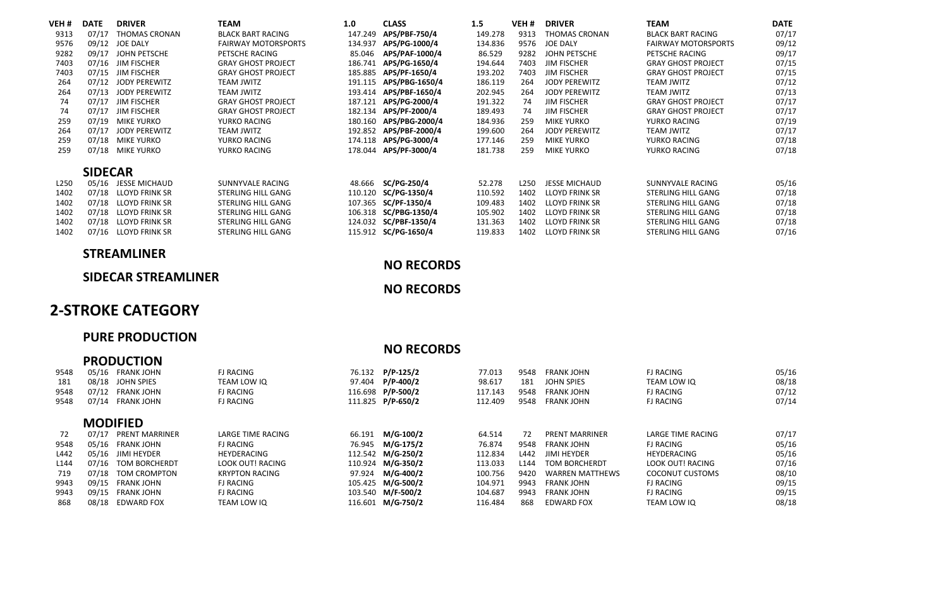| VEH #            | <b>DATE</b>    | <b>DRIVER</b>         | TEAM                       | 1.0     | <b>CLASS</b>           | 1.5     | VEH # | <b>DRIVER</b>         | <b>TEAM</b>                | <b>DATE</b> |
|------------------|----------------|-----------------------|----------------------------|---------|------------------------|---------|-------|-----------------------|----------------------------|-------------|
| 9313             | 07/17          | <b>THOMAS CRONAN</b>  | <b>BLACK BART RACING</b>   | 147.249 | APS/PBF-750/4          | 149.278 | 9313  | <b>THOMAS CRONAN</b>  | <b>BLACK BART RACING</b>   | 07/17       |
| 9576             | 09/12          | <b>JOE DALY</b>       | <b>FAIRWAY MOTORSPORTS</b> |         | 134.937 APS/PG-1000/4  | 134.836 | 9576  | JOE DALY              | <b>FAIRWAY MOTORSPORTS</b> | 09/12       |
| 9282             | 09/17          | JOHN PETSCHE          | PETSCHE RACING             | 85.046  | APS/PAF-1000/4         | 86.529  | 9282  | JOHN PETSCHE          | PETSCHE RACING             | 09/17       |
| 7403             | 07/16          | <b>JIM FISCHER</b>    | <b>GRAY GHOST PROJECT</b>  |         | 186.741 APS/PG-1650/4  | 194.644 | 7403  | <b>JIM FISCHER</b>    | <b>GRAY GHOST PROJECT</b>  | 07/15       |
| 7403             | 07/15          | <b>JIM FISCHER</b>    | <b>GRAY GHOST PROJECT</b>  |         | 185.885 APS/PF-1650/4  | 193.202 | 7403  | <b>JIM FISCHER</b>    | <b>GRAY GHOST PROJECT</b>  | 07/15       |
| 264              | 07/12          | JODY PEREWITZ         | <b>TEAM JWITZ</b>          |         | 191.115 APS/PBG-1650/4 | 186.119 | 264   | <b>JODY PEREWITZ</b>  | <b>TEAM JWITZ</b>          | 07/12       |
| 264              | 07/13          | JODY PEREWITZ         | <b>TEAM JWITZ</b>          |         | 193.414 APS/PBF-1650/4 | 202.945 | 264   | JODY PEREWITZ         | <b>TEAM JWITZ</b>          | 07/13       |
| 74               | 07/17          | <b>JIM FISCHER</b>    | <b>GRAY GHOST PROJECT</b>  |         | 187.121 APS/PG-2000/4  | 191.322 | 74    | <b>IIM FISCHER</b>    | <b>GRAY GHOST PROJECT</b>  | 07/17       |
| 74               | 07/17          | <b>JIM FISCHER</b>    | <b>GRAY GHOST PROJECT</b>  |         | 182.134 APS/PF-2000/4  | 189.493 | 74    | <b>JIM FISCHER</b>    | <b>GRAY GHOST PROJECT</b>  | 07/17       |
| 259              | 07/19          | <b>MIKE YURKO</b>     | YURKO RACING               |         | 180.160 APS/PBG-2000/4 | 184.936 | 259   | <b>MIKE YURKO</b>     | YURKO RACING               | 07/19       |
| 264              | 07/17          | JODY PEREWITZ         | <b>TEAM JWITZ</b>          |         | 192.852 APS/PBF-2000/4 | 199.600 | 264   | <b>IODY PEREWITZ</b>  | <b>TEAM JWITZ</b>          | 07/17       |
| 259              | 07/18          | <b>MIKE YURKO</b>     | YURKO RACING               |         | 174.118 APS/PG-3000/4  | 177.146 | 259   | <b>MIKE YURKO</b>     | YURKO RACING               | 07/18       |
| 259              | 07/18          | <b>MIKE YURKO</b>     | YURKO RACING               |         | 178.044 APS/PF-3000/4  | 181.738 | 259   | <b>MIKE YURKO</b>     | YURKO RACING               | 07/18       |
|                  |                |                       |                            |         |                        |         |       |                       |                            |             |
|                  | <b>SIDECAR</b> |                       |                            |         |                        |         |       |                       |                            |             |
| L <sub>250</sub> | 05/16          | <b>JESSE MICHAUD</b>  | SUNNYVALE RACING           | 48.666  | SC/PG-250/4            | 52.278  | L250  | <b>IESSE MICHAUD</b>  | SUNNYVALE RACING           | 05/16       |
| 1402             | 07/18          | <b>LLOYD FRINK SR</b> | STERLING HILL GANG         |         | 110.120 SC/PG-1350/4   | 110.592 | 1402  | <b>LLOYD FRINK SR</b> | STERLING HILL GANG         | 07/18       |
| 1402             | 07/18          | <b>LLOYD FRINK SR</b> | STERLING HILL GANG         |         | 107.365 SC/PF-1350/4   | 109.483 | 1402  | <b>LLOYD FRINK SR</b> | STERLING HILL GANG         | 07/18       |
| 1402             | 07/18          | <b>ILOYD FRINK SR</b> | STERLING HILL GANG         |         | 106.318 SC/PBG-1350/4  | 105.902 | 1402  | <b>ILOYD FRINK SR</b> | STERLING HILL GANG         | 07/18       |
| 1402             | 07/18          | <b>LLOYD FRINK SR</b> | STERLING HILL GANG         |         | 124.032 SC/PBF-1350/4  | 131.363 | 1402  | <b>LLOYD FRINK SR</b> | STERLING HILL GANG         | 07/18       |
| 1402             | 07/16          | <b>LLOYD FRINK SR</b> | STERLING HILL GANG         |         | 115.912 SC/PG-1650/4   | 119.833 | 1402  | <b>LLOYD FRINK SR</b> | STERLING HILL GANG         | 07/16       |

# **STREAMLINER**

## **NO RECORDS**

#### **SIDECAR STREAMLINER**

### **NO RECORDS**

# **2‐STROKE CATEGORY**

## **PURE PRODUCTION**

|      |       |                       |                          |        | <b>NO RECORDS</b> |         |      |                        |                          |       |
|------|-------|-----------------------|--------------------------|--------|-------------------|---------|------|------------------------|--------------------------|-------|
|      |       | <b>PRODUCTION</b>     |                          |        |                   |         |      |                        |                          |       |
| 9548 | 05/16 | <b>FRANK JOHN</b>     | <b>FI RACING</b>         | 76.132 | P/P-125/2         | 77.013  | 9548 | <b>FRANK IOHN</b>      | <b>FI RACING</b>         | 05/16 |
| 181  | 08/18 | JOHN SPIES            | TEAM LOW IO              | 97.404 | P/P-400/2         | 98.617  | 181  | JOHN SPIES             | TEAM LOW IO              | 08/18 |
| 9548 | 07/12 | <b>FRANK JOHN</b>     | <b>FJ RACING</b>         |        | 116.698 P/P-500/2 | 117.143 | 9548 | <b>FRANK JOHN</b>      | <b>FJ RACING</b>         | 07/12 |
| 9548 | 07/14 | <b>FRANK JOHN</b>     | <b>FJ RACING</b>         |        | 111.825 P/P-650/2 | 112,409 | 9548 | <b>FRANK JOHN</b>      | <b>FJ RACING</b>         | 07/14 |
|      |       | <b>MODIFIED</b>       |                          |        |                   |         |      |                        |                          |       |
| 72   | 07/17 | <b>PRENT MARRINER</b> | <b>LARGE TIME RACING</b> | 66.191 | M/G-100/2         | 64.514  | 72   | PRENT MARRINER         | <b>LARGE TIME RACING</b> | 07/17 |
| 9548 | 05/16 | FRANK JOHN            | <b>FJ RACING</b>         | 76.945 | M/G-175/2         | 76.874  | 9548 | <b>FRANK IOHN</b>      | <b>FJ RACING</b>         | 05/16 |
| L442 | 05/16 | JIMI HEYDER           | HEYDERACING              |        | 112.542 M/G-250/2 | 112.834 | L442 | <b>IIMI HEYDER</b>     | HEYDERACING              | 05/16 |
| L144 | 07/16 | TOM BORCHERDT         | LOOK OUT! RACING         |        | 110.924 M/G-350/2 | 113.033 | 1144 | <b>TOM BORCHERDT</b>   | <b>LOOK OUTLRACING</b>   | 07/16 |
| 719  | 07/18 | TOM CROMPTON          | <b>KRYPTON RACING</b>    |        | 97.924 M/G-400/2  | 100.756 | 9420 | <b>WARREN MATTHEWS</b> | <b>COCONUT CUSTOMS</b>   | 08/10 |
| 9943 | 09/15 | <b>FRANK JOHN</b>     | <b>FJ RACING</b>         |        | 105.425 M/G-500/2 | 104.971 | 9943 | <b>FRANK IOHN</b>      | <b>FJ RACING</b>         | 09/15 |
| 9943 | 09/15 | <b>FRANK IOHN</b>     | <b>FJ RACING</b>         |        | 103.540 M/F-500/2 | 104.687 | 9943 | <b>FRANK IOHN</b>      | <b>FJ RACING</b>         | 09/15 |
| 868  | 08/18 | <b>EDWARD FOX</b>     | TEAM LOW IO              |        | 116.601 M/G-750/2 | 116.484 | 868  | <b>FDWARD FOX</b>      | TEAM LOW IO              | 08/18 |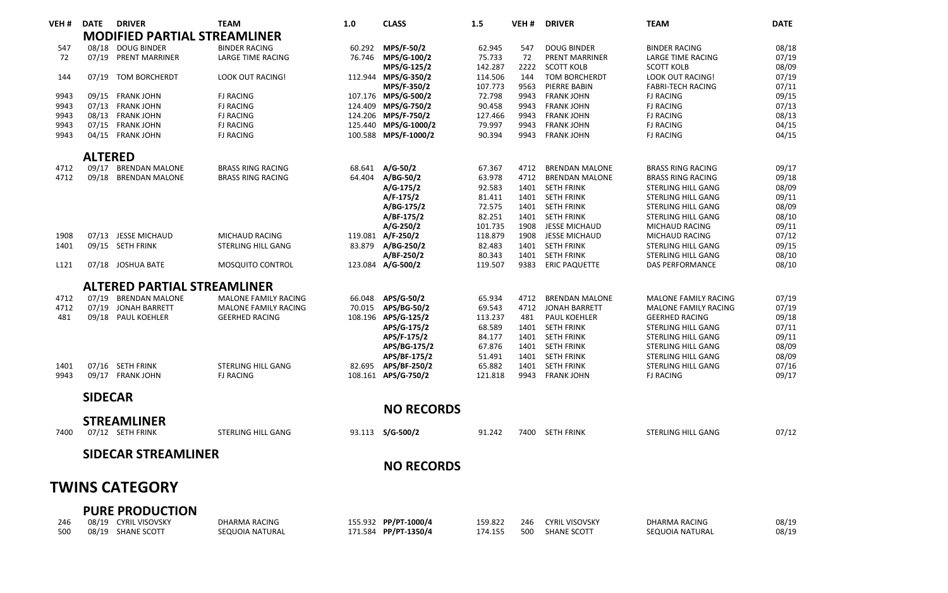| VEH#             | <b>DATE</b>    | <b>DRIVER</b>                       | <b>TEAM</b>                 | 1.0    | <b>CLASS</b>         | 1.5     | VEH <sub>#</sub> | <b>DRIVER</b>         | <b>TEAM</b>                 | <b>DATE</b> |
|------------------|----------------|-------------------------------------|-----------------------------|--------|----------------------|---------|------------------|-----------------------|-----------------------------|-------------|
|                  |                | <b>MODIFIED PARTIAL STREAMLINER</b> |                             |        |                      |         |                  |                       |                             |             |
| 547              |                | 08/18 DOUG BINDER                   | <b>BINDER RACING</b>        | 60.292 | MPS/F-50/2           | 62.945  | 547              | <b>DOUG BINDER</b>    | <b>BINDER RACING</b>        | 08/18       |
| 72               | 07/19          | <b>PRENT MARRINER</b>               | <b>LARGE TIME RACING</b>    | 76.746 | MPS/G-100/2          | 75.733  | 72               | <b>PRENT MARRINER</b> | <b>LARGE TIME RACING</b>    | 07/19       |
|                  |                |                                     |                             |        | MPS/G-125/2          | 142.287 | 2222             | <b>SCOTT KOLB</b>     | <b>SCOTT KOLB</b>           | 08/09       |
| 144              | 07/19          | TOM BORCHERDT                       | <b>LOOK OUT RACING!</b>     |        | 112.944 MPS/G-350/2  | 114.506 | 144              | <b>TOM BORCHERDT</b>  | LOOK OUT RACING!            | 07/19       |
|                  |                |                                     |                             |        | MPS/F-350/2          | 107.773 | 9563             | PIERRE BABIN          | <b>FABRI-TECH RACING</b>    | 07/11       |
| 9943             |                | 09/15 FRANK JOHN                    | <b>FJ RACING</b>            |        | 107.176 MPS/G-500/2  | 72.798  | 9943             | <b>FRANK JOHN</b>     | <b>FJ RACING</b>            | 09/15       |
| 9943             |                | 07/13 FRANK JOHN                    | <b>FJ RACING</b>            |        | 124.409 MPS/G-750/2  | 90.458  | 9943             | <b>FRANK JOHN</b>     | <b>FJ RACING</b>            | 07/13       |
| 9943             |                | 08/13 FRANK JOHN                    | <b>FJ RACING</b>            |        | 124.206 MPS/F-750/2  | 127.466 | 9943             | <b>FRANK JOHN</b>     | <b>FJ RACING</b>            | 08/13       |
| 9943             | 07/15          | <b>FRANK JOHN</b>                   | <b>FJ RACING</b>            |        | 125.440 MPS/G-1000/2 | 79.997  | 9943             | <b>FRANK JOHN</b>     | <b>FJ RACING</b>            | 04/15       |
| 9943             | 04/15          | <b>FRANK JOHN</b>                   | <b>FJ RACING</b>            |        | 100.588 MPS/F-1000/2 | 90.394  | 9943             | <b>FRANK JOHN</b>     | <b>FJ RACING</b>            | 04/15       |
|                  | <b>ALTERED</b> |                                     |                             |        |                      |         |                  |                       |                             |             |
| 4712             |                | 09/17 BRENDAN MALONE                | <b>BRASS RING RACING</b>    |        | 68.641 A/G-50/2      | 67.367  | 4712             | <b>BRENDAN MALONE</b> | <b>BRASS RING RACING</b>    | 09/17       |
| 4712             |                | 09/18 BRENDAN MALONE                | <b>BRASS RING RACING</b>    | 64.404 | A/BG-50/2            | 63.978  | 4712             | <b>BRENDAN MALONE</b> | <b>BRASS RING RACING</b>    | 09/18       |
|                  |                |                                     |                             |        | A/G-175/2            | 92.583  | 1401             | <b>SETH FRINK</b>     | STERLING HILL GANG          | 08/09       |
|                  |                |                                     |                             |        | $A/F-175/2$          | 81.411  | 1401             | <b>SETH FRINK</b>     | STERLING HILL GANG          | 09/11       |
|                  |                |                                     |                             |        | A/BG-175/2           | 72.575  | 1401             | <b>SETH FRINK</b>     | STERLING HILL GANG          | 08/09       |
|                  |                |                                     |                             |        | A/BF-175/2           | 82.251  | 1401             | <b>SETH FRINK</b>     | STERLING HILL GANG          | 08/10       |
|                  |                |                                     |                             |        | $A/G-250/2$          | 101.735 | 1908             | <b>JESSE MICHAUD</b>  | MICHAUD RACING              | 09/11       |
| 1908             |                | 07/13 JESSE MICHAUD                 | MICHAUD RACING              |        | 119.081 A/F-250/2    | 118,879 | 1908             | JESSE MICHAUD         | MICHAUD RACING              | 07/12       |
| 1401             | 09/15          | <b>SETH FRINK</b>                   | STERLING HILL GANG          | 83.879 | A/BG-250/2           | 82.483  | 1401             | <b>SETH FRINK</b>     | STERLING HILL GANG          | 09/15       |
|                  |                |                                     |                             |        | A/BF-250/2           | 80.343  | 1401             | <b>SETH FRINK</b>     | STERLING HILL GANG          | 08/10       |
| L <sub>121</sub> |                | 07/18 JOSHUA BATE                   | <b>MOSQUITO CONTROL</b>     |        | 123.084 A/G-500/2    | 119.507 | 9383             | <b>ERIC PAQUETTE</b>  | <b>DAS PERFORMANCE</b>      | 08/10       |
|                  |                | <b>ALTERED PARTIAL STREAMLINER</b>  |                             |        |                      |         |                  |                       |                             |             |
| 4712             | 07/19          | <b>BRENDAN MALONE</b>               | <b>MALONE FAMILY RACING</b> | 66.048 | APS/G-50/2           | 65.934  | 4712             | <b>BRENDAN MALONE</b> | MALONE FAMILY RACING        | 07/19       |
| 4712             | 07/19          | JONAH BARRETT                       | <b>MALONE FAMILY RACING</b> | 70.015 | APS/BG-50/2          | 69.543  | 4712             | <b>JONAH BARRETT</b>  | <b>MALONE FAMILY RACING</b> | 07/19       |
| 481              |                | 09/18 PAUL KOEHLER                  | <b>GEERHED RACING</b>       |        | 108.196 APS/G-125/2  | 113.237 | 481              | PAUL KOEHLER          | <b>GEERHED RACING</b>       | 09/18       |
|                  |                |                                     |                             |        | APS/G-175/2          | 68.589  | 1401             | <b>SETH FRINK</b>     | STERLING HILL GANG          | 07/11       |
|                  |                |                                     |                             |        | APS/F-175/2          | 84.177  | 1401             | <b>SETH FRINK</b>     | STERLING HILL GANG          | 09/11       |
|                  |                |                                     |                             |        | APS/BG-175/2         | 67.876  | 1401             | <b>SETH FRINK</b>     | STERLING HILL GANG          | 08/09       |
|                  |                |                                     |                             |        | APS/BF-175/2         | 51.491  | 1401             | <b>SETH FRINK</b>     | STERLING HILL GANG          | 08/09       |
| 1401             |                | 07/16 SETH FRINK                    | STERLING HILL GANG          | 82.695 | APS/BF-250/2         | 65.882  | 1401             | <b>SETH FRINK</b>     | STERLING HILL GANG          | 07/16       |
| 9943             | 09/17          | <b>FRANK JOHN</b>                   | <b>FJ RACING</b>            |        | 108.161 APS/G-750/2  | 121.818 | 9943             | <b>FRANK JOHN</b>     | <b>FJ RACING</b>            | 09/17       |
|                  | <b>SIDECAR</b> |                                     |                             |        |                      |         |                  |                       |                             |             |
|                  |                |                                     |                             |        | <b>NO RECORDS</b>    |         |                  |                       |                             |             |
|                  |                | <b>STREAMLINER</b>                  |                             |        |                      |         |                  |                       |                             |             |
| 7400             |                | 07/12 SETH FRINK                    | STERLING HILL GANG          | 93.113 | $S/G - 500/2$        | 91.242  |                  | 7400 SETH FRINK       | STERLING HILL GANG          | 07/12       |
|                  |                | <b>SIDECAR STREAMLINER</b>          |                             |        |                      |         |                  |                       |                             |             |
|                  |                |                                     |                             |        | <b>NO RECORDS</b>    |         |                  |                       |                             |             |
|                  |                |                                     |                             |        |                      |         |                  |                       |                             |             |
|                  |                | <b>TWINS CATEGORY</b>               |                             |        |                      |         |                  |                       |                             |             |
|                  |                | <b>PURE PRODUCTION</b>              |                             |        |                      |         |                  |                       |                             |             |
| 246              |                | 08/19 CYRIL VISOVSKY                | <b>DHARMA RACING</b>        |        | 155.932 PP/PT-1000/4 | 159.822 | 246              | <b>CYRIL VISOVSKY</b> | <b>DHARMA RACING</b>        | 08/19       |
| 500              | 08/19          | SHANE SCOTT                         | SEQUOIA NATURAL             |        | 171.584 PP/PT-1350/4 | 174.155 | 500              | SHANE SCOTT           | SEQUOIA NATURAL             | 08/19       |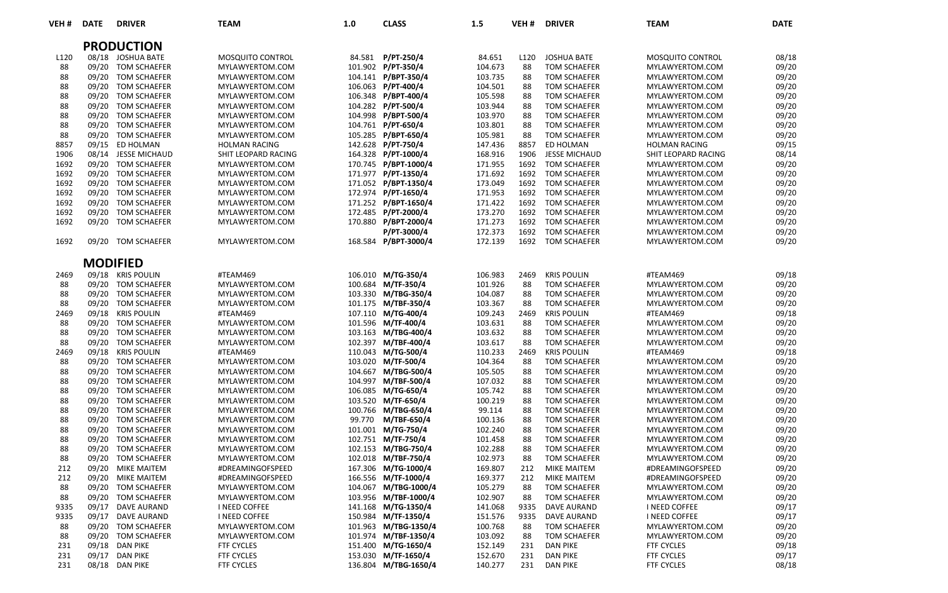| VEH#       | <b>DATE</b>    | <b>DRIVER</b>                     | <b>TEAM</b>                 | 1.0     | <b>CLASS</b>                               | 1.5                | VEH #            | <b>DRIVER</b>                             | <b>TEAM</b>                 | <b>DATE</b>    |
|------------|----------------|-----------------------------------|-----------------------------|---------|--------------------------------------------|--------------------|------------------|-------------------------------------------|-----------------------------|----------------|
|            |                | <b>PRODUCTION</b>                 |                             |         |                                            |                    |                  |                                           |                             |                |
| L120       |                | 08/18 JOSHUA BATE                 | MOSQUITO CONTROL            |         | 84.581 P/PT-250/4                          | 84.651             | L <sub>120</sub> | <b>JOSHUA BATE</b>                        | MOSQUITO CONTROL            | 08/18          |
| 88         | 09/20          | TOM SCHAEFER                      | MYLAWYERTOM.COM             |         | 101.902 P/PT-350/4                         | 104.673            | 88               | <b>TOM SCHAEFER</b>                       | MYLAWYERTOM.COM             | 09/20          |
| 88         |                | 09/20 TOM SCHAEFER                | MYLAWYERTOM.COM             |         | 104.141 P/BPT-350/4                        | 103.735            | 88               | <b>TOM SCHAEFER</b>                       | MYLAWYERTOM.COM             | 09/20          |
| 88         |                | 09/20 TOM SCHAEFER                | MYLAWYERTOM.COM             |         | 106.063 P/PT-400/4                         | 104.501            | 88               | <b>TOM SCHAEFER</b>                       | MYLAWYERTOM.COM             | 09/20          |
| 88         |                | 09/20 TOM SCHAEFER                | MYLAWYERTOM.COM             |         | 106.348 P/BPT-400/4                        | 105.598            | 88               | <b>TOM SCHAEFER</b>                       | MYLAWYERTOM.COM             | 09/20          |
| 88         | 09/20          | <b>TOM SCHAEFER</b>               | MYLAWYERTOM.COM             |         | 104.282 P/PT-500/4                         | 103.944            | 88               | <b>TOM SCHAEFER</b>                       | MYLAWYERTOM.COM             | 09/20          |
| 88         | 09/20          | TOM SCHAEFER                      | MYLAWYERTOM.COM             |         | 104.998 P/BPT-500/4                        | 103.970            | 88               | <b>TOM SCHAEFER</b>                       | MYLAWYERTOM.COM             | 09/20          |
| 88         |                | 09/20 TOM SCHAEFER                | MYLAWYERTOM.COM             |         | 104.761 P/PT-650/4                         | 103.801            | 88               | <b>TOM SCHAEFER</b>                       | MYLAWYERTOM.COM             | 09/20          |
| 88         |                | 09/20 TOM SCHAEFER                | MYLAWYERTOM.COM             |         | 105.285 P/BPT-650/4                        | 105.981            | 88               | <b>TOM SCHAEFER</b>                       | MYLAWYERTOM.COM             | 09/20          |
| 8857       |                | 09/15 ED HOLMAN                   | <b>HOLMAN RACING</b>        |         | 142.628 P/PT-750/4                         | 147.436            | 8857             | ED HOLMAN                                 | HOLMAN RACING               | 09/15          |
| 1906       |                | 08/14 JESSE MICHAUD               | SHIT LEOPARD RACING         |         | 164.328 P/PT-1000/4                        | 168.916            | 1906             | <b>JESSE MICHAUD</b>                      | SHIT LEOPARD RACING         | 08/14          |
| 1692       |                | 09/20 TOM SCHAEFER                | MYLAWYERTOM.COM             |         | 170.745 P/BPT-1000/4                       | 171.955            | 1692             | <b>TOM SCHAEFER</b>                       | MYLAWYERTOM.COM             | 09/20          |
| 1692       |                | 09/20 TOM SCHAEFER                | MYLAWYERTOM.COM             |         | 171.977 P/PT-1350/4                        | 171.692            | 1692             | <b>TOM SCHAEFER</b>                       | MYLAWYERTOM.COM             | 09/20          |
| 1692       | 09/20          | TOM SCHAEFER                      | MYLAWYERTOM.COM             |         | 171.052 P/BPT-1350/4                       | 173.049            | 1692             | <b>TOM SCHAEFER</b>                       | MYLAWYERTOM.COM             | 09/20          |
| 1692       | 09/20          | <b>TOM SCHAEFER</b>               | MYLAWYERTOM.COM             |         | 172.974 P/PT-1650/4                        | 171.953            | 1692             | <b>TOM SCHAEFER</b>                       | MYLAWYERTOM.COM             | 09/20          |
| 1692       | 09/20          | TOM SCHAEFER                      | MYLAWYERTOM.COM             |         | 171.252 P/BPT-1650/4                       | 171.422            | 1692             | <b>TOM SCHAEFER</b>                       | MYLAWYERTOM.COM             | 09/20          |
| 1692       | 09/20          | <b>TOM SCHAEFER</b>               | MYLAWYERTOM.COM             |         | 172.485 P/PT-2000/4                        | 173.270            | 1692             | <b>TOM SCHAEFER</b>                       | MYLAWYERTOM.COM             | 09/20          |
| 1692       | 09/20          | <b>TOM SCHAEFER</b>               | MYLAWYERTOM.COM             |         | 170.880 P/BPT-2000/4                       | 171.273            | 1692             | <b>TOM SCHAEFER</b>                       | MYLAWYERTOM.COM             | 09/20          |
|            |                |                                   |                             |         | P/PT-3000/4                                | 172.373            | 1692             | <b>TOM SCHAEFER</b>                       | MYLAWYERTOM.COM             | 09/20          |
| 1692       |                | 09/20 TOM SCHAEFER                | MYLAWYERTOM.COM             |         | 168.584 P/BPT-3000/4                       | 172.139            | 1692             | <b>TOM SCHAEFER</b>                       | MYLAWYERTOM.COM             | 09/20          |
|            |                |                                   |                             |         |                                            |                    |                  |                                           |                             |                |
|            |                | <b>MODIFIED</b>                   |                             |         |                                            |                    |                  |                                           |                             |                |
| 2469       |                | 09/18 KRIS POULIN                 | #TEAM469                    |         | 106.010 M/TG-350/4                         | 106.983            | 2469             | <b>KRIS POULIN</b>                        | #TEAM469                    | 09/18          |
| 88         |                | 09/20 TOM SCHAEFER                | MYLAWYERTOM.COM             | 100.684 | M/TF-350/4                                 | 101.926            | 88               | <b>TOM SCHAEFER</b>                       | MYLAWYERTOM.COM             | 09/20          |
| 88         | 09/20          | TOM SCHAEFER                      | MYLAWYERTOM.COM             |         | 103.330 M/TBG-350/4                        | 104.087            | 88               | <b>TOM SCHAEFER</b>                       | MYLAWYERTOM.COM             | 09/20          |
| 88         |                | 09/20 TOM SCHAEFER                | MYLAWYERTOM.COM             |         | 101.175 M/TBF-350/4                        | 103.367            | 88               | <b>TOM SCHAEFER</b>                       | MYLAWYERTOM.COM             | 09/20          |
| 2469       |                | 09/18 KRIS POULIN                 | #TEAM469                    |         | 107.110 M/TG-400/4                         | 109.243            | 2469             | <b>KRIS POULIN</b>                        | #TEAM469                    | 09/18          |
| 88         |                | 09/20 TOM SCHAEFER                | MYLAWYERTOM.COM             |         | 101.596 M/TF-400/4                         | 103.631            | 88               | <b>TOM SCHAEFER</b>                       | MYLAWYERTOM.COM             | 09/20          |
| 88<br>88   | 09/20<br>09/20 | <b>TOM SCHAEFER</b>               | MYLAWYERTOM.COM             |         | 103.163 M/TBG-400/4<br>102.397 M/TBF-400/4 | 103.632<br>103.617 | 88<br>88         | <b>TOM SCHAEFER</b>                       | MYLAWYERTOM.COM             | 09/20          |
|            |                | TOM SCHAEFER                      | MYLAWYERTOM.COM<br>#TEAM469 |         |                                            |                    | 2469             | <b>TOM SCHAEFER</b>                       | MYLAWYERTOM.COM             | 09/20          |
| 2469<br>88 | 09/20          | 09/18 KRIS POULIN<br>TOM SCHAEFER | MYLAWYERTOM.COM             |         | 110.043 M/TG-500/4<br>103.020 M/TF-500/4   | 110.233<br>104.364 | 88               | <b>KRIS POULIN</b><br><b>TOM SCHAEFER</b> | #TEAM469<br>MYLAWYERTOM.COM | 09/18<br>09/20 |
| 88         | 09/20          | <b>TOM SCHAEFER</b>               | MYLAWYERTOM.COM             |         | 104.667 M/TBG-500/4                        | 105.505            | 88               | <b>TOM SCHAEFER</b>                       | MYLAWYERTOM.COM             | 09/20          |
| 88         | 09/20          | TOM SCHAEFER                      | MYLAWYERTOM.COM             |         | 104.997 M/TBF-500/4                        | 107.032            | 88               | <b>TOM SCHAEFER</b>                       | MYLAWYERTOM.COM             | 09/20          |
| 88         |                | 09/20 TOM SCHAEFER                | MYLAWYERTOM.COM             |         | 106.085 M/TG-650/4                         | 105.742            | 88               | <b>TOM SCHAEFER</b>                       | MYLAWYERTOM.COM             | 09/20          |
| 88         |                | 09/20 TOM SCHAEFER                | MYLAWYERTOM.COM             |         | 103.520 M/TF-650/4                         | 100.219            | 88               | <b>TOM SCHAEFER</b>                       | MYLAWYERTOM.COM             | 09/20          |
| 88         | 09/20          | TOM SCHAEFER                      | MYLAWYERTOM.COM             |         | 100.766 M/TBG-650/4                        | 99.114             | 88               | <b>TOM SCHAEFER</b>                       | MYLAWYERTOM.COM             | 09/20          |
| 88         | 09/20          | <b>TOM SCHAEFER</b>               | MYLAWYERTOM.COM             | 99.770  | M/TBF-650/4                                | 100.136            | 88               | <b>TOM SCHAEFER</b>                       | MYLAWYERTOM.COM             | 09/20          |
| 88         | 09/20          | <b>TOM SCHAEFER</b>               | MYLAWYERTOM.COM             |         | 101.001 M/TG-750/4                         | 102.240            | 88               | <b>TOM SCHAEFER</b>                       | MYLAWYERTOM.COM             | 09/20          |
| 88         |                | 09/20 TOM SCHAEFER                | MYLAWYERTOM.COM             |         | 102.751 M/TF-750/4                         | 101.458            | 88               | <b>TOM SCHAEFER</b>                       | MYLAWYERTOM.COM             | 09/20          |
| 88         | 09/20          | TOM SCHAEFER                      | MYLAWYERTOM.COM             |         | 102.153 M/TBG-750/4                        | 102.288            | 88               | <b>TOM SCHAEFER</b>                       | MYLAWYERTOM.COM             | 09/20          |
| 88         | 09/20          | TOM SCHAEFER                      | MYLAWYERTOM.COM             |         | 102.018 M/TBF-750/4                        | 102.973            | 88               | <b>TOM SCHAEFER</b>                       | MYLAWYERTOM.COM             | 09/20          |
| 212        | 09/20          | MIKE MAITEM                       | #DREAMINGOFSPEED            | 167.306 | M/TG-1000/4                                | 169.807            | 212              | MIKE MAITEM                               | #DREAMINGOFSPEED            | 09/20          |
| 212        | 09/20          | <b>MIKE MAITEM</b>                | #DREAMINGOFSPEED            |         | 166.556 M/TF-1000/4                        | 169.377            | 212              | MIKE MAITEM                               | #DREAMINGOFSPEED            | 09/20          |
| 88         | 09/20          | <b>TOM SCHAEFER</b>               | MYLAWYERTOM.COM             | 104.067 | M/TBG-1000/4                               | 105.279            | 88               | <b>TOM SCHAEFER</b>                       | MYLAWYERTOM.COM             | 09/20          |
| 88         | 09/20          | TOM SCHAEFER                      | MYLAWYERTOM.COM             |         | 103.956 M/TBF-1000/4                       | 102.907            | 88               | <b>TOM SCHAEFER</b>                       | MYLAWYERTOM.COM             | 09/20          |
| 9335       | 09/17          | <b>DAVE AURAND</b>                | I NEED COFFEE               |         | 141.168 M/TG-1350/4                        | 141.068            | 9335             | <b>DAVE AURAND</b>                        | I NEED COFFEE               | 09/17          |
| 9335       | 09/17          | <b>DAVE AURAND</b>                | <b>I NEED COFFEE</b>        | 150.984 | M/TF-1350/4                                | 151.576            | 9335             | <b>DAVE AURAND</b>                        | <b>I NEED COFFEE</b>        | 09/17          |
| 88         | 09/20          | <b>TOM SCHAEFER</b>               | MYLAWYERTOM.COM             |         | 101.963 M/TBG-1350/4                       | 100.768            | 88               | <b>TOM SCHAEFER</b>                       | MYLAWYERTOM.COM             | 09/20          |
| 88         | 09/20          | <b>TOM SCHAEFER</b>               | MYLAWYERTOM.COM             |         | 101.974 M/TBF-1350/4                       | 103.092            | 88               | <b>TOM SCHAEFER</b>                       | MYLAWYERTOM.COM             | 09/20          |
| 231        | 09/18          | <b>DAN PIKE</b>                   | <b>FTF CYCLES</b>           | 151.400 | M/TG-1650/4                                | 152.149            | 231              | <b>DAN PIKE</b>                           | <b>FTF CYCLES</b>           | 09/18          |
| 231        | 09/17          | <b>DAN PIKE</b>                   | <b>FTF CYCLES</b>           |         | 153.030 M/TF-1650/4                        | 152.670            | 231              | <b>DAN PIKE</b>                           | <b>FTF CYCLES</b>           | 09/17          |
| 231        |                | 08/18 DAN PIKE                    | <b>FTF CYCLES</b>           |         | 136.804 M/TBG-1650/4                       | 140.277            | 231              | <b>DAN PIKE</b>                           | FTF CYCLES                  | 08/18          |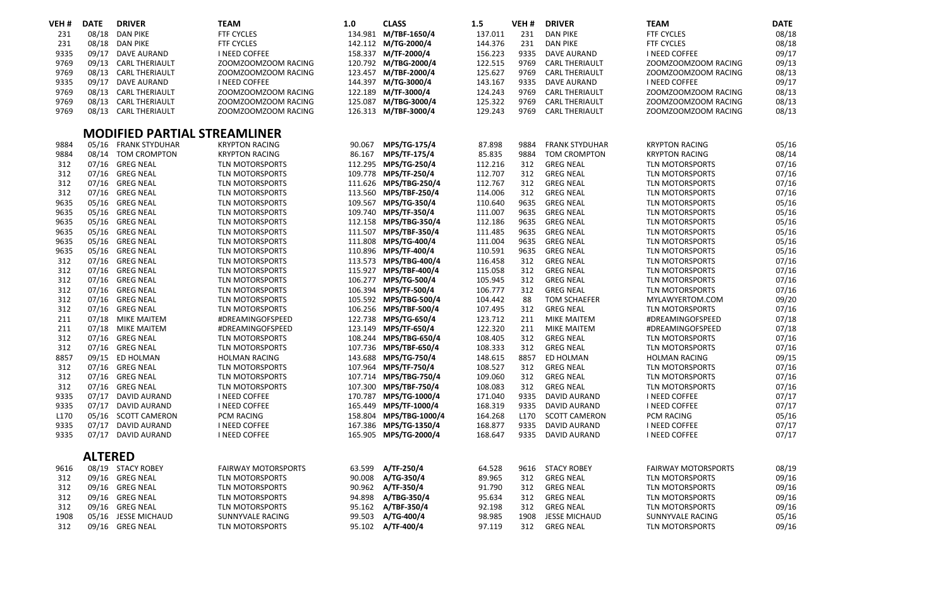| VEH # | <b>DATE</b>    | <b>DRIVER</b>                       | <b>TEAM</b>                | 1.0     | <b>CLASS</b>           | 1.5     | VEH#             | <b>DRIVER</b>         | <b>TEAM</b>                | <b>DATE</b> |
|-------|----------------|-------------------------------------|----------------------------|---------|------------------------|---------|------------------|-----------------------|----------------------------|-------------|
| 231   | 08/18          | <b>DAN PIKE</b>                     | <b>FTF CYCLES</b>          |         | 134.981 M/TBF-1650/4   | 137.011 | 231              | <b>DAN PIKE</b>       | FTF CYCLES                 | 08/18       |
| 231   | 08/18          | <b>DAN PIKE</b>                     | <b>FTF CYCLES</b>          |         | 142.112 M/TG-2000/4    | 144.376 | 231              | <b>DAN PIKE</b>       | <b>FTF CYCLES</b>          | 08/18       |
| 9335  | 09/17          | <b>DAVE AURAND</b>                  | I NEED COFFEE              |         | 158.337 M/TF-2000/4    | 156.223 | 9335             | <b>DAVE AURAND</b>    | <b>I NEED COFFEE</b>       | 09/17       |
| 9769  | 09/13          | <b>CARL THERIAULT</b>               | ZOOMZOOMZOOM RACING        |         | 120.792 M/TBG-2000/4   | 122.515 | 9769             | <b>CARL THERIAULT</b> | ZOOMZOOMZOOM RACING        | 09/13       |
| 9769  | 08/13          | <b>CARL THERIAULT</b>               | ZOOMZOOMZOOM RACING        |         | 123.457 M/TBF-2000/4   | 125.627 | 9769             | <b>CARL THERIAULT</b> | ZOOMZOOMZOOM RACING        | 08/13       |
| 9335  | 09/17          | <b>DAVE AURAND</b>                  | I NEED COFFEE              |         | 144.397 M/TG-3000/4    | 143.167 | 9335             | <b>DAVE AURAND</b>    | I NEED COFFEE              | 09/17       |
| 9769  | 08/13          | <b>CARL THERIAULT</b>               | ZOOMZOOMZOOM RACING        | 122.189 | M/TF-3000/4            | 124.243 | 9769             | <b>CARL THERIAULT</b> | ZOOMZOOMZOOM RACING        | 08/13       |
| 9769  | 08/13          | <b>CARL THERIAULT</b>               | ZOOMZOOMZOOM RACING        | 125.087 | M/TBG-3000/4           | 125.322 | 9769             | <b>CARL THERIAULT</b> | ZOOMZOOMZOOM RACING        | 08/13       |
| 9769  |                | 08/13 CARL THERIAULT                | ZOOMZOOMZOOM RACING        |         | 126.313 M/TBF-3000/4   | 129.243 | 9769             | <b>CARL THERIAULT</b> | ZOOMZOOMZOOM RACING        | 08/13       |
|       |                | <b>MODIFIED PARTIAL STREAMLINER</b> |                            |         |                        |         |                  |                       |                            |             |
| 9884  | 05/16          | <b>FRANK STYDUHAR</b>               | <b>KRYPTON RACING</b>      | 90.067  | MPS/TG-175/4           | 87.898  | 9884             | <b>FRANK STYDUHAR</b> | <b>KRYPTON RACING</b>      | 05/16       |
| 9884  | 08/14          | TOM CROMPTON                        | <b>KRYPTON RACING</b>      | 86.167  | MPS/TF-175/4           | 85.835  | 9884             | <b>TOM CROMPTON</b>   | <b>KRYPTON RACING</b>      | 08/14       |
| 312   | 07/16          | <b>GREG NEAL</b>                    | TLN MOTORSPORTS            |         | 112.295 MPS/TG-250/4   | 112.216 | 312              | <b>GREG NEAL</b>      | TLN MOTORSPORTS            | 07/16       |
| 312   |                | 07/16 GREG NEAL                     | TLN MOTORSPORTS            |         | 109.778 MPS/TF-250/4   | 112.707 | 312              | <b>GREG NEAL</b>      | <b>TLN MOTORSPORTS</b>     | 07/16       |
| 312   |                | 07/16 GREG NEAL                     | <b>TLN MOTORSPORTS</b>     |         | 111.626 MPS/TBG-250/4  | 112.767 | 312              | <b>GREG NEAL</b>      | <b>TLN MOTORSPORTS</b>     | 07/16       |
| 312   |                | 07/16 GREG NEAL                     | TLN MOTORSPORTS            |         | 113.560 MPS/TBF-250/4  | 114.006 | 312              | <b>GREG NEAL</b>      | TLN MOTORSPORTS            | 07/16       |
| 9635  | 05/16          | <b>GREG NEAL</b>                    | <b>TLN MOTORSPORTS</b>     |         | 109.567 MPS/TG-350/4   | 110.640 | 9635             | <b>GREG NEAL</b>      | <b>TLN MOTORSPORTS</b>     | 05/16       |
| 9635  |                | 05/16 GREG NEAL                     | <b>TLN MOTORSPORTS</b>     |         | 109.740 MPS/TF-350/4   | 111.007 | 9635             | <b>GREG NEAL</b>      | <b>TLN MOTORSPORTS</b>     | 05/16       |
| 9635  | 05/16          | <b>GREG NEAL</b>                    | <b>TLN MOTORSPORTS</b>     |         | 112.158 MPS/TBG-350/4  | 112.186 | 9635             | <b>GREG NEAL</b>      | <b>TLN MOTORSPORTS</b>     | 05/16       |
| 9635  |                | 05/16 GREG NEAL                     | <b>TLN MOTORSPORTS</b>     |         | 111.507 MPS/TBF-350/4  | 111.485 | 9635             | <b>GREG NEAL</b>      | <b>TLN MOTORSPORTS</b>     | 05/16       |
| 9635  |                | 05/16 GREG NEAL                     | <b>TLN MOTORSPORTS</b>     |         | 111.808 MPS/TG-400/4   | 111.004 | 9635             | <b>GREG NEAL</b>      | <b>TLN MOTORSPORTS</b>     | 05/16       |
| 9635  |                | 05/16 GREG NEAL                     | <b>TLN MOTORSPORTS</b>     |         | 110.896 MPS/TF-400/4   | 110.591 | 9635             | <b>GREG NEAL</b>      | <b>TLN MOTORSPORTS</b>     | 05/16       |
| 312   |                | 07/16 GREG NEAL                     | TLN MOTORSPORTS            |         | 113.573 MPS/TBG-400/4  | 116.458 | 312              | <b>GREG NEAL</b>      | TLN MOTORSPORTS            | 07/16       |
| 312   |                | 07/16 GREG NEAL                     | TLN MOTORSPORTS            |         | 115.927 MPS/TBF-400/4  | 115.058 | 312              | <b>GREG NEAL</b>      | TLN MOTORSPORTS            | 07/16       |
| 312   |                | 07/16 GREG NEAL                     | TLN MOTORSPORTS            |         | 106.277 MPS/TG-500/4   | 105.945 | 312              | <b>GREG NEAL</b>      | TLN MOTORSPORTS            | 07/16       |
| 312   |                | 07/16 GREG NEAL                     | TLN MOTORSPORTS            |         | 106.394 MPS/TF-500/4   | 106.777 | 312              | <b>GREG NEAL</b>      | <b>TLN MOTORSPORTS</b>     | 07/16       |
| 312   |                | 07/16 GREG NEAL                     | <b>TLN MOTORSPORTS</b>     |         | 105.592 MPS/TBG-500/4  | 104.442 | 88               | <b>TOM SCHAEFER</b>   | MYLAWYERTOM.COM            | 09/20       |
| 312   |                | 07/16 GREG NEAL                     | TLN MOTORSPORTS            |         | 106.256 MPS/TBF-500/4  | 107.495 | 312              | <b>GREG NEAL</b>      | <b>TLN MOTORSPORTS</b>     | 07/16       |
| 211   | 07/18          | <b>MIKE MAITEM</b>                  | #DREAMINGOFSPEED           | 122.738 | MPS/TG-650/4           | 123.712 | 211              | <b>MIKE MAITEM</b>    | #DREAMINGOFSPEED           | 07/18       |
| 211   |                | 07/18 MIKE MAITEM                   | #DREAMINGOFSPEED           |         | 123.149 MPS/TF-650/4   | 122.320 | 211              | <b>MIKE MAITEM</b>    | #DREAMINGOFSPEED           | 07/18       |
| 312   | 07/16          | <b>GREG NEAL</b>                    | <b>TLN MOTORSPORTS</b>     |         | 108.244 MPS/TBG-650/4  | 108.405 | 312              | <b>GREG NEAL</b>      | <b>TLN MOTORSPORTS</b>     | 07/16       |
| 312   |                | 07/16 GREG NEAL                     | TLN MOTORSPORTS            |         | 107.736 MPS/TBF-650/4  | 108.333 | 312              | <b>GREG NEAL</b>      | <b>TLN MOTORSPORTS</b>     | 07/16       |
| 8857  |                | 09/15 ED HOLMAN                     | HOLMAN RACING              |         | 143.688 MPS/TG-750/4   | 148.615 | 8857             | ED HOLMAN             | HOLMAN RACING              | 09/15       |
| 312   | 07/16          | <b>GREG NEAL</b>                    | <b>TLN MOTORSPORTS</b>     |         | 107.964 MPS/TF-750/4   | 108.527 | 312              | <b>GREG NEAL</b>      | <b>TLN MOTORSPORTS</b>     | 07/16       |
| 312   |                | 07/16 GREG NEAL                     | TLN MOTORSPORTS            |         | 107.714 MPS/TBG-750/4  | 109.060 | 312              | <b>GREG NEAL</b>      | TLN MOTORSPORTS            | 07/16       |
| 312   |                | 07/16 GREG NEAL                     | TLN MOTORSPORTS            | 107.300 | MPS/TBF-750/4          | 108.083 | 312              | <b>GREG NEAL</b>      | TLN MOTORSPORTS            | 07/16       |
| 9335  | 07/17          | <b>DAVID AURAND</b>                 | I NEED COFFEE              | 170.787 | MPS/TG-1000/4          | 171.040 | 9335             | <b>DAVID AURAND</b>   | I NEED COFFEE              | 07/17       |
| 9335  | 07/17          | <b>DAVID AURAND</b>                 | I NEED COFFEE              |         | 165.449 MPS/TF-1000/4  | 168.319 | 9335             | <b>DAVID AURAND</b>   | I NEED COFFEE              | 07/17       |
| L170  | 05/16          | <b>SCOTT CAMERON</b>                | PCM RACING                 |         | 158.804 MPS/TBG-1000/4 | 164.268 | L <sub>170</sub> | <b>SCOTT CAMERON</b>  | PCM RACING                 | 05/16       |
| 9335  | 07/17          | <b>DAVID AURAND</b>                 | I NEED COFFEE              | 167.386 | MPS/TG-1350/4          | 168.877 | 9335             | <b>DAVID AURAND</b>   | <b>I NEED COFFEE</b>       | 07/17       |
| 9335  |                | 07/17 DAVID AURAND                  | I NEED COFFEE              |         | 165.905 MPS/TG-2000/4  | 168.647 | 9335             | <b>DAVID AURAND</b>   | <b>I NEED COFFEE</b>       | 07/17       |
|       | <b>ALTERED</b> |                                     |                            |         |                        |         |                  |                       |                            |             |
| 9616  |                | 08/19 STACY ROBEY                   | <b>FAIRWAY MOTORSPORTS</b> | 63.599  | A/TF-250/4             | 64.528  | 9616             | <b>STACY ROBEY</b>    | <b>FAIRWAY MOTORSPORTS</b> | 08/19       |
| 312   | 09/16          | <b>GREG NEAL</b>                    | TLN MOTORSPORTS            | 90.008  | A/TG-350/4             | 89.965  | 312              | <b>GREG NEAL</b>      | <b>TLN MOTORSPORTS</b>     | 09/16       |
| 312   |                | 09/16 GREG NEAL                     | TLN MOTORSPORTS            | 90.962  | A/TF-350/4             | 91.790  | 312              | <b>GREG NEAL</b>      | TLN MOTORSPORTS            | 09/16       |
| 312   | 09/16          | <b>GREG NEAL</b>                    | TLN MOTORSPORTS            | 94.898  | A/TBG-350/4            | 95.634  | 312              | <b>GREG NEAL</b>      | TLN MOTORSPORTS            | 09/16       |
| 312   | 09/16          | <b>GREG NEAL</b>                    | TLN MOTORSPORTS            |         | 95.162 A/TBF-350/4     | 92.198  | 312              | <b>GREG NEAL</b>      | TLN MOTORSPORTS            | 09/16       |
| 1908  | 05/16          | <b>JESSE MICHAUD</b>                | SUNNYVALE RACING           | 99.503  | A/TG-400/4             | 98.985  | 1908             | <b>JESSE MICHAUD</b>  | SUNNYVALE RACING           | 05/16       |
| 312   |                | 09/16 GREG NEAL                     | <b>TLN MOTORSPORTS</b>     | 95.102  | A/TF-400/4             | 97.119  | 312              | <b>GREG NEAL</b>      | <b>TLN MOTORSPORTS</b>     | 09/16       |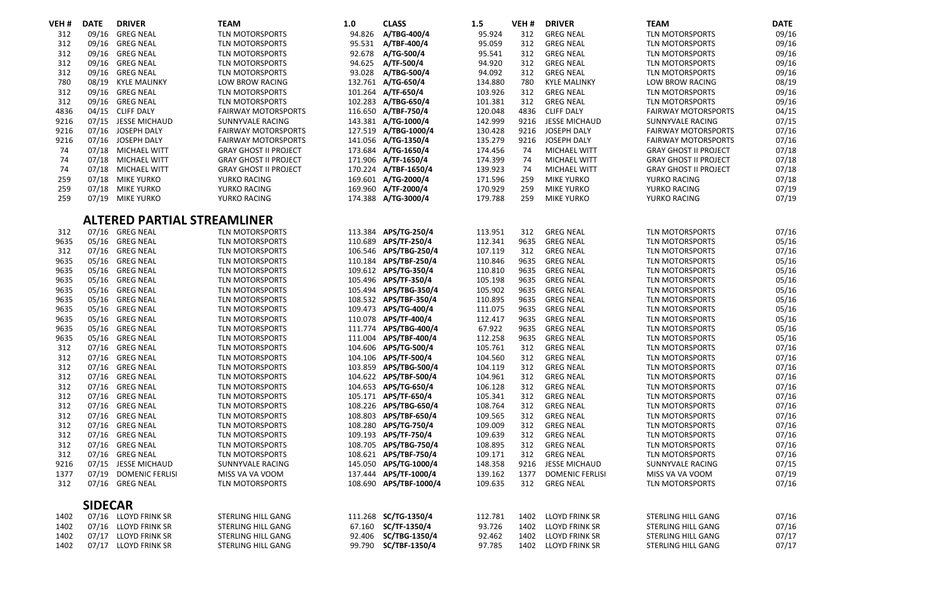| VEH# | <b>DATE</b>    | <b>DRIVER</b>                      | <b>TEAM</b>                  | 1.0     | <b>CLASS</b>           | 1.5     | VEH# | <b>DRIVER</b>          | <b>TEAM</b>                  | <b>DATE</b> |
|------|----------------|------------------------------------|------------------------------|---------|------------------------|---------|------|------------------------|------------------------------|-------------|
| 312  | 09/16          | <b>GREG NEAL</b>                   | TLN MOTORSPORTS              | 94.826  | A/TBG-400/4            | 95.924  | 312  | <b>GREG NEAL</b>       | <b>TLN MOTORSPORTS</b>       | 09/16       |
| 312  | 09/16          | <b>GREG NEAL</b>                   | TLN MOTORSPORTS              | 95.531  | A/TBF-400/4            | 95.059  | 312  | <b>GREG NEAL</b>       | <b>TLN MOTORSPORTS</b>       | 09/16       |
| 312  | 09/16          | <b>GREG NEAL</b>                   | TLN MOTORSPORTS              | 92.678  | A/TG-500/4             | 95.541  | 312  | <b>GREG NEAL</b>       | <b>TLN MOTORSPORTS</b>       | 09/16       |
| 312  |                | 09/16 GREG NEAL                    | TLN MOTORSPORTS              | 94.625  | A/TF-500/4             | 94.920  | 312  | <b>GREG NEAL</b>       | <b>TLN MOTORSPORTS</b>       | 09/16       |
| 312  | 09/16          | <b>GREG NEAL</b>                   | <b>TLN MOTORSPORTS</b>       | 93.028  | A/TBG-500/4            | 94.092  | 312  | <b>GREG NEAL</b>       | <b>TLN MOTORSPORTS</b>       | 09/16       |
| 780  | 08/19          | <b>KYLE MALINKY</b>                | <b>LOW BROW RACING</b>       |         | 132.761 A/TG-650/4     | 134.880 | 780  | <b>KYLE MALINKY</b>    | LOW BROW RACING              | 08/19       |
| 312  | 09/16          | <b>GREG NEAL</b>                   | TLN MOTORSPORTS              |         | 101.264 A/TF-650/4     | 103.926 | 312  | <b>GREG NEAL</b>       | <b>TLN MOTORSPORTS</b>       | 09/16       |
| 312  | 09/16          | <b>GREG NEAL</b>                   | <b>TLN MOTORSPORTS</b>       | 102.283 | A/TBG-650/4            | 101.381 | 312  | <b>GREG NEAL</b>       | <b>TLN MOTORSPORTS</b>       | 09/16       |
| 4836 |                | 04/15 CLIFF DALY                   | <b>FAIRWAY MOTORSPORTS</b>   |         | 116.650 A/TBF-750/4    | 120.048 | 4836 | <b>CLIFF DALY</b>      | <b>FAIRWAY MOTORSPORTS</b>   | 04/15       |
| 9216 | 07/15          | JESSE MICHAUD                      | SUNNYVALE RACING             |         | 143.381 A/TG-1000/4    | 142.999 | 9216 | JESSE MICHAUD          | SUNNYVALE RACING             | 07/15       |
| 9216 | 07/16          | JOSEPH DALY                        | <b>FAIRWAY MOTORSPORTS</b>   |         | 127.519 A/TBG-1000/4   | 130.428 | 9216 | JOSEPH DALY            | <b>FAIRWAY MOTORSPORTS</b>   | 07/16       |
| 9216 | 07/16          | JOSEPH DALY                        | <b>FAIRWAY MOTORSPORTS</b>   |         | 141.056 A/TG-1350/4    | 135.279 | 9216 | JOSEPH DALY            | <b>FAIRWAY MOTORSPORTS</b>   | 07/16       |
| 74   |                | 07/18 MICHAEL WITT                 | <b>GRAY GHOST II PROJECT</b> |         | 173.684 A/TG-1650/4    | 174.456 | 74   | MICHAEL WITT           | <b>GRAY GHOST II PROJECT</b> | 07/18       |
| 74   |                | 07/18 MICHAEL WITT                 | <b>GRAY GHOST II PROJECT</b> | 171.906 | A/TF-1650/4            | 174.399 | 74   | MICHAEL WITT           | <b>GRAY GHOST II PROJECT</b> | 07/18       |
| 74   | 07/18          | MICHAEL WITT                       | <b>GRAY GHOST II PROJECT</b> | 170.224 | A/TBF-1650/4           | 139.923 | 74   | MICHAEL WITT           | <b>GRAY GHOST II PROJECT</b> | 07/18       |
| 259  |                | 07/18 MIKE YURKO                   | YURKO RACING                 |         | 169.601 A/TG-2000/4    | 171.596 | 259  | <b>MIKE YURKO</b>      | YURKO RACING                 | 07/18       |
| 259  | 07/18          | <b>MIKE YURKO</b>                  | YURKO RACING                 |         | 169.960 A/TF-2000/4    | 170.929 | 259  | <b>MIKE YURKO</b>      | YURKO RACING                 | 07/19       |
| 259  |                | 07/19 MIKE YURKO                   | YURKO RACING                 |         | 174.388 A/TG-3000/4    | 179.788 | 259  | <b>MIKE YURKO</b>      | YURKO RACING                 | 07/19       |
|      |                | <b>ALTERED PARTIAL STREAMLINER</b> |                              |         |                        |         |      |                        |                              |             |
| 312  | 07/16          | <b>GREG NEAL</b>                   | <b>TLN MOTORSPORTS</b>       |         | 113.384 APS/TG-250/4   | 113.951 | 312  | <b>GREG NEAL</b>       | <b>TLN MOTORSPORTS</b>       | 07/16       |
| 9635 |                | 05/16 GREG NEAL                    | TLN MOTORSPORTS              | 110.689 | APS/TF-250/4           | 112.341 | 9635 | <b>GREG NEAL</b>       | <b>TLN MOTORSPORTS</b>       | 05/16       |
| 312  | 07/16          | <b>GREG NEAL</b>                   | <b>TLN MOTORSPORTS</b>       | 106.546 | APS/TBG-250/4          | 107.119 | 312  | <b>GREG NEAL</b>       | <b>TLN MOTORSPORTS</b>       | 07/16       |
| 9635 | 05/16          | <b>GREG NEAL</b>                   | TLN MOTORSPORTS              | 110.184 | APS/TBF-250/4          | 110.846 | 9635 | <b>GREG NEAL</b>       | <b>TLN MOTORSPORTS</b>       | 05/16       |
| 9635 |                | 05/16 GREG NEAL                    | <b>TLN MOTORSPORTS</b>       |         | 109.612 APS/TG-350/4   | 110.810 | 9635 | <b>GREG NEAL</b>       | <b>TLN MOTORSPORTS</b>       | 05/16       |
| 9635 | 05/16          | <b>GREG NEAL</b>                   | <b>TLN MOTORSPORTS</b>       | 105.496 | APS/TF-350/4           | 105.198 | 9635 | <b>GREG NEAL</b>       | <b>TLN MOTORSPORTS</b>       | 05/16       |
| 9635 | 05/16          | <b>GREG NEAL</b>                   | <b>TLN MOTORSPORTS</b>       |         | 105.494 APS/TBG-350/4  | 105.902 | 9635 | <b>GREG NEAL</b>       | <b>TLN MOTORSPORTS</b>       | 05/16       |
| 9635 |                | 05/16 GREG NEAL                    | <b>TLN MOTORSPORTS</b>       |         | 108.532 APS/TBF-350/4  | 110.895 | 9635 | <b>GREG NEAL</b>       | <b>TLN MOTORSPORTS</b>       | 05/16       |
| 9635 | 05/16          | <b>GREG NEAL</b>                   | TLN MOTORSPORTS              | 109.473 | APS/TG-400/4           | 111.075 | 9635 | <b>GREG NEAL</b>       | <b>TLN MOTORSPORTS</b>       | 05/16       |
| 9635 | 05/16          | <b>GREG NEAL</b>                   | TLN MOTORSPORTS              | 110.078 | APS/TF-400/4           | 112.417 | 9635 | <b>GREG NEAL</b>       | <b>TLN MOTORSPORTS</b>       | 05/16       |
| 9635 |                | 05/16 GREG NEAL                    | TLN MOTORSPORTS              | 111.774 | APS/TBG-400/4          | 67.922  | 9635 | <b>GREG NEAL</b>       | <b>TLN MOTORSPORTS</b>       | 05/16       |
| 9635 |                | 05/16 GREG NEAL                    | TLN MOTORSPORTS              | 111.004 | APS/TBF-400/4          | 112.258 | 9635 | <b>GREG NEAL</b>       | <b>TLN MOTORSPORTS</b>       | 05/16       |
| 312  | 07/16          | <b>GREG NEAL</b>                   | TLN MOTORSPORTS              | 104.606 | APS/TG-500/4           | 105.761 | 312  | <b>GREG NEAL</b>       | <b>TLN MOTORSPORTS</b>       | 07/16       |
| 312  |                | 07/16 GREG NEAL                    | TLN MOTORSPORTS              | 104.106 | APS/TF-500/4           | 104.560 | 312  | <b>GREG NEAL</b>       | <b>TLN MOTORSPORTS</b>       | 07/16       |
| 312  | 07/16          | <b>GREG NEAL</b>                   | TLN MOTORSPORTS              | 103.859 | APS/TBG-500/4          | 104.119 | 312  | <b>GREG NEAL</b>       | <b>TLN MOTORSPORTS</b>       | 07/16       |
| 312  |                | 07/16 GREG NEAL                    | TLN MOTORSPORTS              |         | 104.622 APS/TBF-500/4  | 104.961 | 312  | <b>GREG NEAL</b>       | <b>TLN MOTORSPORTS</b>       | 07/16       |
| 312  |                | 07/16 GREG NEAL                    | TLN MOTORSPORTS              | 104.653 | APS/TG-650/4           | 106.128 | 312  | <b>GREG NEAL</b>       | TLN MOTORSPORTS              | 07/16       |
| 312  | 07/16          | <b>GREG NEAL</b>                   | <b>TLN MOTORSPORTS</b>       | 105.171 | APS/TF-650/4           | 105.341 | 312  | <b>GREG NEAL</b>       | <b>TLN MOTORSPORTS</b>       | 07/16       |
| 312  |                | 07/16 GREG NEAL                    | TLN MOTORSPORTS              |         | 108.226 APS/TBG-650/4  | 108.764 | 312  | <b>GREG NEAL</b>       | <b>TLN MOTORSPORTS</b>       | 07/16       |
| 312  |                | 07/16 GREG NEAL                    | TLN MOTORSPORTS              | 108.803 | APS/TBF-650/4          | 109.565 | 312  | <b>GREG NEAL</b>       | <b>TLN MOTORSPORTS</b>       | 07/16       |
| 312  |                | 07/16 GREG NEAL                    | <b>TLN MOTORSPORTS</b>       | 108.280 | APS/TG-750/4           | 109.009 | 312  | <b>GREG NEAL</b>       | <b>TLN MOTORSPORTS</b>       | 07/16       |
| 312  | 07/16          | <b>GREG NEAL</b>                   | <b>TLN MOTORSPORTS</b>       | 109.193 | APS/TF-750/4           | 109.639 | 312  | <b>GREG NEAL</b>       | <b>TLN MOTORSPORTS</b>       | 07/16       |
| 312  |                | 07/16 GREG NEAL                    | TLN MOTORSPORTS              | 108.705 | APS/TBG-750/4          | 108.895 | 312  | <b>GREG NEAL</b>       | <b>TLN MOTORSPORTS</b>       | 07/16       |
| 312  | 07/16          | <b>GREG NEAL</b>                   | TLN MOTORSPORTS              | 108.621 | APS/TBF-750/4          | 109.171 | 312  | <b>GREG NEAL</b>       | <b>TLN MOTORSPORTS</b>       | 07/16       |
| 9216 | 07/15          | <b>JESSE MICHAUD</b>               | SUNNYVALE RACING             | 145.050 | APS/TG-1000/4          | 148.358 | 9216 | JESSE MICHAUD          | SUNNYVALE RACING             | 07/15       |
| 1377 | 07/19          | <b>DOMENIC FERLISI</b>             | MISS VA VA VOOM              |         | 137.444 APS/TF-1000/4  | 139.162 | 1377 | <b>DOMENIC FERLISI</b> | MISS VA VA VOOM              | 07/19       |
| 312  |                | 07/16 GREG NEAL                    | TLN MOTORSPORTS              |         | 108.690 APS/TBF-1000/4 | 109.635 | 312  | <b>GREG NEAL</b>       | <b>TLN MOTORSPORTS</b>       | 07/16       |
|      | <b>SIDECAR</b> |                                    |                              |         |                        |         |      |                        |                              |             |
| 1402 |                | 07/16 LLOYD FRINK SR               | STERLING HILL GANG           |         | 111.268 SC/TG-1350/4   | 112.781 | 1402 | <b>LLOYD FRINK SR</b>  | STERLING HILL GANG           | 07/16       |
| 1402 |                | 07/16 LLOYD FRINK SR               | STERLING HILL GANG           | 67.160  | SC/TF-1350/4           | 93.726  | 1402 | <b>LLOYD FRINK SR</b>  | STERLING HILL GANG           | 07/16       |
| 1402 |                | 07/17 LLOYD FRINK SR               | STERLING HILL GANG           | 92.406  | SC/TBG-1350/4          | 92.462  | 1402 | <b>LLOYD FRINK SR</b>  | STERLING HILL GANG           | 07/17       |
| 1402 |                | 07/17 LLOYD FRINK SR               | STERLING HILL GANG           | 99.790  | SC/TBF-1350/4          | 97.785  | 1402 | LLOYD FRINK SR         | STERLING HILL GANG           | 07/17       |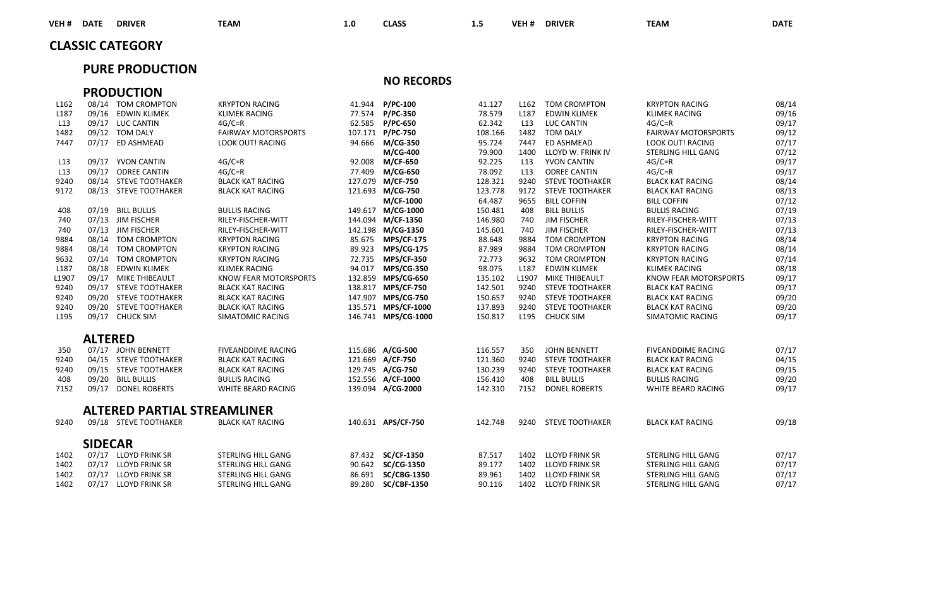| VEH#<br><b>DATE</b>     | <b>DRIVER</b> | <b>TEAM</b> | 1.0 | <b>CLASS</b> | $\overline{\phantom{a}}$<br><br>$\sim$ | VEH <sub>#</sub> | <b>DRIVER</b> | <b>TEAM</b> | <b>DATE</b> |
|-------------------------|---------------|-------------|-----|--------------|----------------------------------------|------------------|---------------|-------------|-------------|
| <b>CLASSIC CATEGORY</b> |               |             |     |              |                                        |                  |               |             |             |

### **PURE PRODUCTION**

**NO RECORDS**

|                  |                | <b>PRODUCTION</b>                  |                              |        |                     |         |                  |                        |                            |       |
|------------------|----------------|------------------------------------|------------------------------|--------|---------------------|---------|------------------|------------------------|----------------------------|-------|
| L <sub>162</sub> |                | 08/14 TOM CROMPTON                 | <b>KRYPTON RACING</b>        | 41.944 | <b>P/PC-100</b>     | 41.127  | L <sub>162</sub> | <b>TOM CROMPTON</b>    | <b>KRYPTON RACING</b>      | 08/14 |
| L <sub>187</sub> |                | 09/16 EDWIN KLIMEK                 | <b>KLIMEK RACING</b>         |        | 77.574 P/PC-350     | 78.579  | L187             | <b>EDWIN KLIMEK</b>    | <b>KLIMEK RACING</b>       | 09/16 |
| L13              |                | 09/17 LUC CANTIN                   | $4G/C=R$                     |        | 62.585 P/PC-650     | 62.342  | L13              | <b>LUC CANTIN</b>      | $4G/C=R$                   | 09/17 |
| 1482             |                | 09/12 TOM DALY                     | <b>FAIRWAY MOTORSPORTS</b>   |        | 107.171 P/PC-750    | 108.166 | 1482             | <b>TOM DALY</b>        | <b>FAIRWAY MOTORSPORTS</b> | 09/12 |
| 7447             |                | 07/17 ED ASHMEAD                   | <b>LOOK OUT! RACING</b>      |        | 94.666 M/CG-350     | 95.724  | 7447             | ED ASHMEAD             | <b>LOOK OUT! RACING</b>    | 07/17 |
|                  |                |                                    |                              |        | M/CG-400            | 79,900  | 1400             | LLOYD W. FRINK IV      | STERLING HILL GANG         | 07/12 |
| L13              |                | 09/17 YVON CANTIN                  | $4G/C=R$                     |        | 92.008 M/CF-650     | 92.225  | L13              | YVON CANTIN            | $4G/C=R$                   | 09/17 |
| L13              |                | 09/17 ODREE CANTIN                 | $4G/C=R$                     |        | 77.409 M/CG-650     | 78.092  | L <sub>13</sub>  | <b>ODREE CANTIN</b>    | $4G/C=R$                   | 09/17 |
| 9240             |                | 08/14 STEVE TOOTHAKER              | <b>BLACK KAT RACING</b>      |        | 127.079 M/CF-750    | 128.321 | 9240             | <b>STEVE TOOTHAKER</b> | <b>BLACK KAT RACING</b>    | 08/14 |
| 9172             |                | 08/13 STEVE TOOTHAKER              | <b>BLACK KAT RACING</b>      |        | 121.693 M/CG-750    | 123.778 |                  | 9172 STEVE TOOTHAKER   | <b>BLACK KAT RACING</b>    | 08/13 |
|                  |                |                                    |                              |        | M/CF-1000           | 64.487  | 9655             | <b>BILL COFFIN</b>     | <b>BILL COFFIN</b>         | 07/12 |
| 408              |                | 07/19 BILL BULLIS                  | <b>BULLIS RACING</b>         |        | 149.617 M/CG-1000   | 150.481 | 408              | <b>BILL BULLIS</b>     | <b>BULLIS RACING</b>       | 07/19 |
| 740              |                | 07/13 JIM FISCHER                  | RILEY-FISCHER-WITT           |        | 144.094 M/CF-1350   | 146.980 | 740              | JIM FISCHER            | RILEY-FISCHER-WITT         | 07/13 |
| 740              |                | 07/13 JIM FISCHER                  | RILEY-FISCHER-WITT           |        | 142.198 M/CG-1350   | 145.601 | 740              | <b>JIM FISCHER</b>     | RILEY-FISCHER-WITT         | 07/13 |
| 9884             |                | 08/14 TOM CROMPTON                 | <b>KRYPTON RACING</b>        |        | 85.675 MPS/CF-175   | 88.648  | 9884             | <b>TOM CROMPTON</b>    | <b>KRYPTON RACING</b>      | 08/14 |
| 9884             |                | 08/14 TOM CROMPTON                 | <b>KRYPTON RACING</b>        |        | 89.923 MPS/CG-175   | 87.989  | 9884             | <b>TOM CROMPTON</b>    | <b>KRYPTON RACING</b>      | 08/14 |
| 9632             |                | 07/14 TOM CROMPTON                 | <b>KRYPTON RACING</b>        |        | 72.735 MPS/CF-350   | 72.773  |                  | 9632 TOM CROMPTON      | <b>KRYPTON RACING</b>      | 07/14 |
| L <sub>187</sub> |                | 08/18 EDWIN KLIMEK                 | <b>KLIMEK RACING</b>         |        | 94.017 MPS/CG-350   | 98.075  | L187             | <b>EDWIN KLIMEK</b>    | <b>KLIMEK RACING</b>       | 08/18 |
| L1907            |                | 09/17 MIKE THIBEAULT               | <b>KNOW FEAR MOTORSPORTS</b> |        | 132.859 MPS/CG-650  | 135.102 |                  | L1907 MIKE THIBEAULT   | KNOW FEAR MOTORSPORTS      | 09/17 |
| 9240             |                | 09/17 STEVE TOOTHAKER              | <b>BLACK KAT RACING</b>      |        | 138.817 MPS/CF-750  | 142.501 |                  | 9240 STEVE TOOTHAKER   | <b>BLACK KAT RACING</b>    | 09/17 |
| 9240             |                | 09/20 STEVE TOOTHAKER              | <b>BLACK KAT RACING</b>      |        | 147.907 MPS/CG-750  | 150.657 |                  | 9240 STEVE TOOTHAKER   | <b>BLACK KAT RACING</b>    | 09/20 |
| 9240             |                | 09/20 STEVE TOOTHAKER              | <b>BLACK KAT RACING</b>      |        | 135.571 MPS/CF-1000 | 137.893 | 9240             | <b>STEVE TOOTHAKER</b> | <b>BLACK KAT RACING</b>    | 09/20 |
| L <sub>195</sub> |                | 09/17 CHUCK SIM                    | SIMATOMIC RACING             |        | 146.741 MPS/CG-1000 | 150.817 | L <sub>195</sub> | <b>CHUCK SIM</b>       | SIMATOMIC RACING           | 09/17 |
|                  | <b>ALTERED</b> |                                    |                              |        |                     |         |                  |                        |                            |       |
| 350              |                | 07/17 JOHN BENNETT                 | <b>FIVEANDDIME RACING</b>    |        | 115.686 A/CG-500    | 116.557 | 350              | JOHN BENNETT           | <b>FIVEANDDIME RACING</b>  | 07/17 |
| 9240             |                | 04/15 STEVE TOOTHAKER              | <b>BLACK KAT RACING</b>      |        | 121.669 A/CF-750    | 121.360 | 9240             | <b>STEVE TOOTHAKER</b> | <b>BLACK KAT RACING</b>    | 04/15 |
| 9240             |                | 09/15 STEVE TOOTHAKER              | <b>BLACK KAT RACING</b>      |        | 129.745 A/CG-750    | 130.239 | 9240             | <b>STEVE TOOTHAKER</b> | <b>BLACK KAT RACING</b>    | 09/15 |
| 408              |                | 09/20 BILL BULLIS                  | <b>BULLIS RACING</b>         |        | 152.556 A/CF-1000   | 156.410 | 408              | <b>BILL BULLIS</b>     | <b>BULLIS RACING</b>       | 09/20 |
| 7152             |                | 09/17 DONEL ROBERTS                | WHITE BEARD RACING           |        | 139.094 A/CG-2000   | 142.310 | 7152             | <b>DONEL ROBERTS</b>   | WHITE BEARD RACING         | 09/17 |
|                  |                | <b>ALTERED PARTIAL STREAMLINER</b> |                              |        |                     |         |                  |                        |                            |       |
| 9240             |                | 09/18 STEVE TOOTHAKER              | <b>BLACK KAT RACING</b>      |        | 140.631 APS/CF-750  | 142.748 | 9240             | <b>STEVE TOOTHAKER</b> | <b>BLACK KAT RACING</b>    | 09/18 |
|                  | <b>SIDECAR</b> |                                    |                              |        |                     |         |                  |                        |                            |       |
| 1402             |                | 07/17 LLOYD FRINK SR               | STERLING HILL GANG           |        | 87.432 SC/CF-1350   | 87.517  | 1402             | <b>LLOYD FRINK SR</b>  | STERLING HILL GANG         | 07/17 |
| 1402             |                | 07/17 LLOYD FRINK SR               | STERLING HILL GANG           |        | 90.642 SC/CG-1350   | 89.177  | 1402             | <b>LLOYD FRINK SR</b>  | STERLING HILL GANG         | 07/17 |
| 1402             |                | 07/17 LLOYD FRINK SR               | STERLING HILL GANG           |        | 86.691 SC/CBG-1350  | 89.961  | 1402             | <b>LLOYD FRINK SR</b>  | STERLING HILL GANG         | 07/17 |
| 1402             |                | 07/17 LLOYD FRINK SR               |                              |        | 89.280 SC/CBF-1350  | 90.116  | 1402             | <b>LLOYD FRINK SR</b>  |                            | 07/17 |
|                  |                |                                    | STERLING HILL GANG           |        |                     |         |                  |                        | STERLING HILL GANG         |       |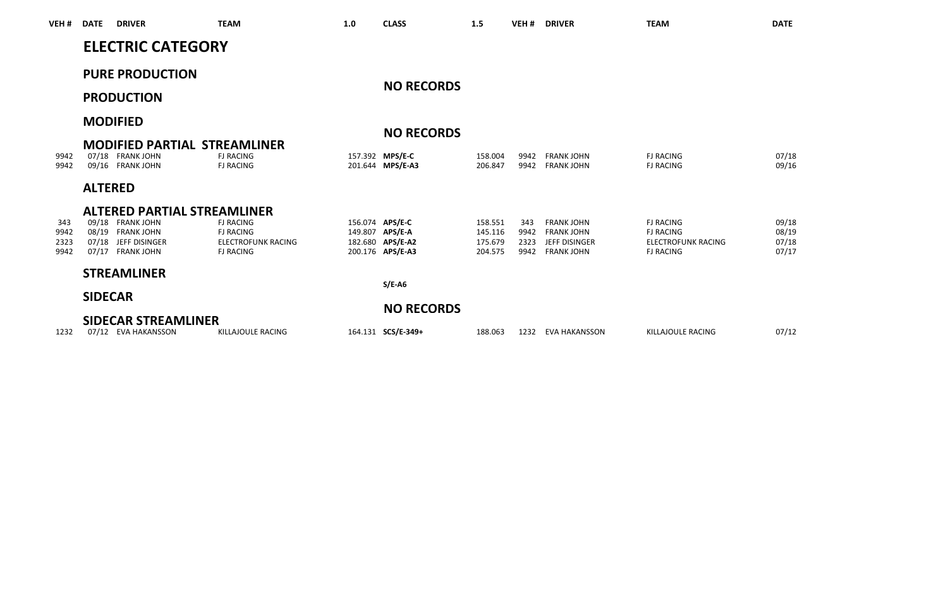| VEH #        | <b>DATE</b>    | <b>DRIVER</b>                                                               | <b>TEAM</b>                                   | 1.0 | <b>CLASS</b>                         | 1.5                | VEH <sub>#</sub> | <b>DRIVER</b>                          | <b>TEAM</b>                                   | <b>DATE</b>    |
|--------------|----------------|-----------------------------------------------------------------------------|-----------------------------------------------|-----|--------------------------------------|--------------------|------------------|----------------------------------------|-----------------------------------------------|----------------|
|              |                | <b>ELECTRIC CATEGORY</b>                                                    |                                               |     |                                      |                    |                  |                                        |                                               |                |
|              |                | <b>PURE PRODUCTION</b>                                                      |                                               |     | <b>NO RECORDS</b>                    |                    |                  |                                        |                                               |                |
|              |                | <b>PRODUCTION</b>                                                           |                                               |     |                                      |                    |                  |                                        |                                               |                |
|              |                | <b>MODIFIED</b>                                                             |                                               |     |                                      |                    |                  |                                        |                                               |                |
|              |                |                                                                             |                                               |     | <b>NO RECORDS</b>                    |                    |                  |                                        |                                               |                |
| 9942<br>9942 |                | <b>MODIFIED PARTIAL STREAMLINER</b><br>07/18 FRANK JOHN<br>09/16 FRANK JOHN | <b>FJ RACING</b><br><b>FJ RACING</b>          |     | 157.392 MPS/E-C<br>201.644 MPS/E-A3  | 158,004<br>206.847 | 9942<br>9942     | <b>FRANK JOHN</b><br><b>FRANK JOHN</b> | <b>FJ RACING</b><br><b>FJ RACING</b>          | 07/18<br>09/16 |
|              | <b>ALTERED</b> |                                                                             |                                               |     |                                      |                    |                  |                                        |                                               |                |
|              |                | <b>ALTERED PARTIAL STREAMLINER</b>                                          |                                               |     |                                      |                    |                  |                                        |                                               |                |
| 343          |                | 09/18 FRANK JOHN                                                            | <b>FJ RACING</b>                              |     | 156.074 APS/E-C                      | 158.551            | 343              | <b>FRANK JOHN</b>                      | <b>FJ RACING</b>                              | 09/18          |
| 9942         |                | 08/19 FRANK JOHN                                                            | <b>FJ RACING</b>                              |     | 149.807 APS/E-A                      | 145,116            | 9942             | <b>FRANK IOHN</b>                      | <b>FJ RACING</b>                              | 08/19          |
| 2323<br>9942 |                | 07/18 JEFF DISINGER<br>07/17 FRANK JOHN                                     | <b>ELECTROFUNK RACING</b><br><b>FJ RACING</b> |     | 182.680 APS/E-A2<br>200.176 APS/E-A3 | 175.679<br>204.575 | 2323<br>9942     | JEFF DISINGER<br><b>FRANK JOHN</b>     | <b>FLECTROFUNK RACING</b><br><b>FJ RACING</b> | 07/18<br>07/17 |
|              |                | <b>STREAMLINER</b>                                                          |                                               |     |                                      |                    |                  |                                        |                                               |                |
|              |                |                                                                             |                                               |     | $S/E-AG$                             |                    |                  |                                        |                                               |                |
|              | <b>SIDECAR</b> |                                                                             |                                               |     |                                      |                    |                  |                                        |                                               |                |
|              |                |                                                                             |                                               |     | <b>NO RECORDS</b>                    |                    |                  |                                        |                                               |                |
|              |                | SIDECAR STREAMLINER                                                         |                                               |     |                                      |                    |                  |                                        |                                               |                |
| 1232         |                | 07/12 EVA HAKANSSON                                                         | KILLAIOULE RACING                             |     | 164.131 SCS/E-349+                   | 188.063            | 1232             | EVA HAKANSSON                          | KILLAIOULE RACING                             | 07/12          |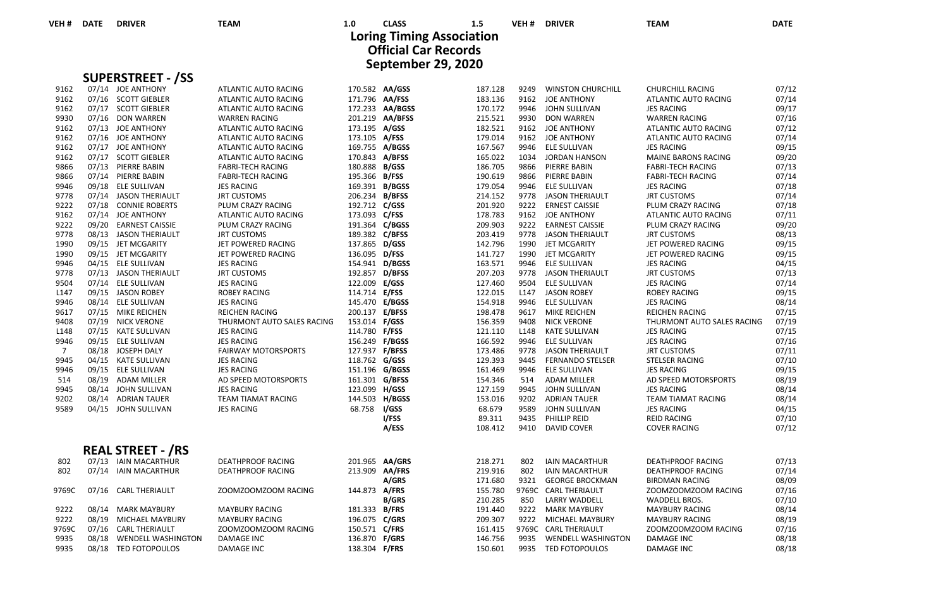**September 29, 2020 Loring Timing Association Official Car Records**

|                  | <b>SUPERSTREET - /SS</b> |                            |                       |                 |         |      |                          |                            |       |
|------------------|--------------------------|----------------------------|-----------------------|-----------------|---------|------|--------------------------|----------------------------|-------|
| 9162             | 07/14 JOE ANTHONY        | ATLANTIC AUTO RACING       |                       | 170.582 AA/GSS  | 187.128 | 9249 | <b>WINSTON CHURCHILL</b> | CHURCHILL RACING           | 07/12 |
| 9162             | 07/16 SCOTT GIEBLER      | ATLANTIC AUTO RACING       | 171.796 AA/FSS        |                 | 183.136 | 9162 | <b>JOE ANTHONY</b>       | ATLANTIC AUTO RACING       | 07/14 |
| 9162             | 07/17 SCOTT GIEBLER      | ATLANTIC AUTO RACING       |                       | 172.233 AA/BGSS | 170.172 | 9946 | JOHN SULLIVAN            | <b>JES RACING</b>          | 09/17 |
| 9930             | 07/16 DON WARREN         | <b>WARREN RACING</b>       |                       | 201.219 AA/BFSS | 215.521 | 9930 | <b>DON WARREN</b>        | <b>WARREN RACING</b>       | 07/16 |
| 9162             | 07/13 JOE ANTHONY        | ATLANTIC AUTO RACING       | 173.195 A/GSS         |                 | 182.521 |      | 9162 JOE ANTHONY         | ATLANTIC AUTO RACING       | 07/12 |
| 9162             | 07/16 JOE ANTHONY        | ATLANTIC AUTO RACING       | 173.105 A/FSS         |                 | 179.014 | 9162 | <b>JOE ANTHONY</b>       | ATLANTIC AUTO RACING       | 07/14 |
| 9162             | 07/17 JOE ANTHONY        | ATLANTIC AUTO RACING       | 169.755 A/BGSS        |                 | 167.567 | 9946 | <b>ELE SULLIVAN</b>      | <b>JES RACING</b>          | 09/15 |
| 9162             | 07/17 SCOTT GIEBLER      | ATLANTIC AUTO RACING       | 170.843 A/BFSS        |                 | 165.022 | 1034 | JORDAN HANSON            | MAINE BARONS RACING        | 09/20 |
| 9866             | 07/13 PIERRE BABIN       | <b>FABRI-TECH RACING</b>   | 180.888 B/GSS         |                 | 186.705 | 9866 | PIERRE BABIN             | <b>FABRI-TECH RACING</b>   | 07/13 |
| 9866             | 07/14 PIERRE BABIN       | <b>FABRI-TECH RACING</b>   | 195.366 B/FSS         |                 | 190.619 | 9866 | PIERRE BABIN             | <b>FABRI-TECH RACING</b>   | 07/14 |
| 9946             | 09/18 ELE SULLIVAN       | <b>JES RACING</b>          | 169.391 B/BGSS        |                 | 179.054 | 9946 | ELE SULLIVAN             | <b>JES RACING</b>          | 07/18 |
| 9778             | 07/14 JASON THERIAULT    | <b>JRT CUSTOMS</b>         | 206.234 B/BFSS        |                 | 214.152 |      | 9778 JASON THERIAULT     | <b>JRT CUSTOMS</b>         | 07/14 |
| 9222             | 07/18 CONNIE ROBERTS     | PLUM CRAZY RACING          | 192.712 C/GSS         |                 | 201.920 | 9222 | <b>ERNEST CAISSIE</b>    | PLUM CRAZY RACING          | 07/18 |
| 9162             | 07/14 JOE ANTHONY        | ATLANTIC AUTO RACING       | 173.093 C/FSS         |                 | 178.783 | 9162 | JOE ANTHONY              | ATLANTIC AUTO RACING       | 07/11 |
| 9222             | 09/20 EARNEST CAISSIE    | PLUM CRAZY RACING          | 191.364 C/BGSS        |                 | 209.903 |      | 9222 EARNEST CAISSIE     | PLUM CRAZY RACING          | 09/20 |
| 9778             | 08/13 JASON THERIAULT    | <b>JRT CUSTOMS</b>         | 189.382 C/BFSS        |                 | 203.419 | 9778 | <b>JASON THERIAULT</b>   | <b>JRT CUSTOMS</b>         | 08/13 |
| 1990             | 09/15 JET MCGARITY       | JET POWERED RACING         | 137.865 D/GSS         |                 | 142.796 | 1990 | JET MCGARITY             | JET POWERED RACING         | 09/15 |
| 1990             | 09/15 JET MCGARITY       | JET POWERED RACING         | 136.095 D/FSS         |                 | 141.727 | 1990 | JET MCGARITY             | JET POWERED RACING         | 09/15 |
| 9946             | 04/15 ELE SULLIVAN       | <b>JES RACING</b>          | 154.941 D/BGSS        |                 | 163.571 | 9946 | ELE SULLIVAN             | <b>JES RACING</b>          | 04/15 |
| 9778             | 07/13 JASON THERIAULT    | <b>JRT CUSTOMS</b>         | 192.857 D/BFSS        |                 | 207.203 |      | 9778 JASON THERIAULT     | <b>JRT CUSTOMS</b>         | 07/13 |
| 9504             | 07/14 ELE SULLIVAN       | <b>JES RACING</b>          | 122.009 E/GSS         |                 | 127.460 | 9504 | ELE SULLIVAN             | <b>JES RACING</b>          | 07/14 |
| L <sub>147</sub> | 09/15 JASON ROBEY        | <b>ROBEY RACING</b>        | 114.714 <b>E/FSS</b>  |                 | 122.015 | L147 | <b>JASON ROBEY</b>       | <b>ROBEY RACING</b>        | 09/15 |
| 9946             | 08/14 ELE SULLIVAN       | <b>JES RACING</b>          | 145.470 E/BGSS        |                 | 154.918 | 9946 | ELE SULLIVAN             | <b>JES RACING</b>          | 08/14 |
| 9617             | 07/15 MIKE REICHEN       | <b>REICHEN RACING</b>      | 200.137 E/BFSS        |                 | 198.478 |      | 9617 MIKE REICHEN        | REICHEN RACING             | 07/15 |
| 9408             | 07/19 NICK VERONE        | THURMONT AUTO SALES RACING | 153.014 F/GSS         |                 | 156.359 | 9408 | <b>NICK VERONE</b>       | THURMONT AUTO SALES RACING | 07/19 |
| L148             | 07/15 KATE SULLIVAN      | <b>JES RACING</b>          | 114.780 F/FSS         |                 | 121.110 | L148 | <b>KATE SULLIVAN</b>     | <b>JES RACING</b>          | 07/15 |
| 9946             | 09/15 ELE SULLIVAN       | <b>JES RACING</b>          | 156.249 <b>F/BGSS</b> |                 | 166.592 | 9946 | ELE SULLIVAN             | <b>JES RACING</b>          | 07/16 |
| $\overline{7}$   | 08/18 JOSEPH DALY        | <b>FAIRWAY MOTORSPORTS</b> | 127.937 F/BFSS        |                 | 173.486 | 9778 | <b>JASON THERIAULT</b>   | <b>JRT CUSTOMS</b>         | 07/11 |
| 9945             | 04/15 KATE SULLIVAN      | <b>JES RACING</b>          | 118.762 G/GSS         |                 | 129.393 | 9445 | <b>FERNANDO STELSER</b>  | <b>STELSER RACING</b>      | 07/10 |
| 9946             | 09/15 ELE SULLIVAN       | <b>JES RACING</b>          | 151.196 G/BGSS        |                 | 161.469 | 9946 | <b>ELE SULLIVAN</b>      | <b>JES RACING</b>          | 09/15 |
| 514              | 08/19 ADAM MILLER        | AD SPEED MOTORSPORTS       | 161.301 G/BFSS        |                 | 154.346 | 514  | <b>ADAM MILLER</b>       | AD SPEED MOTORSPORTS       | 08/19 |
| 9945             | 08/14 JOHN SULLIVAN      | <b>JES RACING</b>          | 123.099 H/GSS         |                 | 127.159 | 9945 | JOHN SULLIVAN            | <b>JES RACING</b>          | 08/14 |
| 9202             | 08/14 ADRIAN TAUER       | TEAM TIAMAT RACING         |                       | 144.503 H/BGSS  | 153.016 | 9202 | <b>ADRIAN TAUER</b>      | TEAM TIAMAT RACING         | 08/14 |
| 9589             | 04/15 JOHN SULLIVAN      | <b>JES RACING</b>          | 68.758 I/GSS          |                 | 68.679  | 9589 | JOHN SULLIVAN            | <b>JES RACING</b>          | 04/15 |
|                  |                          |                            |                       | I/FSS           | 89.311  | 9435 | PHILLIP REID             | <b>REID RACING</b>         | 07/10 |
|                  |                          |                            |                       | A/ESS           | 108.412 | 9410 | DAVID COVER              | <b>COVER RACING</b>        | 07/12 |
|                  | <b>REAL STREET - /RS</b> |                            |                       |                 |         |      |                          |                            |       |
| 802              | 07/13 IAIN MACARTHUR     | <b>DEATHPROOF RACING</b>   |                       | 201.965 AA/GRS  | 218.271 | 802  | <b>IAIN MACARTHUR</b>    | <b>DEATHPROOF RACING</b>   | 07/13 |
| 802              | 07/14 IAIN MACARTHUR     | <b>DEATHPROOF RACING</b>   | 213.909 AA/FRS        |                 | 219.916 | 802  | <b>IAIN MACARTHUR</b>    | <b>DEATHPROOF RACING</b>   | 07/14 |
|                  |                          |                            |                       | A/GRS           | 171.680 |      | 9321 GEORGE BROCKMAN     | <b>BIRDMAN RACING</b>      | 08/09 |
| 9769C            | 07/16 CARL THERIAULT     | ZOOMZOOMZOOM RACING        | 144.873 A/FRS         |                 | 155.780 |      | 9769C CARL THERIAULT     | ZOOMZOOMZOOM RACING        | 07/16 |
|                  |                          |                            |                       | <b>B/GRS</b>    | 210.285 | 850  | <b>LARRY WADDELL</b>     | WADDELL BROS.              | 07/10 |
| 9222             | 08/14 MARK MAYBURY       | <b>MAYBURY RACING</b>      | 181.333 B/FRS         |                 | 191.440 |      | 9222 MARK MAYBURY        | <b>MAYBURY RACING</b>      | 08/14 |
| 9222             | 08/19 MICHAEL MAYBURY    | <b>MAYBURY RACING</b>      | 196.075 C/GRS         |                 | 209.307 |      | 9222 MICHAEL MAYBURY     | <b>MAYBURY RACING</b>      | 08/19 |
| 9769C            | 07/16 CARL THERIAULT     | ZOOMZOOMZOOM RACING        | 150.571 C/FRS         |                 | 161.415 |      | 9769C CARL THERIAULT     | ZOOMZOOMZOOM RACING        | 07/16 |
| 9935             | 08/18 WENDELL WASHINGTON | DAMAGE INC                 | 136.870 F/GRS         |                 | 146.756 | 9935 | WENDELL WASHINGTON       | DAMAGE INC                 | 08/18 |
| 9935             | 08/18 TED FOTOPOULOS     | <b>DAMAGE INC</b>          | 138.304 F/FRS         |                 | 150.601 |      | 9935 TED FOTOPOULOS      | <b>DAMAGE INC</b>          | 08/18 |
|                  |                          |                            |                       |                 |         |      |                          |                            |       |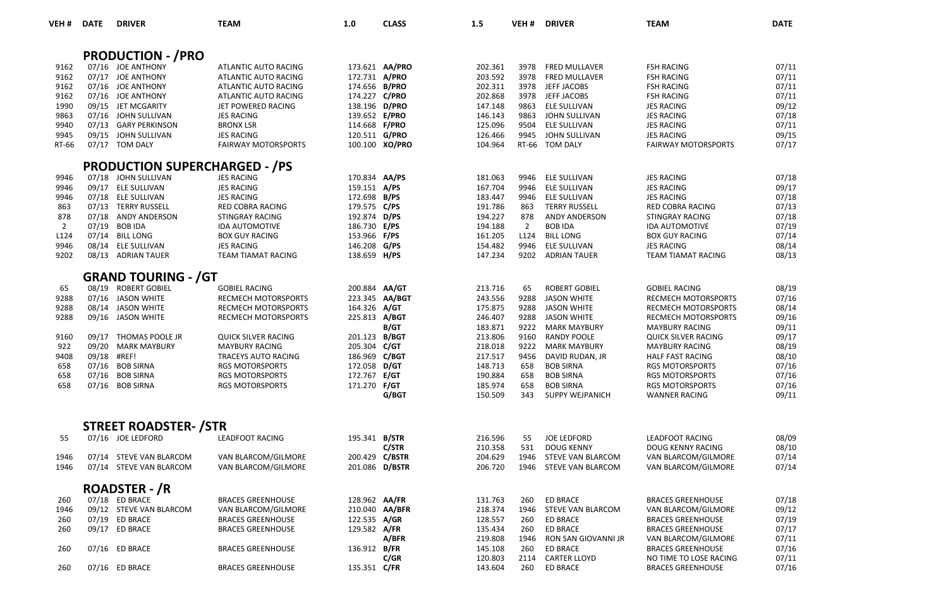| VEH#           | <b>DATE</b> | <b>DRIVER</b>                          | <b>TEAM</b>                                  | 1.0                            | <b>CLASS</b>   | 1.5                | VEH #          | <b>DRIVER</b>                              | <b>TEAM</b>                                    | <b>DATE</b>    |
|----------------|-------------|----------------------------------------|----------------------------------------------|--------------------------------|----------------|--------------------|----------------|--------------------------------------------|------------------------------------------------|----------------|
|                |             |                                        |                                              |                                |                |                    |                |                                            |                                                |                |
|                |             | <b>PRODUCTION - / PRO</b>              |                                              |                                |                |                    |                |                                            |                                                |                |
| 9162<br>9162   |             | 07/16 JOE ANTHONY                      | ATLANTIC AUTO RACING                         | 173.621 AA/PRO                 |                | 202.361            | 3978<br>3978   | FRED MULLAVER                              | <b>FSH RACING</b>                              | 07/11          |
| 9162           |             | 07/17 JOE ANTHONY<br>07/16 JOE ANTHONY | ATLANTIC AUTO RACING<br>ATLANTIC AUTO RACING | 172.731 A/PRO<br>174.656 B/PRO |                | 203.592<br>202.311 | 3978           | <b>FRED MULLAVER</b><br>JEFF JACOBS        | <b>FSH RACING</b><br><b>FSH RACING</b>         | 07/11<br>07/11 |
| 9162           |             | 07/16 JOE ANTHONY                      | ATLANTIC AUTO RACING                         | 174.227 C/PRO                  |                | 202.868            | 3978           | JEFF JACOBS                                | <b>FSH RACING</b>                              | 07/11          |
| 1990           |             | 09/15 JET MCGARITY                     | JET POWERED RACING                           | 138.196 D/PRO                  |                | 147.148            | 9863           | ELE SULLIVAN                               | <b>JES RACING</b>                              | 09/12          |
| 9863           | 07/16       | JOHN SULLIVAN                          | <b>JES RACING</b>                            | 139.652 E/PRO                  |                | 146.143            | 9863           | JOHN SULLIVAN                              | <b>JES RACING</b>                              | 07/18          |
| 9940           | 07/13       | <b>GARY PERKINSON</b>                  | <b>BRONX LSR</b>                             | 114.668 F/PRO                  |                | 125.096            | 9504           | ELE SULLIVAN                               | <b>JES RACING</b>                              | 07/11          |
| 9945           | 09/15       | JOHN SULLIVAN                          | <b>JES RACING</b>                            | 120.511 G/PRO                  |                | 126.466            | 9945           | JOHN SULLIVAN                              | <b>JES RACING</b>                              | 09/15          |
| RT-66          |             | 07/17 TOM DALY                         | <b>FAIRWAY MOTORSPORTS</b>                   |                                | 100.100 XO/PRO | 104.964            |                | RT-66 TOM DALY                             | <b>FAIRWAY MOTORSPORTS</b>                     | 07/17          |
|                |             | <b>PRODUCTION SUPERCHARGED - /PS</b>   |                                              |                                |                |                    |                |                                            |                                                |                |
| 9946           |             | 07/18 JOHN SULLIVAN                    | <b>JES RACING</b>                            | 170.834 AA/PS                  |                | 181.063            | 9946           | <b>ELE SULLIVAN</b>                        | <b>JES RACING</b>                              | 07/18          |
| 9946           |             | 09/17 ELE SULLIVAN                     | <b>JES RACING</b>                            | 159.151 A/PS                   |                | 167.704            | 9946           | ELE SULLIVAN                               | <b>JES RACING</b>                              | 09/17          |
| 9946           |             | 07/18 ELE SULLIVAN                     | <b>JES RACING</b>                            | 172.698 B/PS                   |                | 183.447            | 9946           | ELE SULLIVAN                               | <b>JES RACING</b>                              | 07/18          |
| 863            |             | 07/13 TERRY RUSSELL                    | RED COBRA RACING                             | 179.575 C/PS                   |                | 191.786            | 863            | <b>TERRY RUSSELL</b>                       | RED COBRA RACING                               | 07/13          |
| 878            | 07/18       | ANDY ANDERSON                          | STINGRAY RACING                              | 192.874 D/PS                   |                | 194.227            | 878            | ANDY ANDERSON                              | <b>STINGRAY RACING</b>                         | 07/18          |
| $\overline{2}$ | 07/19       | <b>BOB IDA</b>                         | <b>IDA AUTOMOTIVE</b>                        | 186.730 E/PS                   |                | 194.188            | $\overline{2}$ | <b>BOB IDA</b>                             | <b>IDA AUTOMOTIVE</b>                          | 07/19          |
| L124           | 07/14       | <b>BILL LONG</b>                       | <b>BOX GUY RACING</b>                        | 153.966 F/PS                   |                | 161.205            | L124           | <b>BILL LONG</b>                           | <b>BOX GUY RACING</b>                          | 07/14          |
| 9946           |             | 08/14 ELE SULLIVAN                     | <b>JES RACING</b>                            | 146.208                        | G/PS           | 154.482            | 9946           | ELE SULLIVAN                               | <b>JES RACING</b>                              | 08/14          |
| 9202           |             | 08/13 ADRIAN TAUER                     | TEAM TIAMAT RACING                           | 138.659 H/PS                   |                | 147.234            | 9202           | <b>ADRIAN TAUER</b>                        | <b>TEAM TIAMAT RACING</b>                      | 08/13          |
|                |             | <b>GRAND TOURING - /GT</b>             |                                              |                                |                |                    |                |                                            |                                                |                |
| 65             |             | 08/19 ROBERT GOBIEL                    | <b>GOBIEL RACING</b>                         | 200.884 AA/GT                  |                | 213.716            | 65             | <b>ROBERT GOBIEL</b>                       | <b>GOBIEL RACING</b>                           | 08/19          |
| 9288           | 07/16       | <b>JASON WHITE</b>                     | <b>RECMECH MOTORSPORTS</b>                   | 223.345                        | AA/BGT         | 243.556            | 9288           | <b>JASON WHITE</b>                         | <b>RECMECH MOTORSPORTS</b>                     | 07/16          |
| 9288           |             | 08/14 JASON WHITE                      | <b>RECMECH MOTORSPORTS</b>                   | 164.326 A/GT                   |                | 175.875            | 9288           | <b>JASON WHITE</b>                         | RECMECH MOTORSPORTS                            | 08/14          |
| 9288           |             | 09/16 JASON WHITE                      | <b>RECMECH MOTORSPORTS</b>                   | 225.813 A/BGT                  |                | 246.407            | 9288           | <b>JASON WHITE</b>                         | RECMECH MOTORSPORTS                            | 09/16          |
|                |             |                                        |                                              |                                | B/GT           | 183.871            | 9222           | <b>MARK MAYBURY</b>                        | <b>MAYBURY RACING</b>                          | 09/11          |
| 9160           | 09/17       | THOMAS POOLE JR                        | <b>QUICK SILVER RACING</b>                   | 201.123 B/BGT                  |                | 213.806            | 9160           | <b>RANDY POOLE</b>                         | QUICK SILVER RACING                            | 09/17          |
| 922            | 09/20       | <b>MARK MAYBURY</b>                    | <b>MAYBURY RACING</b>                        | 205.304                        | C/GT           | 218.018            | 9222           | <b>MARK MAYBURY</b>                        | <b>MAYBURY RACING</b>                          | 08/19          |
| 9408           | 09/18       | #REF!                                  | <b>TRACEYS AUTO RACING</b>                   | 186.969 C/BGT                  |                | 217.517            | 9456           | DAVID RUDAN, JR                            | <b>HALF FAST RACING</b>                        | 08/10          |
| 658            | 07/16       | <b>BOB SIRNA</b>                       | <b>RGS MOTORSPORTS</b>                       | 172.058 D/GT                   |                | 148.713            | 658            | <b>BOB SIRNA</b>                           | <b>RGS MOTORSPORTS</b>                         | 07/16          |
| 658            | 07/16       | <b>BOB SIRNA</b>                       | <b>RGS MOTORSPORTS</b>                       | 172.767                        | E/GT           | 190.884            | 658            | <b>BOB SIRNA</b>                           | <b>RGS MOTORSPORTS</b>                         | 07/16          |
| 658            |             | 07/16 BOB SIRNA                        | <b>RGS MOTORSPORTS</b>                       | 171.270 F/GT                   | G/BGT          | 185.974<br>150.509 | 658<br>343     | <b>BOB SIRNA</b><br><b>SUPPY WEJPANICH</b> | <b>RGS MOTORSPORTS</b><br><b>WANNER RACING</b> | 07/16<br>09/11 |
|                |             |                                        |                                              |                                |                |                    |                |                                            |                                                |                |
|                |             | <b>STREET ROADSTER-/STR</b>            |                                              |                                |                |                    |                |                                            |                                                |                |
| 55             |             | 07/16 JOE LEDFORD                      | <b>LEADFOOT RACING</b>                       | 195.341 B/STR                  | C/STR          | 216.596<br>210.358 | 55<br>531      | <b>JOE LEDFORD</b><br><b>DOUG KENNY</b>    | <b>LEADFOOT RACING</b><br>DOUG KENNY RACING    | 08/09<br>08/10 |
| 1946           |             | 07/14 STEVE VAN BLARCOM                | VAN BLARCOM/GILMORE                          | 200.429 C/BSTR                 |                | 204.629            | 1946           | STEVE VAN BLARCOM                          | VAN BLARCOM/GILMORE                            | 07/14          |
| 1946           |             | 07/14 STEVE VAN BLARCOM                | VAN BLARCOM/GILMORE                          | 201.086 D/BSTR                 |                | 206.720            | 1946           | STEVE VAN BLARCOM                          | VAN BLARCOM/GILMORE                            | 07/14          |
|                |             | <b>ROADSTER - /R</b>                   |                                              |                                |                |                    |                |                                            |                                                |                |
| 260            |             | 07/18 ED BRACE                         | <b>BRACES GREENHOUSE</b>                     | 128.962 AA/FR                  |                | 131.763            | 260            | <b>ED BRACE</b>                            | <b>BRACES GREENHOUSE</b>                       | 07/18          |
| 1946           |             | 09/12 STEVE VAN BLARCOM                | VAN BLARCOM/GILMORE                          | 210.040                        | AA/BFR         | 218.374            | 1946           | STEVE VAN BLARCOM                          | VAN BLARCOM/GILMORE                            | 09/12          |
| 260            |             | 07/19 ED BRACE                         | <b>BRACES GREENHOUSE</b>                     | 122.535 A/GR                   |                | 128.557            | 260            | <b>ED BRACE</b>                            | <b>BRACES GREENHOUSE</b>                       | 07/19          |
| 260            |             | 09/17 ED BRACE                         | <b>BRACES GREENHOUSE</b>                     | 129.582 A/FR                   |                | 135.434            | 260            | <b>ED BRACE</b>                            | <b>BRACES GREENHOUSE</b>                       | 07/17          |
|                |             |                                        |                                              |                                | A/BFR          | 219.808            | 1946           | RON SAN GIOVANNI JR                        | VAN BLARCOM/GILMORE                            | 07/11          |
| 260            |             | 07/16 ED BRACE                         | <b>BRACES GREENHOUSE</b>                     | 136.912 B/FR                   |                | 145.108            | 260            | <b>ED BRACE</b>                            | <b>BRACES GREENHOUSE</b>                       | 07/16          |
|                |             |                                        |                                              |                                | C/GR           | 120.803            | 2114           | <b>CARTER LLOYD</b>                        | NO TIME TO LOSE RACING                         | 07/11          |
| 260            |             | 07/16 ED BRACE                         | <b>BRACES GREENHOUSE</b>                     | 135.351 C/FR                   |                | 143.604            | 260            | ED BRACE                                   | <b>BRACES GREENHOUSE</b>                       | 07/16          |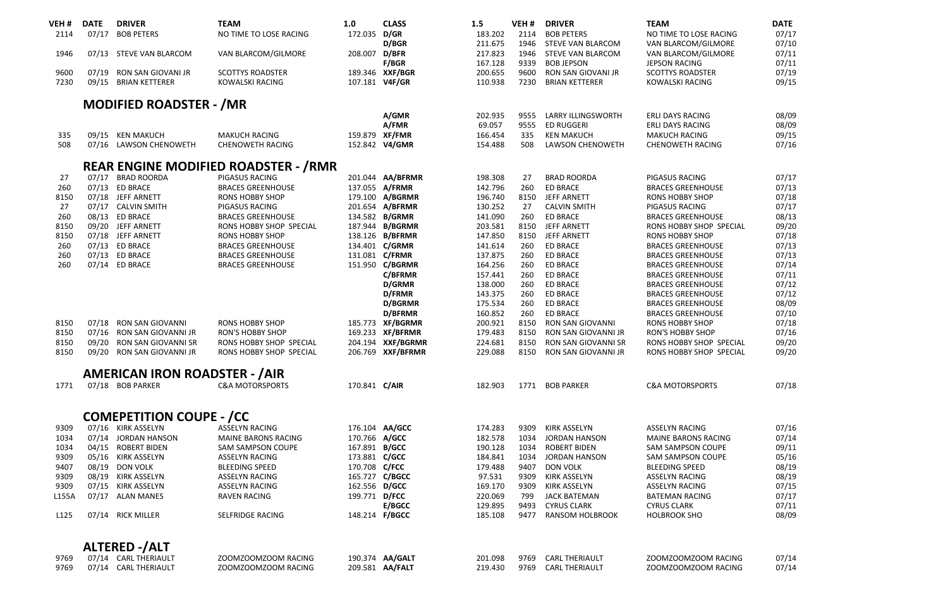| VEH #            | <b>DATE</b> | <b>DRIVER</b>                        | <b>TEAM</b>                                 | 1.0            | <b>CLASS</b>      | 1.5                | VEH <sub>#</sub> | <b>DRIVER</b>               | <b>TEAM</b>                | <b>DATE</b>    |
|------------------|-------------|--------------------------------------|---------------------------------------------|----------------|-------------------|--------------------|------------------|-----------------------------|----------------------------|----------------|
| 2114             | 07/17       | <b>BOB PETERS</b>                    | NO TIME TO LOSE RACING                      | 172.035 D/GR   |                   | 183.202            | 2114             | <b>BOB PETERS</b>           | NO TIME TO LOSE RACING     | 07/17          |
|                  |             |                                      |                                             |                | D/BGR             | 211.675            | 1946             | <b>STEVE VAN BLARCOM</b>    | VAN BLARCOM/GILMORE        | 07/10          |
| 1946             |             | 07/13 STEVE VAN BLARCOM              | VAN BLARCOM/GILMORE                         | 208.007        | D/BFR             | 217.823            | 1946             | STEVE VAN BLARCOM           | VAN BLARCOM/GILMORE        | 07/11          |
|                  |             |                                      |                                             |                | <b>F/BGR</b>      | 167.128            | 9339             | <b>BOB JEPSON</b>           | <b>JEPSON RACING</b>       | 07/11          |
| 9600             | 07/19       | RON SAN GIOVANI JR                   | <b>SCOTTYS ROADSTER</b>                     |                | 189.346 XXF/BGR   | 200.655            | 9600             | RON SAN GIOVANI JR          | <b>SCOTTYS ROADSTER</b>    | 07/19          |
| 7230             | 09/15       | <b>BRIAN KETTERER</b>                | <b>KOWALSKI RACING</b>                      | 107.181 V4F/GR |                   | 110.938            | 7230             | <b>BRIAN KETTERER</b>       | <b>KOWALSKI RACING</b>     | 09/15          |
|                  |             |                                      |                                             |                |                   |                    |                  |                             |                            |                |
|                  |             | <b>MODIFIED ROADSTER - /MR</b>       |                                             |                |                   |                    |                  |                             |                            |                |
|                  |             |                                      |                                             |                | A/GMR             | 202.935            | 9555             | LARRY ILLINGSWORTH          | <b>ERLI DAYS RACING</b>    | 08/09          |
|                  |             |                                      |                                             |                | A/FMR             | 69.057             | 9555             | <b>ED RUGGERI</b>           | <b>ERLI DAYS RACING</b>    | 08/09          |
| 335              |             | 09/15 KEN MAKUCH                     | <b>MAKUCH RACING</b>                        |                | 159.879 XF/FMR    | 166.454            | 335              | <b>KEN MAKUCH</b>           | MAKUCH RACING              | 09/15          |
| 508              |             | 07/16 LAWSON CHENOWETH               | CHENOWETH RACING                            |                | 152.842 V4/GMR    | 154.488            | 508              | LAWSON CHENOWETH            | CHENOWETH RACING           | 07/16          |
|                  |             |                                      | <b>REAR ENGINE MODIFIED ROADSTER - /RMR</b> |                |                   |                    |                  |                             |                            |                |
| 27               |             | 07/17 BRAD ROORDA                    | PIGASUS RACING                              |                | 201.044 AA/BFRMR  | 198.308            | 27               | <b>BRAD ROORDA</b>          | PIGASUS RACING             | 07/17          |
| 260              |             | 07/13 ED BRACE                       | <b>BRACES GREENHOUSE</b>                    |                | 137.055 A/FRMR    | 142.796            | 260              | <b>ED BRACE</b>             | <b>BRACES GREENHOUSE</b>   | 07/13          |
| 8150             |             | 07/18 JEFF ARNETT                    | <b>RONS HOBBY SHOP</b>                      |                | 179.100 A/BGRMR   | 196.740            | 8150             | JEFF ARNETT                 | <b>RONS HOBBY SHOP</b>     | 07/18          |
| 27               |             | 07/17 CALVIN SMITH                   | PIGASUS RACING                              |                | 201.654 A/BFRMR   | 130.252            | 27               | <b>CALVIN SMITH</b>         | PIGASUS RACING             | 07/17          |
| 260              |             | 08/13 ED BRACE                       | <b>BRACES GREENHOUSE</b>                    |                | 134.582 B/GRMR    | 141.090            | 260              | <b>ED BRACE</b>             | <b>BRACES GREENHOUSE</b>   | 08/13          |
| 8150             |             | 09/20 JEFF ARNETT                    | RONS HOBBY SHOP SPECIAL                     |                | 187.944 B/BGRMR   | 203.581            | 8150             | JEFF ARNETT                 | RONS HOBBY SHOP SPECIAL    | 09/20          |
| 8150             |             | 07/18 JEFF ARNETT                    | RONS HOBBY SHOP                             |                | 138.126 B/BFRMR   | 147.850            | 8150             | <b>JEFF ARNETT</b>          | RONS HOBBY SHOP            | 07/18          |
| 260              |             | 07/13 ED BRACE                       | <b>BRACES GREENHOUSE</b>                    |                | 134.401 C/GRMR    | 141.614            | 260              | <b>ED BRACE</b>             | <b>BRACES GREENHOUSE</b>   | 07/13          |
| 260              |             | 07/13 ED BRACE                       | <b>BRACES GREENHOUSE</b>                    |                | 131.081 C/FRMR    | 137.875            | 260              | <b>ED BRACE</b>             | <b>BRACES GREENHOUSE</b>   | 07/13          |
| 260              |             |                                      |                                             |                | 151.950 C/BGRMR   | 164.256            | 260              | <b>ED BRACE</b>             |                            | 07/14          |
|                  |             | 07/14 ED BRACE                       | <b>BRACES GREENHOUSE</b>                    |                |                   |                    | 260              |                             | <b>BRACES GREENHOUSE</b>   |                |
|                  |             |                                      |                                             |                | C/BFRMR<br>D/GRMR | 157.441<br>138.000 | 260              | <b>ED BRACE</b>             | <b>BRACES GREENHOUSE</b>   | 07/11<br>07/12 |
|                  |             |                                      |                                             |                |                   |                    | 260              | ED BRACE<br><b>ED BRACE</b> | <b>BRACES GREENHOUSE</b>   | 07/12          |
|                  |             |                                      |                                             |                | D/FRMR            | 143.375<br>175.534 |                  |                             | <b>BRACES GREENHOUSE</b>   | 08/09          |
|                  |             |                                      |                                             |                | D/BGRMR           |                    | 260              | <b>ED BRACE</b>             | <b>BRACES GREENHOUSE</b>   |                |
|                  |             |                                      |                                             |                | D/BFRMR           | 160.852            | 260              | <b>ED BRACE</b>             | <b>BRACES GREENHOUSE</b>   | 07/10          |
| 8150             | 07/18       | RON SAN GIOVANNI                     | RONS HOBBY SHOP                             |                | 185.773 XF/BGRMR  | 200.921            | 8150             | RON SAN GIOVANNI            | RONS HOBBY SHOP            | 07/18          |
| 8150             | 07/16       | RON SAN GIOVANNI JR                  | RON'S HOBBY SHOP                            |                | 169.233 XF/BFRMR  | 179.483            | 8150             | RON SAN GIOVANNI JR         | <b>RON'S HOBBY SHOP</b>    | 07/16          |
| 8150             | 09/20       | RON SAN GIOVANNI SR                  | RONS HOBBY SHOP SPECIAL                     |                | 204.194 XXF/BGRMR | 224.681            | 8150             | RON SAN GIOVANNI SR         | RONS HOBBY SHOP SPECIAL    | 09/20          |
| 8150             |             | 09/20 RON SAN GIOVANNI JR            | RONS HOBBY SHOP SPECIAL                     |                | 206.769 XXF/BFRMR | 229.088            | 8150             | RON SAN GIOVANNI JR         | RONS HOBBY SHOP SPECIAL    | 09/20          |
|                  |             | <b>AMERICAN IRON ROADSTER - /AIR</b> |                                             |                |                   |                    |                  |                             |                            |                |
| 1771             |             | 07/18 BOB PARKER                     | <b>C&amp;A MOTORSPORTS</b>                  | 170.841 C/AIR  |                   | 182.903            |                  | 1771 BOB PARKER             | <b>C&amp;A MOTORSPORTS</b> | 07/18          |
|                  |             |                                      |                                             |                |                   |                    |                  |                             |                            |                |
|                  |             | <b>COMEPETITION COUPE - /CC</b>      |                                             |                |                   |                    |                  |                             |                            |                |
| 9309             |             | 07/16 KIRK ASSELYN                   | <b>ASSELYN RACING</b>                       |                | 176.104 AA/GCC    | 174.283            | 9309             | <b>KIRK ASSELYN</b>         | <b>ASSELYN RACING</b>      | 07/16          |
| 1034             |             | 07/14 JORDAN HANSON                  | MAINE BARONS RACING                         | 170.766 A/GCC  |                   | 182.578            | 1034             | <b>JORDAN HANSON</b>        | MAINE BARONS RACING        | 07/14          |
| 1034             |             | 04/15 ROBERT BIDEN                   | SAM SAMPSON COUPE                           | 167.891 B/GCC  |                   | 190.128            | 1034             | <b>ROBERT BIDEN</b>         | SAM SAMPSON COUPE          | 09/11          |
| 9309             |             | 05/16 KIRK ASSELYN                   | <b>ASSELYN RACING</b>                       | 173.881 C/GCC  |                   | 184.841            | 1034             | <b>JORDAN HANSON</b>        | SAM SAMPSON COUPE          | 05/16          |
| 9407             |             | 08/19 DON VOLK                       | <b>BLEEDING SPEED</b>                       | 170.708 C/FCC  |                   | 179.488            | 9407             | <b>DON VOLK</b>             | <b>BLEEDING SPEED</b>      | 08/19          |
| 9309             |             | 08/19 KIRK ASSELYN                   | <b>ASSELYN RACING</b>                       | 165.727 C/BGCC |                   | 97.531             | 9309             | <b>KIRK ASSELYN</b>         | <b>ASSELYN RACING</b>      | 08/19          |
| 9309             |             | 07/15 KIRK ASSELYN                   | <b>ASSELYN RACING</b>                       | 162.556 D/GCC  |                   | 169.170            | 9309             | <b>KIRK ASSELYN</b>         | <b>ASSELYN RACING</b>      | 07/15          |
| L155A            | 07/17       | <b>ALAN MANES</b>                    | <b>RAVEN RACING</b>                         | 199.771 D/FCC  |                   | 220.069            | 799              | <b>JACK BATEMAN</b>         | <b>BATEMAN RACING</b>      | 07/17          |
|                  |             |                                      |                                             |                | <b>E/BGCC</b>     | 129.895            | 9493             | <b>CYRUS CLARK</b>          | <b>CYRUS CLARK</b>         | 07/11          |
| L <sub>125</sub> |             | 07/14 RICK MILLER                    | SELFRIDGE RACING                            | 148.214 F/BGCC |                   | 185.108            | 9477             | RANSOM HOLBROOK             | <b>HOLBROOK SHO</b>        | 08/09          |
|                  |             |                                      |                                             |                |                   |                    |                  |                             |                            |                |
|                  |             | ALTERED -/ALT                        |                                             |                |                   |                    |                  |                             |                            |                |
| 9769             |             | 07/14 CARL THERIAULT                 | ZOOMZOOMZOOM RACING                         |                | 190.374 AA/GALT   | 201.098            | 9769             | <b>CARL THERIAULT</b>       | ZOOMZOOMZOOM RACING        | 07/14          |
| 9769             |             | 07/14 CARL THERIAULT                 | ZOOMZOOMZOOM RACING                         |                | 209.581 AA/FALT   | 219.430            | 9769             | <b>CARL THERIAULT</b>       | ZOOMZOOMZOOM RACING        | 07/14          |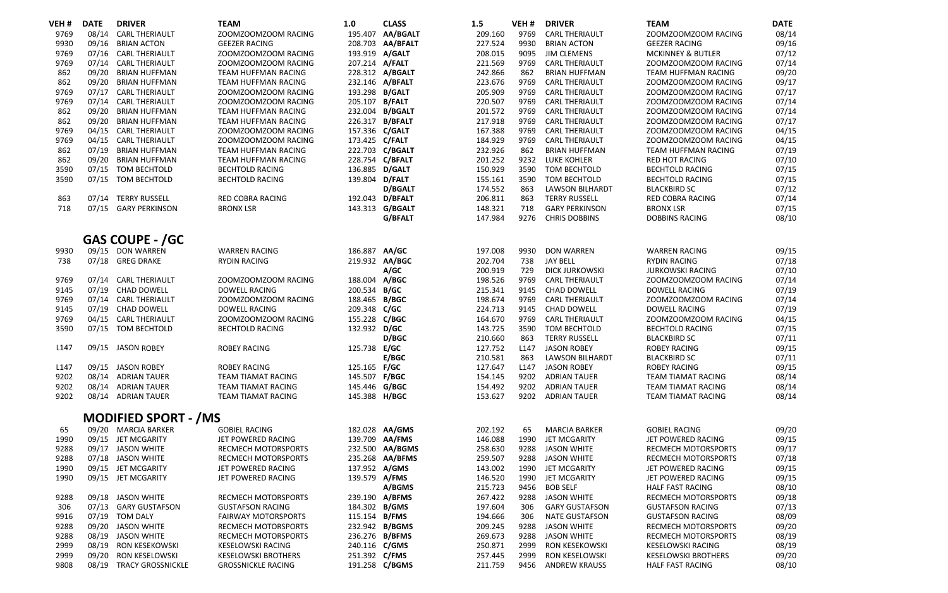| VEH <sub>#</sub> | <b>DATE</b>    | <b>DRIVER</b>                                      | <b>TEAM</b>                                      | 1.0            | <b>CLASS</b>     | 1.5                | VEH <sub>#</sub> | <b>DRIVER</b>                | <b>TEAM</b>                                      | <b>DATE</b>    |
|------------------|----------------|----------------------------------------------------|--------------------------------------------------|----------------|------------------|--------------------|------------------|------------------------------|--------------------------------------------------|----------------|
| 9769             | 08/14          | <b>CARL THERIAULT</b>                              | ZOOMZOOMZOOM RACING                              |                | 195.407 AA/BGALT | 209.160            | 9769             | <b>CARL THERIAULT</b>        | ZOOMZOOMZOOM RACING                              | 08/14          |
| 9930             | 09/16          | <b>BRIAN ACTON</b>                                 | <b>GEEZER RACING</b>                             |                | 208.703 AA/BFALT | 227.524            | 9930             | <b>BRIAN ACTON</b>           | <b>GEEZER RACING</b>                             | 09/16          |
| 9769             | 07/16          | <b>CARL THERIAULT</b>                              | ZOOMZOOMZOOM RACING                              | 193.919        | A/GALT           | 208.015            | 9095             | <b>JIM CLEMENS</b>           | <b>MCKINNEY &amp; BUTLER</b>                     | 07/12          |
| 9769             | 07/14          | <b>CARL THERIAULT</b>                              | ZOOMZOOMZOOM RACING                              | 207.214 A/FALT |                  | 221.569            | 9769             | <b>CARL THERIAULT</b>        | ZOOMZOOMZOOM RACING                              | 07/14          |
| 862              | 09/20          | <b>BRIAN HUFFMAN</b>                               | TEAM HUFFMAN RACING                              |                | 228.312 A/BGALT  | 242.866            | 862              | <b>BRIAN HUFFMAN</b>         | TEAM HUFFMAN RACING                              | 09/20          |
| 862              | 09/20          | <b>BRIAN HUFFMAN</b>                               | TEAM HUFFMAN RACING                              | 232.146        | A/BFALT          | 223.676            | 9769             | <b>CARL THERIAULT</b>        | ZOOMZOOMZOOM RACING                              | 09/17          |
| 9769             | 07/17          | <b>CARL THERIAULT</b>                              | ZOOMZOOMZOOM RACING                              | 193.298 B/GALT |                  | 205.909            | 9769             | <b>CARL THERIAULT</b>        | ZOOMZOOMZOOM RACING                              | 07/17          |
| 9769             | 07/14          | <b>CARL THERIAULT</b>                              | ZOOMZOOMZOOM RACING                              | 205.107 B/FALT |                  | 220.507            | 9769             | <b>CARL THERIAULT</b>        | ZOOMZOOMZOOM RACING                              | 07/14          |
| 862              | 09/20          | <b>BRIAN HUFFMAN</b>                               | TEAM HUFFMAN RACING                              |                | 232.004 B/BGALT  | 201.572            | 9769             | <b>CARL THERIAULT</b>        | ZOOMZOOMZOOM RACING                              | 07/14          |
| 862              | 09/20          | <b>BRIAN HUFFMAN</b>                               | TEAM HUFFMAN RACING                              |                | 226.317 B/BFALT  | 217.918            | 9769             | <b>CARL THERIAULT</b>        | ZOOMZOOMZOOM RACING                              | 07/17          |
| 9769             | 04/15          | <b>CARL THERIAULT</b>                              | ZOOMZOOMZOOM RACING                              | 157.336 C/GALT |                  | 167.388            | 9769             | <b>CARL THERIAULT</b>        | ZOOMZOOMZOOM RACING                              | 04/15          |
| 9769             |                | 04/15 CARL THERIAULT                               | ZOOMZOOMZOOM RACING                              | 173.425 C/FALT |                  | 184.929            | 9769             | <b>CARL THERIAULT</b>        | ZOOMZOOMZOOM RACING                              | 04/15          |
| 862<br>862       | 07/19<br>09/20 | <b>BRIAN HUFFMAN</b>                               | TEAM HUFFMAN RACING                              |                | 222.703 C/BGALT  | 232.926<br>201.252 | 862<br>9232      | <b>BRIAN HUFFMAN</b>         | TEAM HUFFMAN RACING                              | 07/19          |
| 3590             |                | <b>BRIAN HUFFMAN</b>                               | TEAM HUFFMAN RACING                              | 136.885 D/GALT | 228.754 C/BFALT  | 150.929            | 3590             | <b>LUKE KOHLER</b>           | <b>RED HOT RACING</b>                            | 07/10<br>07/15 |
| 3590             |                | 07/15 TOM BECHTOLD<br>07/15 TOM BECHTOLD           | <b>BECHTOLD RACING</b><br><b>BECHTOLD RACING</b> | 139.804 D/FALT |                  | 155.161            | 3590             | TOM BECHTOLD<br>TOM BECHTOLD | <b>BECHTOLD RACING</b><br><b>BECHTOLD RACING</b> | 07/15          |
|                  |                |                                                    |                                                  |                | <b>D/BGALT</b>   | 174.552            | 863              | <b>LAWSON BILHARDT</b>       | <b>BLACKBIRD SC</b>                              | 07/12          |
| 863              | 07/14          | <b>TERRY RUSSELL</b>                               | RED COBRA RACING                                 |                | 192.043 D/BFALT  | 206.811            | 863              | <b>TERRY RUSSELL</b>         | <b>RED COBRA RACING</b>                          | 07/14          |
| 718              |                | 07/15 GARY PERKINSON                               | <b>BRONX LSR</b>                                 |                | 143.313 G/BGALT  | 148.321            | 718              | <b>GARY PERKINSON</b>        | <b>BRONX LSR</b>                                 | 07/15          |
|                  |                |                                                    |                                                  |                | G/BFALT          | 147.984            | 9276             | <b>CHRIS DOBBINS</b>         | <b>DOBBINS RACING</b>                            | 08/10          |
|                  |                |                                                    |                                                  |                |                  |                    |                  |                              |                                                  |                |
|                  |                | <b>GAS COUPE - /GC</b>                             |                                                  |                |                  |                    |                  |                              |                                                  |                |
| 9930             |                | 09/15 DON WARREN                                   | <b>WARREN RACING</b>                             | 186.887        | AA/GC            | 197.008            | 9930             | <b>DON WARREN</b>            | <b>WARREN RACING</b>                             | 09/15          |
| 738              | 07/18          | <b>GREG DRAKE</b>                                  | <b>RYDIN RACING</b>                              |                | 219.932 AA/BGC   | 202.704            | 738              | <b>JAY BELL</b>              | <b>RYDIN RACING</b>                              | 07/18          |
|                  |                |                                                    |                                                  |                | A/GC             | 200.919            | 729              | <b>DICK JURKOWSKI</b>        | <b>JURKOWSKI RACING</b>                          | 07/10          |
| 9769             | 07/14          | <b>CARL THERIAULT</b>                              | ZOOMZOOMZOOM RACING                              | 188.004 A/BGC  |                  | 198.526            | 9769             | <b>CARL THERIAULT</b>        | ZOOMZOOMZOOM RACING                              | 07/14          |
| 9145             |                | 07/19 CHAD DOWELL                                  | <b>DOWELL RACING</b>                             | 200.534 B/GC   |                  | 215.341            | 9145             | CHAD DOWELL                  | <b>DOWELL RACING</b>                             | 07/19          |
| 9769             |                | 07/14 CARL THERIAULT                               | ZOOMZOOMZOOM RACING                              | 188.465 B/BGC  |                  | 198.674            | 9769             | <b>CARL THERIAULT</b>        | ZOOMZOOMZOOM RACING                              | 07/14          |
| 9145             |                | 07/19 CHAD DOWELL                                  | <b>DOWELL RACING</b>                             | 209.348 C/GC   |                  | 224.713            | 9145             | CHAD DOWELL                  | <b>DOWELL RACING</b>                             | 07/19          |
| 9769             |                | 04/15 CARL THERIAULT                               | ZOOMZOOMZOOM RACING                              | 155.228 C/BGC  |                  | 164.670            | 9769             | <b>CARL THERIAULT</b>        | ZOOMZOOMZOOM RACING                              | 04/15          |
| 3590             |                | 07/15 TOM BECHTOLD                                 | <b>BECHTOLD RACING</b>                           | 132.932 D/GC   |                  | 143.725            | 3590             | TOM BECHTOLD                 | <b>BECHTOLD RACING</b>                           | 07/15          |
|                  |                |                                                    |                                                  |                | <b>D/BGC</b>     | 210.660            | 863              | <b>TERRY RUSSELL</b>         | <b>BLACKBIRD SC</b>                              | 07/11          |
| L <sub>147</sub> |                | 09/15 JASON ROBEY                                  | <b>ROBEY RACING</b>                              | 125.738 E/GC   |                  | 127.752            | L <sub>147</sub> | <b>JASON ROBEY</b>           | <b>ROBEY RACING</b>                              | 09/15          |
|                  |                |                                                    |                                                  |                | E/BGC            | 210.581            | 863              | <b>LAWSON BILHARDT</b>       | <b>BLACKBIRD SC</b>                              | 07/11          |
| L147             |                | 09/15 JASON ROBEY                                  | <b>ROBEY RACING</b>                              | 125.165 F/GC   |                  | 127.647            | L <sub>147</sub> | <b>JASON ROBEY</b>           | <b>ROBEY RACING</b>                              | 09/15          |
| 9202             | 08/14          | <b>ADRIAN TAUER</b>                                | TEAM TIAMAT RACING                               | 145.507        | <b>F/BGC</b>     | 154.145            | 9202             | <b>ADRIAN TAUER</b>          | <b>TEAM TIAMAT RACING</b>                        | 08/14          |
| 9202             |                | 08/14 ADRIAN TAUER                                 | <b>TEAM TIAMAT RACING</b>                        | 145.446 G/BGC  |                  | 154.492            | 9202             | <b>ADRIAN TAUER</b>          | <b>TEAM TIAMAT RACING</b>                        | 08/14          |
| 9202             |                | 08/14 ADRIAN TAUER                                 | TEAM TIAMAT RACING                               | 145.388 H/BGC  |                  | 153.627            | 9202             | <b>ADRIAN TAUER</b>          | <b>TEAM TIAMAT RACING</b>                        | 08/14          |
|                  |                |                                                    |                                                  |                |                  |                    |                  |                              |                                                  |                |
| 65               |                | <b>MODIFIED SPORT - /MS</b><br>09/20 MARCIA BARKER | <b>GOBIEL RACING</b>                             | 182.028        | <b>AA/GMS</b>    | 202.192            | 65               | <b>MARCIA BARKER</b>         | <b>GOBIEL RACING</b>                             | 09/20          |
| 1990             |                | 09/15 JET MCGARITY                                 | JET POWERED RACING                               | 139.709        | AA/FMS           | 146.088            | 1990             | JET MCGARITY                 | JET POWERED RACING                               | 09/15          |
| 9288             |                | 09/17 JASON WHITE                                  | RECMECH MOTORSPORTS                              | 232.500        | <b>AA/BGMS</b>   | 258.630            | 9288             | <b>JASON WHITE</b>           | RECMECH MOTORSPORTS                              | 09/17          |
| 9288             |                | 07/18 JASON WHITE                                  | <b>RECMECH MOTORSPORTS</b>                       | 235.268        | AA/BFMS          | 259.507            | 9288             | <b>JASON WHITE</b>           | <b>RECMECH MOTORSPORTS</b>                       | 07/18          |
| 1990             |                | 09/15 JET MCGARITY                                 | JET POWERED RACING                               | 137.952 A/GMS  |                  | 143.002            | 1990             | JET MCGARITY                 | JET POWERED RACING                               | 09/15          |
| 1990             |                | 09/15 JET MCGARITY                                 | JET POWERED RACING                               | 139.579 A/FMS  |                  | 146.520            | 1990             | JET MCGARITY                 | JET POWERED RACING                               | 09/15          |
|                  |                |                                                    |                                                  |                | A/BGMS           | 215.723            | 9456             | <b>BOB SELF</b>              | <b>HALF FAST RACING</b>                          | 08/10          |
| 9288             |                | 09/18 JASON WHITE                                  | <b>RECMECH MOTORSPORTS</b>                       |                | 239.190 A/BFMS   | 267.422            | 9288             | <b>JASON WHITE</b>           | RECMECH MOTORSPORTS                              | 09/18          |
| 306              | 07/13          | <b>GARY GUSTAFSON</b>                              | <b>GUSTAFSON RACING</b>                          | 184.302 B/GMS  |                  | 197.604            | 306              | <b>GARY GUSTAFSON</b>        | <b>GUSTAFSON RACING</b>                          | 07/13          |
| 9916             |                | 07/19 TOM DALY                                     | <b>FAIRWAY MOTORSPORTS</b>                       | 115.154 B/FMS  |                  | 194.666            | 306              | <b>NATE GUSTAFSON</b>        | <b>GUSTAFSON RACING</b>                          | 08/09          |
| 9288             | 09/20          | JASON WHITE                                        | <b>RECMECH MOTORSPORTS</b>                       |                | 232.942 B/BGMS   | 209.245            | 9288             | <b>JASON WHITE</b>           | RECMECH MOTORSPORTS                              | 09/20          |
| 9288             | 08/19          | <b>JASON WHITE</b>                                 | RECMECH MOTORSPORTS                              |                | 236.276 B/BFMS   | 269.673            | 9288             | <b>JASON WHITE</b>           | RECMECH MOTORSPORTS                              | 08/19          |
| 2999             | 08/19          | <b>RON KESEKOWSKI</b>                              | <b>KESELOWSKI RACING</b>                         | 240.116 C/GMS  |                  | 250.871            | 2999             | <b>RON KESEKOWSKI</b>        | <b>KESELOWSKI RACING</b>                         | 08/19          |
| 2999             | 09/20          | RON KESELOWSKI                                     | <b>KESELOWSKI BROTHERS</b>                       | 251.392 C/FMS  |                  | 257.445            | 2999             | RON KESELOWSKI               | <b>KESELOWSKI BROTHERS</b>                       | 09/20          |
| 9808             | 08/19          | <b>TRACY GROSSNICKLE</b>                           | <b>GROSSNICKLE RACING</b>                        |                | 191.258 C/BGMS   | 211.759            | 9456             | <b>ANDREW KRAUSS</b>         | <b>HALF FAST RACING</b>                          | 08/10          |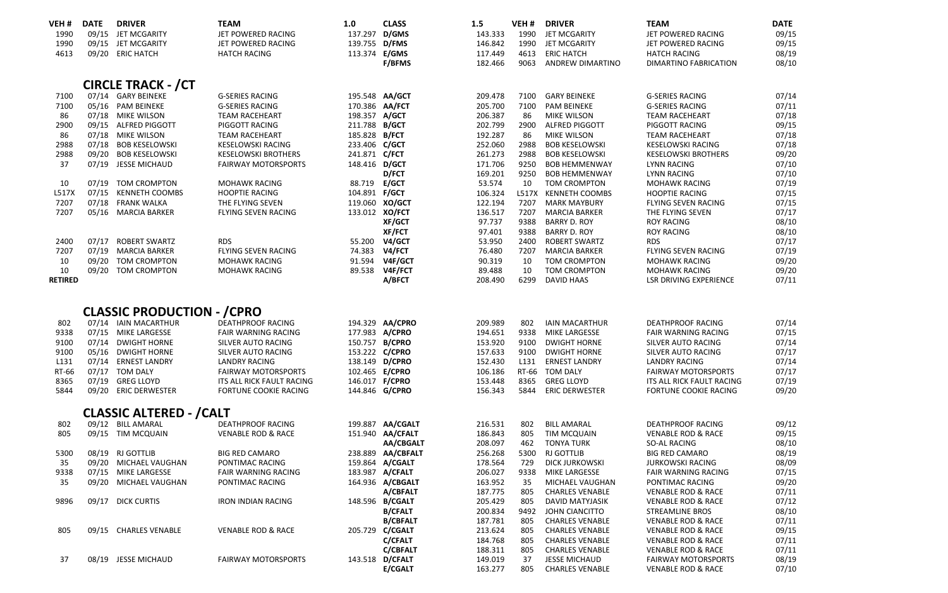| VEH#             | <b>DATE</b> | <b>DRIVER</b>                           | <b>TEAM</b>                                      | 1.0                              | <b>CLASS</b>      | 1.5                | VEH <sub>#</sub> | <b>DRIVER</b>                             | <b>TEAM</b>                                      | <b>DATE</b>    |
|------------------|-------------|-----------------------------------------|--------------------------------------------------|----------------------------------|-------------------|--------------------|------------------|-------------------------------------------|--------------------------------------------------|----------------|
| 1990             |             | 09/15 JET MCGARITY                      | JET POWERED RACING                               | 137.297 D/GMS                    |                   | 143.333            | 1990             | JET MCGARITY                              | JET POWERED RACING                               | 09/15          |
| 1990             |             | 09/15 JET MCGARITY                      | JET POWERED RACING                               | 139.755 D/FMS                    |                   | 146.842            | 1990             | JET MCGARITY                              | JET POWERED RACING                               | 09/15          |
| 4613             |             | 09/20 ERIC HATCH                        | <b>HATCH RACING</b>                              | 113.374                          | E/GMS             | 117.449            | 4613             | <b>ERIC HATCH</b>                         | <b>HATCH RACING</b>                              | 08/19          |
|                  |             |                                         |                                                  |                                  | F/BFMS            | 182.466            | 9063             | ANDREW DIMARTINO                          | DIMARTINO FABRICATION                            | 08/10          |
|                  |             | <b>CIRCLE TRACK - / CT</b>              |                                                  |                                  |                   |                    |                  |                                           |                                                  |                |
| 7100             |             |                                         |                                                  |                                  |                   |                    | 7100             |                                           |                                                  |                |
| 7100             |             | 07/14 GARY BEINEKE<br>05/16 PAM BEINEKE | <b>G-SERIES RACING</b><br><b>G-SERIES RACING</b> | 195.548 AA/GCT<br>170.386 AA/FCT |                   | 209.478<br>205.700 | 7100             | <b>GARY BEINEKE</b><br><b>PAM BEINEKE</b> | <b>G-SERIES RACING</b><br><b>G-SERIES RACING</b> | 07/14<br>07/11 |
| 86               |             | 07/18 MIKE WILSON                       | <b>TEAM RACEHEART</b>                            | 198.357 A/GCT                    |                   | 206.387            | 86               | <b>MIKE WILSON</b>                        | <b>TEAM RACEHEART</b>                            | 07/18          |
| 2900             |             | 09/15 ALFRED PIGGOTT                    | PIGGOTT RACING                                   | 211.788 B/GCT                    |                   | 202.799            | 2900             | <b>ALFRED PIGGOTT</b>                     | PIGGOTT RACING                                   | 09/15          |
| 86               |             | 07/18 MIKE WILSON                       | <b>TEAM RACEHEART</b>                            | 185.828 B/FCT                    |                   | 192.287            | 86               | <b>MIKE WILSON</b>                        | <b>TEAM RACEHEART</b>                            | 07/18          |
| 2988             |             | 07/18 BOB KESELOWSKI                    | <b>KESELOWSKI RACING</b>                         | 233.406 C/GCT                    |                   | 252.060            | 2988             | <b>BOB KESELOWSKI</b>                     | <b>KESELOWSKI RACING</b>                         | 07/18          |
| 2988             |             | 09/20 BOB KESELOWSKI                    | <b>KESELOWSKI BROTHERS</b>                       | 241.871 C/FCT                    |                   | 261.273            | 2988             | <b>BOB KESELOWSKI</b>                     | <b>KESELOWSKI BROTHERS</b>                       | 09/20          |
| 37               |             | 07/19 JESSE MICHAUD                     | <b>FAIRWAY MOTORSPORTS</b>                       | 148.416 D/GCT                    |                   | 171.706            | 9250             | <b>BOB HEMMENWAY</b>                      | <b>LYNN RACING</b>                               | 07/10          |
|                  |             |                                         |                                                  |                                  | <b>D/FCT</b>      | 169.201            | 9250             | <b>BOB HEMMENWAY</b>                      | <b>LYNN RACING</b>                               | 07/10          |
| 10               |             | 07/19 TOM CROMPTON                      | <b>MOHAWK RACING</b>                             | 88.719 E/GCT                     |                   | 53.574             | 10               | <b>TOM CROMPTON</b>                       | <b>MOHAWK RACING</b>                             | 07/19          |
| L517X            | 07/15       | KENNETH COOMBS                          | <b>HOOPTIE RACING</b>                            | 104.891 F/GCT                    |                   | 106.324            |                  | L517X KENNETH COOMBS                      | <b>HOOPTIE RACING</b>                            | 07/15          |
| 7207             |             | 07/18 FRANK WALKA                       | THE FLYING SEVEN                                 | 119.060 XO/GCT                   |                   | 122.194            | 7207             | <b>MARK MAYBURY</b>                       | <b>FLYING SEVEN RACING</b>                       | 07/15          |
| 7207             |             | 05/16 MARCIA BARKER                     | FLYING SEVEN RACING                              | 133.012 XO/FCT                   |                   | 136.517            | 7207             | <b>MARCIA BARKER</b>                      | THE FLYING SEVEN                                 | 07/17          |
|                  |             |                                         |                                                  |                                  | <b>XF/GCT</b>     | 97.737             | 9388             | <b>BARRY D. ROY</b>                       | <b>ROY RACING</b>                                | 08/10          |
|                  |             |                                         |                                                  |                                  | <b>XF/FCT</b>     | 97.401             | 9388             | <b>BARRY D. ROY</b>                       | <b>ROY RACING</b>                                | 08/10          |
| 2400             | 07/17       | <b>ROBERT SWARTZ</b>                    | <b>RDS</b>                                       | 55.200                           | V4/GCT            | 53.950             | 2400             | <b>ROBERT SWARTZ</b>                      | <b>RDS</b>                                       | 07/17          |
| 7207             |             | 07/19 MARCIA BARKER                     | FLYING SEVEN RACING                              | 74.383                           | V4/FCT            | 76.480             | 7207             | <b>MARCIA BARKER</b>                      | <b>FLYING SEVEN RACING</b>                       | 07/19          |
| 10               | 09/20       | <b>TOM CROMPTON</b>                     | <b>MOHAWK RACING</b>                             | 91.594                           | V4F/GCT           | 90.319             | 10               | <b>TOM CROMPTON</b>                       | <b>MOHAWK RACING</b>                             | 09/20          |
| 10               |             | 09/20 TOM CROMPTON                      | <b>MOHAWK RACING</b>                             | 89.538                           | V4F/FCT           | 89.488             | 10               | <b>TOM CROMPTON</b>                       | <b>MOHAWK RACING</b>                             | 09/20          |
| <b>RETIRED</b>   |             |                                         |                                                  |                                  | A/BFCT            | 208.490            | 6299             | <b>DAVID HAAS</b>                         | <b>LSR DRIVING EXPERIENCE</b>                    | 07/11          |
|                  |             |                                         |                                                  |                                  |                   |                    |                  |                                           |                                                  |                |
|                  |             | <b>CLASSIC PRODUCTION - / CPRO</b>      |                                                  |                                  |                   |                    |                  |                                           |                                                  |                |
| 802              |             | 07/14 IAIN MACARTHUR                    | <b>DEATHPROOF RACING</b>                         |                                  | 194.329 AA/CPRO   | 209.989            | 802              | <b>IAIN MACARTHUR</b>                     | <b>DEATHPROOF RACING</b>                         | 07/14          |
| 9338             |             | 07/15 MIKE LARGESSE                     | <b>FAIR WARNING RACING</b>                       | 177.983 A/CPRO                   |                   | 194.651            | 9338             | <b>MIKE LARGESSE</b>                      | <b>FAIR WARNING RACING</b>                       | 07/15          |
| 9100             |             | 07/14 DWIGHT HORNE                      | SILVER AUTO RACING                               | 150.757 B/CPRO                   |                   | 153.920            | 9100             | <b>DWIGHT HORNE</b>                       | SILVER AUTO RACING                               | 07/14          |
| 9100             |             | 05/16 DWIGHT HORNE                      | SILVER AUTO RACING                               | 153.222 C/CPRO                   |                   | 157.633            | 9100             | <b>DWIGHT HORNE</b>                       | SILVER AUTO RACING                               | 07/17          |
| L <sub>131</sub> |             | 07/14 ERNEST LANDRY                     | <b>LANDRY RACING</b>                             | 138.149 D/CPRO                   |                   | 152.430            | L <sub>131</sub> | <b>ERNEST LANDRY</b>                      | <b>LANDRY RACING</b>                             | 07/14          |
| RT-66            |             | 07/17 TOM DALY                          | <b>FAIRWAY MOTORSPORTS</b>                       | 102.465 E/CPRO                   |                   | 106.186            | RT-66            | <b>TOM DALY</b>                           | <b>FAIRWAY MOTORSPORTS</b>                       | 07/17          |
| 8365             |             | 07/19 GREG LLOYD                        | ITS ALL RICK FAULT RACING                        | 146.017 F/CPRO                   |                   | 153.448            | 8365             | <b>GREG LLOYD</b>                         | ITS ALL RICK FAULT RACING                        | 07/19          |
| 5844             |             | 09/20 ERIC DERWESTER                    | FORTUNE COOKIE RACING                            | 144.846 G/CPRO                   |                   | 156.343            | 5844             | <b>ERIC DERWESTER</b>                     | FORTUNE COOKIE RACING                            | 09/20          |
|                  |             | <b>CLASSIC ALTERED - / CALT</b>         |                                                  |                                  |                   |                    |                  |                                           |                                                  |                |
| 802              |             | 09/12 BILL AMARAL                       | <b>DEATHPROOF RACING</b>                         |                                  | 199.887 AA/CGALT  | 216.531            | 802              | <b>BILL AMARAL</b>                        | <b>DEATHPROOF RACING</b>                         | 09/12          |
| 805              |             | 09/15 TIM MCQUAIN                       | <b>VENABLE ROD &amp; RACE</b>                    |                                  | 151.940 AA/CFALT  | 186.843            | 805              | TIM MCQUAIN                               | <b>VENABLE ROD &amp; RACE</b>                    | 09/15          |
|                  |             |                                         |                                                  |                                  | <b>AA/CBGALT</b>  | 208.097            | 462              | <b>TONYA TURK</b>                         | SO-AL RACING                                     | 08/10          |
| 5300             |             | 08/19 RJ GOTTLIB                        | <b>BIG RED CAMARO</b>                            |                                  | 238.889 AA/CBFALT | 256.268            | 5300             | <b>RJ GOTTLIB</b>                         | <b>BIG RED CAMARO</b>                            | 08/19          |
| 35               |             | 09/20 MICHAEL VAUGHAN                   | PONTIMAC RACING                                  |                                  | 159.864 A/CGALT   | 178.564            | 729              | <b>DICK JURKOWSKI</b>                     | <b>JURKOWSKI RACING</b>                          | 08/09          |
| 9338             |             | 07/15 MIKE LARGESSE                     | <b>FAIR WARNING RACING</b>                       |                                  | 183.987 A/CFALT   | 206.027            | 9338             | MIKE LARGESSE                             | <b>FAIR WARNING RACING</b>                       | 07/15          |
| 35               |             | 09/20 MICHAEL VAUGHAN                   | PONTIMAC RACING                                  |                                  | 164.936 A/CBGALT  | 163.952            | 35               | MICHAEL VAUGHAN                           | PONTIMAC RACING                                  | 09/20          |
|                  |             |                                         |                                                  |                                  | A/CBFALT          | 187.775            | 805              | <b>CHARLES VENABLE</b>                    | <b>VENABLE ROD &amp; RACE</b>                    | 07/11          |
| 9896             |             | 09/17 DICK CURTIS                       | <b>IRON INDIAN RACING</b>                        |                                  | 148.596 B/CGALT   | 205.429            | 805              | DAVID MATYJASIK                           | <b>VENABLE ROD &amp; RACE</b>                    | 07/12          |
|                  |             |                                         |                                                  |                                  | <b>B/CFALT</b>    | 200.834            | 9492             | JOHN CIANCITTO                            | <b>STREAMLINE BROS</b>                           | 08/10          |
|                  |             |                                         |                                                  |                                  | <b>B/CBFALT</b>   | 187.781            | 805              | <b>CHARLES VENABLE</b>                    | <b>VENABLE ROD &amp; RACE</b>                    | 07/11          |
| 805              |             | 09/15 CHARLES VENABLE                   | <b>VENABLE ROD &amp; RACE</b>                    |                                  | 205.729 C/CGALT   | 213.624            | 805              | <b>CHARLES VENABLE</b>                    | <b>VENABLE ROD &amp; RACE</b>                    | 09/15          |
|                  |             |                                         |                                                  |                                  | <b>C/CFALT</b>    | 184.768            | 805              | <b>CHARLES VENABLE</b>                    | <b>VENABLE ROD &amp; RACE</b>                    | 07/11          |
|                  |             |                                         |                                                  |                                  | <b>C/CBFALT</b>   | 188.311            | 805              | <b>CHARLES VENABLE</b>                    | <b>VENABLE ROD &amp; RACE</b>                    | 07/11          |
| 37               |             | 08/19 JESSE MICHAUD                     | <b>FAIRWAY MOTORSPORTS</b>                       |                                  | 143.518 D/CFALT   | 149.019            | 37               | <b>JESSE MICHAUD</b>                      | <b>FAIRWAY MOTORSPORTS</b>                       | 08/19          |
|                  |             |                                         |                                                  |                                  | <b>E/CGALT</b>    | 163.277            | 805              | <b>CHARLES VENABLE</b>                    | <b>VENABLE ROD &amp; RACE</b>                    | 07/10          |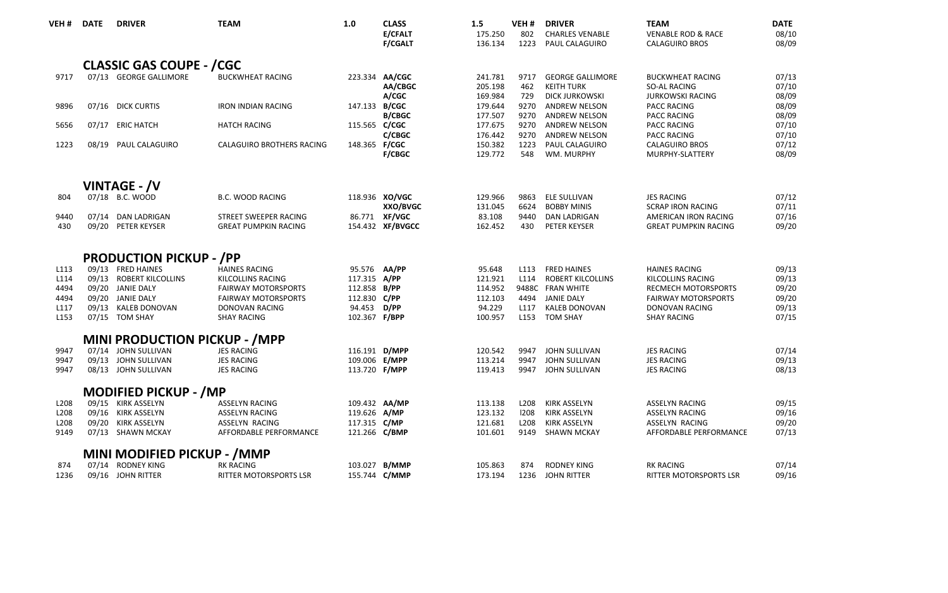| VEH <sub>#</sub>         | <b>DATE</b> | <b>DRIVER</b>                            | <b>TEAM</b>                                          | 1.0                           | <b>CLASS</b><br>E/CFALT<br><b>F/CGALT</b> | 1.5<br>175.250<br>136.134     | VEH#<br>802         | <b>DRIVER</b><br><b>CHARLES VENABLE</b><br>1223 PAUL CALAGUIRO | <b>TEAM</b><br><b>VENABLE ROD &amp; RACE</b><br><b>CALAGUIRO BROS</b> | <b>DATE</b><br>08/10<br>08/09 |
|--------------------------|-------------|------------------------------------------|------------------------------------------------------|-------------------------------|-------------------------------------------|-------------------------------|---------------------|----------------------------------------------------------------|-----------------------------------------------------------------------|-------------------------------|
|                          |             | <b>CLASSIC GAS COUPE - / CGC</b>         |                                                      |                               |                                           |                               |                     |                                                                |                                                                       |                               |
| 9717                     |             | 07/13 GEORGE GALLIMORE                   | <b>BUCKWHEAT RACING</b>                              |                               | 223.334 AA/CGC<br>AA/CBGC                 | 241.781<br>205.198            | 9717<br>462         | <b>GEORGE GALLIMORE</b><br><b>KEITH TURK</b>                   | <b>BUCKWHEAT RACING</b><br>SO-AL RACING                               | 07/13<br>07/10                |
| 9896                     |             | 07/16 DICK CURTIS                        | <b>IRON INDIAN RACING</b>                            | 147.133 B/CGC                 | A/CGC<br><b>B/CBGC</b>                    | 169.984<br>179.644<br>177,507 | 729<br>9270<br>9270 | <b>DICK JURKOWSKI</b><br>ANDREW NELSON<br><b>ANDREW NELSON</b> | <b>JURKOWSKI RACING</b><br><b>PACC RACING</b><br><b>PACC RACING</b>   | 08/09<br>08/09<br>08/09       |
| 5656                     |             | 07/17 ERIC HATCH                         | <b>HATCH RACING</b>                                  | 115.565 C/CGC                 | C/CBGC                                    | 177.675<br>176.442            | 9270                | 9270 ANDREW NELSON<br><b>ANDREW NELSON</b>                     | <b>PACC RACING</b><br><b>PACC RACING</b>                              | 07/10<br>07/10                |
| 1223                     |             | 08/19 PAUL CALAGUIRO                     | CALAGUIRO BROTHERS RACING                            | 148.365 F/CGC                 | <b>F/CBGC</b>                             | 150.382<br>129,772            | 1223<br>548         | PAUL CALAGUIRO<br>WM. MURPHY                                   | <b>CALAGUIRO BROS</b><br>MURPHY-SLATTERY                              | 07/12<br>08/09                |
|                          |             | <b>VINTAGE - /V</b>                      |                                                      |                               |                                           |                               |                     |                                                                |                                                                       |                               |
| 804                      |             | 07/18 B.C. WOOD                          | <b>B.C. WOOD RACING</b>                              |                               | 118.936 XO/VGC<br>XXO/BVGC                | 129.966<br>131.045            | 9863                | ELE SULLIVAN<br>6624 BOBBY MINIS                               | <b>JES RACING</b><br><b>SCRAP IRON RACING</b>                         | 07/12<br>07/11                |
| 9440<br>430              |             | 07/14 DAN LADRIGAN<br>09/20 PETER KEYSER | STREET SWEEPER RACING<br><b>GREAT PUMPKIN RACING</b> |                               | 86.771 XF/VGC<br>154.432 XF/BVGCC         | 83.108<br>162.452             | 9440<br>430         | <b>DAN LADRIGAN</b><br>PETER KEYSER                            | AMERICAN IRON RACING<br><b>GREAT PUMPKIN RACING</b>                   | 07/16<br>09/20                |
|                          |             | <b>PRODUCTION PICKUP - /PP</b>           |                                                      |                               |                                           |                               |                     |                                                                |                                                                       |                               |
| L <sub>113</sub>         |             | 09/13 FRED HAINES                        | <b>HAINES RACING</b>                                 | 95.576 AA/PP                  |                                           | 95.648                        |                     | L113 FRED HAINES                                               | <b>HAINES RACING</b>                                                  | 09/13                         |
| L114                     |             | 09/13 ROBERT KILCOLLINS                  | KILCOLLINS RACING                                    | 117.315 A/PP                  |                                           | 121.921                       |                     | L114 ROBERT KILCOLLINS                                         | KILCOLLINS RACING                                                     | 09/13                         |
| 4494                     |             | 09/20 JANIE DALY                         | <b>FAIRWAY MOTORSPORTS</b>                           | 112.858 B/PP                  |                                           | 114.952                       |                     | 9488C FRAN WHITE                                               | RECMECH MOTORSPORTS                                                   | 09/20                         |
| 4494                     |             | 09/20 JANIE DALY                         | <b>FAIRWAY MOTORSPORTS</b>                           | 112.830 C/PP                  |                                           | 112.103                       | 4494                | <b>JANIE DALY</b>                                              | <b>FAIRWAY MOTORSPORTS</b>                                            | 09/20                         |
| L117<br>L <sub>153</sub> |             | 09/13 KALEB DONOVAN<br>07/15 TOM SHAY    | DONOVAN RACING<br><b>SHAY RACING</b>                 | 94.453 D/PP<br>102.367 F/BPP  |                                           | 94.229<br>100.957             | L117                | <b>KALEB DONOVAN</b><br>L153 TOM SHAY                          | DONOVAN RACING<br><b>SHAY RACING</b>                                  | 09/13<br>07/15                |
|                          |             | <b>MINI PRODUCTION PICKUP - /MPP</b>     |                                                      |                               |                                           |                               |                     |                                                                |                                                                       |                               |
| 9947                     |             | 07/14 JOHN SULLIVAN                      | <b>JES RACING</b>                                    | 116.191 D/MPP                 |                                           | 120.542                       | 9947                | JOHN SULLIVAN                                                  | <b>JES RACING</b>                                                     | 07/14                         |
| 9947                     |             | 09/13 JOHN SULLIVAN                      | <b>JES RACING</b>                                    | 109.006 E/MPP                 |                                           | 113.214                       | 9947                | JOHN SULLIVAN                                                  | <b>JES RACING</b>                                                     | 09/13                         |
| 9947                     |             | 08/13 JOHN SULLIVAN                      | <b>JES RACING</b>                                    | 113.720 F/MPP                 |                                           | 119.413                       |                     | 9947 JOHN SULLIVAN                                             | <b>JES RACING</b>                                                     | 08/13                         |
|                          |             | <b>MODIFIED PICKUP - /MP</b>             |                                                      |                               |                                           |                               |                     |                                                                |                                                                       |                               |
| L208                     |             | 09/15 KIRK ASSELYN                       | <b>ASSELYN RACING</b>                                | 109.432 AA/MP                 |                                           | 113.138                       | L208                | <b>KIRK ASSELYN</b>                                            | <b>ASSELYN RACING</b>                                                 | 09/15                         |
| L208                     |             | 09/16 KIRK ASSELYN                       | <b>ASSELYN RACING</b>                                | 119.626 A/MP                  |                                           | 123.132                       | 1208                | <b>KIRK ASSELYN</b>                                            | <b>ASSELYN RACING</b>                                                 | 09/16                         |
| L208<br>9149             |             | 09/20 KIRK ASSELYN<br>07/13 SHAWN MCKAY  | ASSELYN RACING<br>AFFORDABLE PERFORMANCE             | 117.315 C/MP<br>121.266 C/BMP |                                           | 121.681<br>101.601            | L208                | <b>KIRK ASSELYN</b><br>9149 SHAWN MCKAY                        | ASSELYN RACING<br>AFFORDABLE PERFORMANCE                              | 09/20<br>07/13                |
|                          |             | MINI MODIFIED PICKUP - /MMP              |                                                      |                               |                                           |                               |                     |                                                                |                                                                       |                               |
| 874                      |             | 07/14 RODNEY KING                        | <b>RK RACING</b>                                     |                               | 103.027 B/MMP                             | 105.863                       | 874                 | <b>RODNEY KING</b>                                             | <b>RK RACING</b>                                                      | 07/14                         |
| 1236                     |             | 09/16 JOHN RITTER                        | RITTER MOTORSPORTS LSR                               |                               | 155.744 C/MMP                             | 173.194                       |                     | 1236 JOHN RITTER                                               | <b>RITTER MOTORSPORTS LSR</b>                                         | 09/16                         |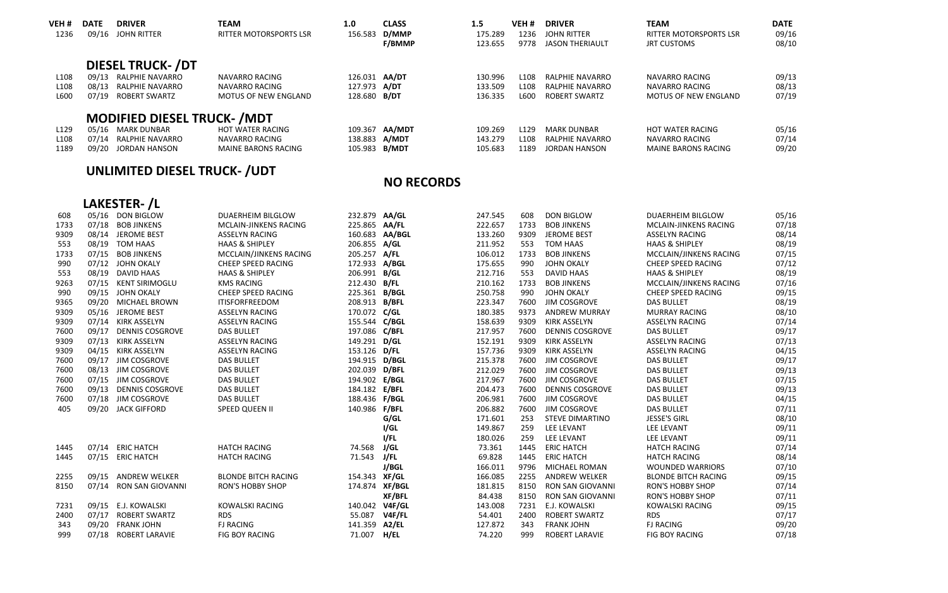| VEH <sub>#</sub> | <b>DATE</b> | <b>DRIVER</b>                     | <b>TEAM</b>                   | 1.0           | <b>CLASS</b>   | 1.5     | VEH <sub>#</sub> | <b>DRIVER</b>           | <b>TEAM</b>                   | <b>DATE</b> |
|------------------|-------------|-----------------------------------|-------------------------------|---------------|----------------|---------|------------------|-------------------------|-------------------------------|-------------|
| 1236             | 09/16       | JOHN RITTER                       | <b>RITTER MOTORSPORTS LSR</b> | 156.583       | D/MMP          | 175.289 | 1236             | JOHN RITTER             | <b>RITTER MOTORSPORTS LSR</b> | 09/16       |
|                  |             |                                   |                               |               | <b>F/BMMP</b>  | 123.655 | 9778             | <b>JASON THERIAULT</b>  | <b>JRT CUSTOMS</b>            | 08/10       |
|                  |             | <b>DIESEL TRUCK-/DT</b>           |                               |               |                |         |                  |                         |                               |             |
| L <sub>108</sub> |             | 09/13 RALPHIE NAVARRO             | NAVARRO RACING                | 126.031 AA/DT |                | 130.996 | L <sub>108</sub> | <b>RAI PHIF NAVARRO</b> | NAVARRO RACING                | 09/13       |
| L <sub>108</sub> | 08/13       | RALPHIE NAVARRO                   | NAVARRO RACING                | 127.973 A/DT  |                | 133.509 | L <sub>108</sub> | RAI PHIF NAVARRO        | NAVARRO RACING                | 08/13       |
| L600             | 07/19       | ROBERT SWARTZ                     | MOTUS OF NEW ENGLAND          | 128,680 B/DT  |                | 136.335 | L600             | ROBERT SWARTZ           | MOTUS OF NEW ENGLAND          | 07/19       |
|                  |             | <b>MODIFIED DIESEL TRUCK-/MDT</b> |                               |               |                |         |                  |                         |                               |             |
| L <sub>129</sub> |             | 05/16 MARK DUNBAR                 | HOT WATER RACING              |               | 109.367 AA/MDT | 109.269 | L <sub>129</sub> | <b>MARK DUNBAR</b>      | HOT WATER RACING              | 05/16       |
| L <sub>108</sub> |             | 07/14 RALPHIE NAVARRO             | <b>NAVARRO RACING</b>         | 138.883 A/MDT |                | 143.279 | L <sub>108</sub> | <b>RAI PHIF NAVARRO</b> | <b>NAVARRO RACING</b>         | 07/14       |
| 1189             |             | 09/20 IORDAN HANSON               | MAINE BARONS RACING           | 105.983 B/MDT |                | 105.683 | 1189             | <b>IORDAN HANSON</b>    | MAINE BARONS RACING           | 09/20       |

## **UNLIMITED DIESEL TRUCK‐ /UDT**

#### **NO RECORDS**

|      | LAKESTER-/L |                         |                            |                |        |         |      |                         |                            |       |  |
|------|-------------|-------------------------|----------------------------|----------------|--------|---------|------|-------------------------|----------------------------|-------|--|
| 608  |             | 05/16 DON BIGLOW        | DUAERHEIM BILGLOW          | 232.879 AA/GL  |        | 247.545 | 608  | <b>DON BIGLOW</b>       | DUAERHEIM BILGLOW          | 05/16 |  |
| 1733 | 07/18       | <b>BOB JINKENS</b>      | MCLAIN-JINKENS RACING      | 225.865 AA/FL  |        | 222.657 | 1733 | <b>BOB JINKENS</b>      | MCLAIN-JINKENS RACING      | 07/18 |  |
| 9309 |             | 08/14 JEROME BEST       | <b>ASSELYN RACING</b>      | 160.683 AA/BGL |        | 133.260 | 9309 | JEROME BEST             | <b>ASSELYN RACING</b>      | 08/14 |  |
| 553  | 08/19       | <b>TOM HAAS</b>         | <b>HAAS &amp; SHIPLEY</b>  | 206.855 A/GL   |        | 211.952 | 553  | <b>TOM HAAS</b>         | <b>HAAS &amp; SHIPLEY</b>  | 08/19 |  |
| 1733 | 07/15       | <b>BOB JINKENS</b>      | MCCLAIN/JINKENS RACING     | 205.257 A/FL   |        | 106.012 | 1733 | <b>BOB JINKENS</b>      | MCCLAIN/JINKENS RACING     | 07/15 |  |
| 990  | 07/12       | <b>JOHN OKALY</b>       | CHEEP SPEED RACING         | 172.933 A/BGL  |        | 175.655 | 990  | <b>JOHN OKALY</b>       | CHEEP SPEED RACING         | 07/12 |  |
| 553  | 08/19       | <b>DAVID HAAS</b>       | <b>HAAS &amp; SHIPLEY</b>  | 206.991 B/GL   |        | 212.716 | 553  | <b>DAVID HAAS</b>       | <b>HAAS &amp; SHIPLEY</b>  | 08/19 |  |
| 9263 | 07/15       | <b>KENT SIRIMOGLU</b>   | <b>KMS RACING</b>          | 212.430 B/FL   |        | 210.162 | 1733 | <b>BOB JINKENS</b>      | MCCLAIN/JINKENS RACING     | 07/16 |  |
| 990  |             | 09/15 JOHN OKALY        | CHEEP SPEED RACING         | 225.361 B/BGL  |        | 250.758 | 990  | JOHN OKALY              | CHEEP SPEED RACING         | 09/15 |  |
| 9365 | 09/20       | <b>MICHAEL BROWN</b>    | <b>ITISFORFREEDOM</b>      | 208.913 B/BFL  |        | 223.347 | 7600 | JIM COSGROVE            | <b>DAS BULLET</b>          | 08/19 |  |
| 9309 | 05/16       | <b>JEROME BEST</b>      | <b>ASSELYN RACING</b>      | 170.072 C/GL   |        | 180.385 | 9373 | <b>ANDREW MURRAY</b>    | <b>MURRAY RACING</b>       | 08/10 |  |
| 9309 |             | 07/14 KIRK ASSELYN      | <b>ASSELYN RACING</b>      | 155.544 C/BGL  |        | 158.639 | 9309 | <b>KIRK ASSELYN</b>     | <b>ASSELYN RACING</b>      | 07/14 |  |
| 7600 | 09/17       | <b>DENNIS COSGROVE</b>  | <b>DAS BULLET</b>          | 197.086 C/BFL  |        | 217.957 | 7600 | <b>DENNIS COSGROVE</b>  | <b>DAS BULLET</b>          | 09/17 |  |
| 9309 | 07/13       | <b>KIRK ASSELYN</b>     | <b>ASSELYN RACING</b>      | 149.291 D/GL   |        | 152.191 | 9309 | <b>KIRK ASSELYN</b>     | <b>ASSELYN RACING</b>      | 07/13 |  |
| 9309 |             | 04/15 KIRK ASSELYN      | <b>ASSELYN RACING</b>      | 153.126 D/FL   |        | 157.736 | 9309 | <b>KIRK ASSELYN</b>     | <b>ASSELYN RACING</b>      | 04/15 |  |
| 7600 |             | 09/17 JIM COSGROVE      | <b>DAS BULLET</b>          | 194.915 D/BGL  |        | 215.378 | 7600 | JIM COSGROVE            | <b>DAS BULLET</b>          | 09/17 |  |
| 7600 |             | 08/13 JIM COSGROVE      | <b>DAS BULLET</b>          | 202.039 D/BFL  |        | 212.029 | 7600 | JIM COSGROVE            | <b>DAS BULLET</b>          | 09/13 |  |
| 7600 |             | 07/15 JIM COSGROVE      | <b>DAS BULLET</b>          | 194.902 E/BGL  |        | 217.967 | 7600 | JIM COSGROVE            | <b>DAS BULLET</b>          | 07/15 |  |
| 7600 | 09/13       | <b>DENNIS COSGROVE</b>  | <b>DAS BULLET</b>          | 184.182 E/BFL  |        | 204.473 | 7600 | <b>DENNIS COSGROVE</b>  | <b>DAS BULLET</b>          | 09/13 |  |
| 7600 | 07/18       | <b>JIM COSGROVE</b>     | <b>DAS BULLET</b>          | 188.436 F/BGL  |        | 206.981 | 7600 | JIM COSGROVE            | <b>DAS BULLET</b>          | 04/15 |  |
| 405  | 09/20       | <b>JACK GIFFORD</b>     | SPEED QUEEN II             | 140.986 F/BFL  |        | 206.882 | 7600 | JIM COSGROVE            | <b>DAS BULLET</b>          | 07/11 |  |
|      |             |                         |                            |                | G/GL   | 171.601 | 253  | <b>STEVE DIMARTINO</b>  | <b>JESSE'S GIRL</b>        | 08/10 |  |
|      |             |                         |                            |                | I/GL   | 149.867 | 259  | LEE LEVANT              | LEE LEVANT                 | 09/11 |  |
|      |             |                         |                            |                | I/FL   | 180.026 | 259  | LEE LEVANT              | LEE LEVANT                 | 09/11 |  |
| 1445 |             | 07/14 ERIC HATCH        | <b>HATCH RACING</b>        | 74.568         | J/GL   | 73.361  | 1445 | <b>ERIC HATCH</b>       | <b>HATCH RACING</b>        | 07/14 |  |
| 1445 |             | 07/15 ERIC HATCH        | <b>HATCH RACING</b>        | 71.543         | J/FL   | 69.828  | 1445 | <b>ERIC HATCH</b>       | <b>HATCH RACING</b>        | 08/14 |  |
|      |             |                         |                            |                | J/BGL  | 166.011 | 9796 | MICHAEL ROMAN           | <b>WOUNDED WARRIORS</b>    | 07/10 |  |
| 2255 | 09/15       | <b>ANDREW WELKER</b>    | <b>BLONDE BITCH RACING</b> | 154.343 XF/GL  |        | 166.085 | 2255 | <b>ANDREW WELKER</b>    | <b>BLONDE BITCH RACING</b> | 09/15 |  |
| 8150 | 07/14       | <b>RON SAN GIOVANNI</b> | <b>RON'S HOBBY SHOP</b>    | 174.874 XF/BGL |        | 181.815 | 8150 | <b>RON SAN GIOVANNI</b> | <b>RON'S HOBBY SHOP</b>    | 07/14 |  |
|      |             |                         |                            |                | XF/BFL | 84.438  | 8150 | <b>RON SAN GIOVANNI</b> | <b>RON'S HOBBY SHOP</b>    | 07/11 |  |
| 7231 |             | 09/15 E.J. KOWALSKI     | <b>KOWALSKI RACING</b>     | 140.042 V4F/GL |        | 143.008 | 7231 | E.J. KOWALSKI           | <b>KOWALSKI RACING</b>     | 09/15 |  |
| 2400 | 07/17       | <b>ROBERT SWARTZ</b>    | <b>RDS</b>                 | 55.087         | V4F/FL | 54.401  | 2400 | <b>ROBERT SWARTZ</b>    | <b>RDS</b>                 | 07/17 |  |
| 343  | 09/20       | <b>FRANK JOHN</b>       | <b>FJ RACING</b>           | 141.359        | A2/EL  | 127.872 | 343  | <b>FRANK JOHN</b>       | <b>FJ RACING</b>           | 09/20 |  |
| 999  | 07/18       | <b>ROBERT LARAVIE</b>   | <b>FIG BOY RACING</b>      | 71.007         | H/EL   | 74.220  | 999  | <b>ROBERT LARAVIE</b>   | <b>FIG BOY RACING</b>      | 07/18 |  |